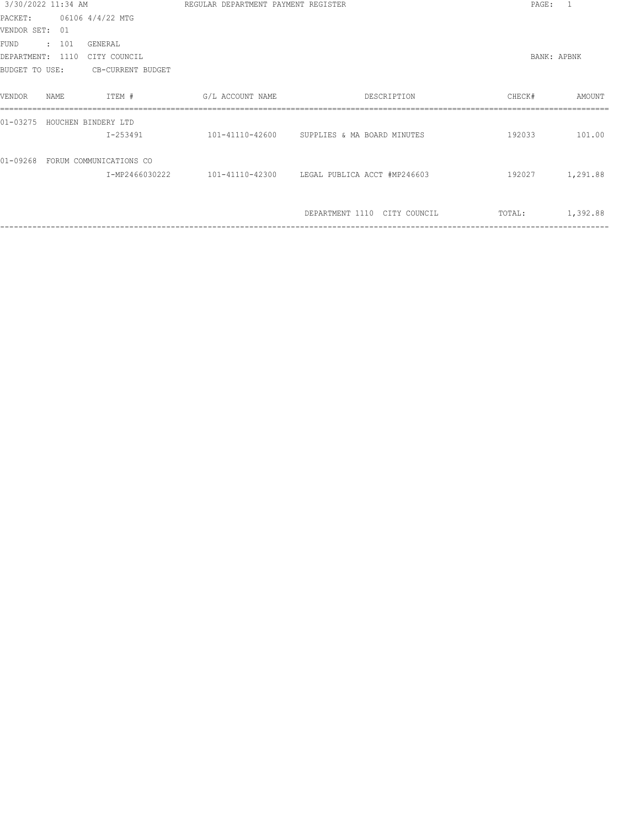|                | 3/30/2022 11:34 AM |                         | REGULAR DEPARTMENT PAYMENT REGISTER |                                              | PAGE:       | $\overline{1}$ |
|----------------|--------------------|-------------------------|-------------------------------------|----------------------------------------------|-------------|----------------|
| PACKET:        |                    | 06106 4/4/22 MTG        |                                     |                                              |             |                |
| VENDOR SET: 01 |                    |                         |                                     |                                              |             |                |
| <b>FUND</b>    | : 101              | GENERAL                 |                                     |                                              |             |                |
| DEPARTMENT:    | 1110               | CITY COUNCIL            |                                     |                                              | BANK: APBNK |                |
| BUDGET TO USE: |                    | CB-CURRENT BUDGET       |                                     |                                              |             |                |
| VENDOR         | NAME               | ITEM #                  | G/L ACCOUNT NAME                    | DESCRIPTION                                  | CHECK#      | AMOUNT         |
| $01 - 03275$   |                    | HOUCHEN BINDERY LTD     |                                     |                                              |             |                |
|                |                    | I-253491                |                                     | 101-41110-42600 SUPPLIES & MA BOARD MINUTES  | 192033      | 101.00         |
| $01 - 09268$   |                    | FORUM COMMUNICATIONS CO |                                     |                                              |             |                |
|                |                    | I-MP2466030222          |                                     | 101-41110-42300 LEGAL PUBLICA ACCT #MP246603 | 192027      | 1,291.88       |
|                |                    |                         |                                     |                                              |             |                |
|                |                    |                         |                                     | DEPARTMENT 1110 CITY COUNCIL                 | TOTAL:      | 1,392.88       |
|                |                    |                         |                                     |                                              |             |                |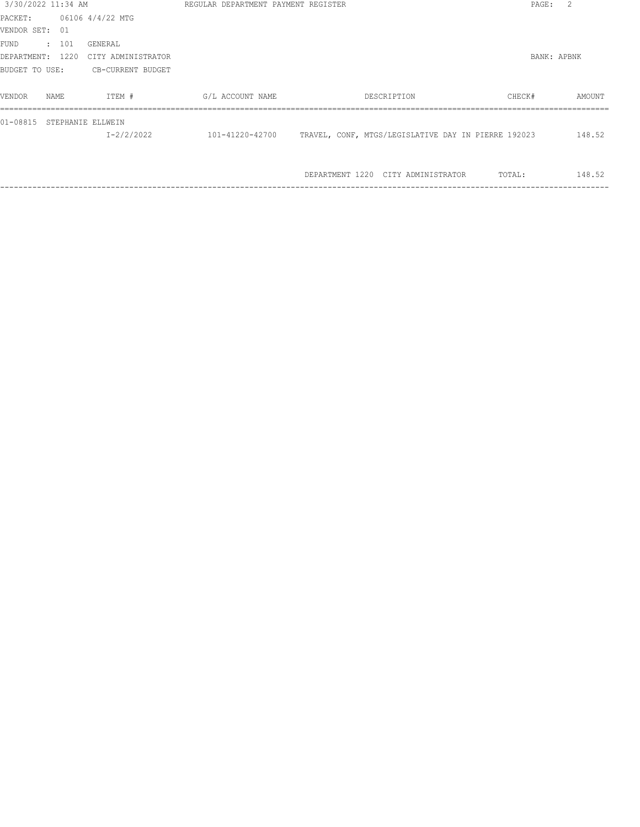| 3/30/2022 11:34 AM                        | REGULAR DEPARTMENT PAYMENT REGISTER |                                                     | PAGE:       | $\mathcal{L}$ |
|-------------------------------------------|-------------------------------------|-----------------------------------------------------|-------------|---------------|
| 06106 4/4/22 MTG<br>PACKET:               |                                     |                                                     |             |               |
| VENDOR SET:<br>01                         |                                     |                                                     |             |               |
| <b>FUND</b><br>: 101<br>GENERAL           |                                     |                                                     |             |               |
| 1220<br>CITY ADMINISTRATOR<br>DEPARTMENT: |                                     |                                                     | BANK: APBNK |               |
| CB-CURRENT BUDGET<br>BUDGET TO USE:       |                                     |                                                     |             |               |
|                                           |                                     |                                                     |             |               |
| VENDOR<br>ITEM #<br>NAME                  | G/L ACCOUNT NAME                    | DESCRIPTION                                         | CHECK#      | AMOUNT        |
| $01 - 08815$<br>STEPHANIE ELLWEIN         |                                     |                                                     |             |               |
| $I - 2/2/2022$                            | 101-41220-42700                     | TRAVEL, CONF, MTGS/LEGISLATIVE DAY IN PIERRE 192023 |             | 148.52        |
|                                           |                                     |                                                     |             |               |
|                                           |                                     | DEPARTMENT 1220 CITY ADMINISTRATOR                  | TOTAL:      | 148.52        |
|                                           |                                     |                                                     |             |               |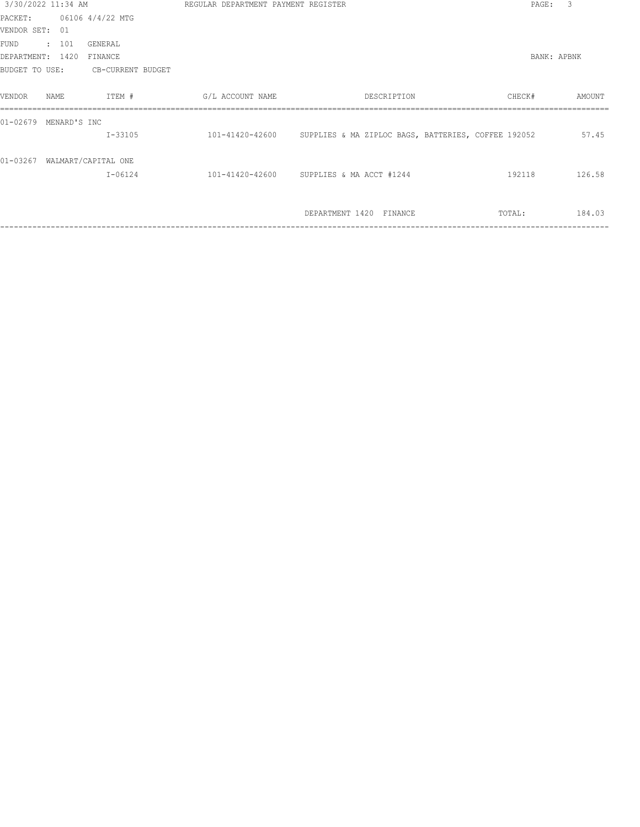| 3/30/2022 11:34 AM |              |                     | REGULAR DEPARTMENT PAYMENT REGISTER |                                                                     | PAGE:       | 3      |
|--------------------|--------------|---------------------|-------------------------------------|---------------------------------------------------------------------|-------------|--------|
| PACKET:            |              | 06106 4/4/22 MTG    |                                     |                                                                     |             |        |
| VENDOR SET: 01     |              |                     |                                     |                                                                     |             |        |
| <b>FUND</b>        | : 101        | GENERAL             |                                     |                                                                     |             |        |
| DEPARTMENT: 1420   |              | FINANCE             |                                     |                                                                     | BANK: APBNK |        |
| BUDGET TO USE:     |              | CB-CURRENT BUDGET   |                                     |                                                                     |             |        |
| VENDOR             | <b>NAME</b>  | ITEM #              | G/L ACCOUNT NAME                    | DESCRIPTION                                                         | CHECK#      | AMOUNT |
| $01 - 02679$       | MENARD'S INC |                     |                                     |                                                                     |             |        |
|                    |              | $I - 33105$         |                                     | 101-41420-42600 SUPPLIES & MA ZIPLOC BAGS, BATTERIES, COFFEE 192052 |             | 57.45  |
| $01 - 03267$       |              | WALMART/CAPITAL ONE |                                     |                                                                     |             |        |
|                    |              | $I - 06124$         |                                     | 101-41420-42600 SUPPLIES & MA ACCT #1244                            | 192118      | 126.58 |
|                    |              |                     |                                     |                                                                     |             |        |
|                    |              |                     |                                     | DEPARTMENT 1420 FINANCE                                             | TOTAL:      | 184.03 |
|                    |              |                     |                                     |                                                                     |             |        |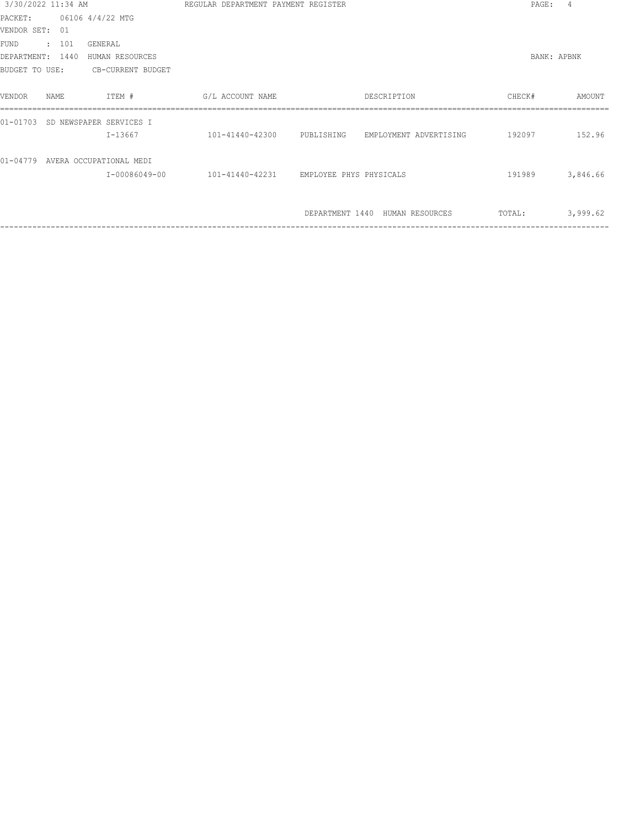|                | 3/30/2022 11:34 AM |                         | REGULAR DEPARTMENT PAYMENT REGISTER     |                 |                        | PAGE:       | $\overline{4}$ |
|----------------|--------------------|-------------------------|-----------------------------------------|-----------------|------------------------|-------------|----------------|
| PACKET:        |                    | 06106 4/4/22 MTG        |                                         |                 |                        |             |                |
| VENDOR SET:    | 01                 |                         |                                         |                 |                        |             |                |
| <b>FUND</b>    | : 101              | GENERAL                 |                                         |                 |                        |             |                |
| DEPARTMENT:    | 1440               | HUMAN RESOURCES         |                                         |                 |                        | BANK: APBNK |                |
| BUDGET TO USE: |                    | CB-CURRENT BUDGET       |                                         |                 |                        |             |                |
| VENDOR         | NAME               | ITEM #                  | G/L ACCOUNT NAME                        |                 | DESCRIPTION            | CHECK#      | AMOUNT         |
| $01 - 01703$   |                    | SD NEWSPAPER SERVICES I |                                         |                 |                        |             |                |
|                |                    | $I-13667$               | 101-41440-42300 PUBLISHING              |                 | EMPLOYMENT ADVERTISING | 192097      | 152.96         |
| $01 - 04779$   |                    | AVERA OCCUPATIONAL MEDI |                                         |                 |                        |             |                |
|                |                    | I-00086049-00           | 101-41440-42231 EMPLOYEE PHYS PHYSICALS |                 |                        | 191989      | 3,846.66       |
|                |                    |                         |                                         |                 |                        |             |                |
|                |                    |                         |                                         | DEPARTMENT 1440 | HUMAN RESOURCES        | TOTAL:      | 3,999.62       |
|                |                    |                         |                                         |                 |                        |             |                |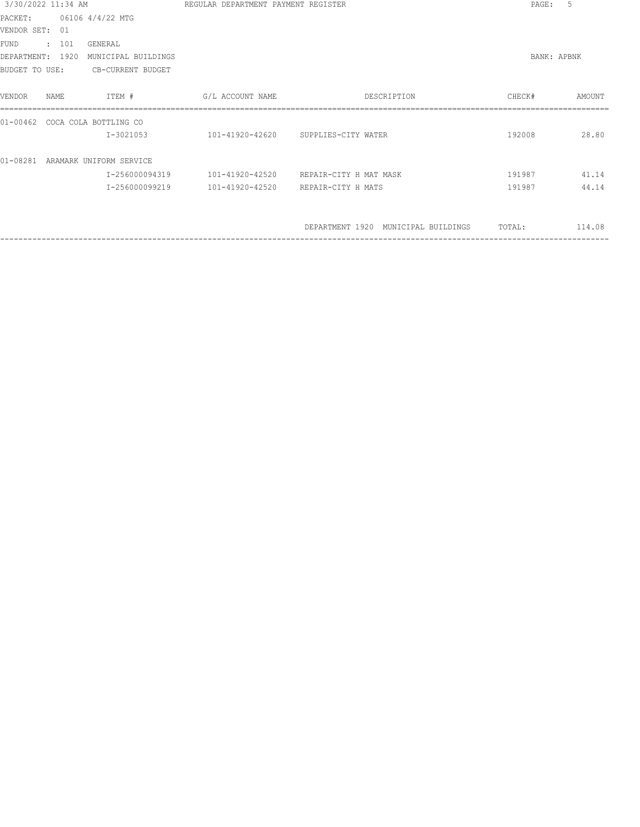| 3/30/2022 11:34 AM                         | REGULAR DEPARTMENT PAYMENT REGISTER | PAGE:                               | 5           |        |
|--------------------------------------------|-------------------------------------|-------------------------------------|-------------|--------|
| 06106 4/4/22 MTG<br>PACKET:                |                                     |                                     |             |        |
| VENDOR SET:<br>01                          |                                     |                                     |             |        |
| <b>FUND</b><br>: 101<br>GENERAL            |                                     |                                     |             |        |
| 1920<br>DEPARTMENT:<br>MUNICIPAL BUILDINGS |                                     |                                     | BANK: APBNK |        |
| BUDGET TO USE:<br>CB-CURRENT BUDGET        |                                     |                                     |             |        |
| ITEM #<br>VENDOR<br>NAME                   | G/L ACCOUNT NAME                    | DESCRIPTION                         | CHECK#      | AMOUNT |
| $01 - 00462$<br>COCA COLA BOTTLING CO      |                                     |                                     |             |        |
| $I-3021053$                                |                                     | 101-41920-42620 SUPPLIES-CITY WATER | 192008      | 28.80  |
| $01 - 08281$<br>ARAMARK UNIFORM SERVICE    |                                     |                                     |             |        |
| I-256000094319                             | 101-41920-42520                     | REPAIR-CITY H MAT MASK              | 191987      | 41.14  |
| I-256000099219                             | 101-41920-42520                     | REPAIR-CITY H MATS                  | 191987      | 44.14  |
|                                            |                                     |                                     |             |        |
|                                            |                                     | DEPARTMENT 1920 MUNICIPAL BUILDINGS | TOTAL:      | 114.08 |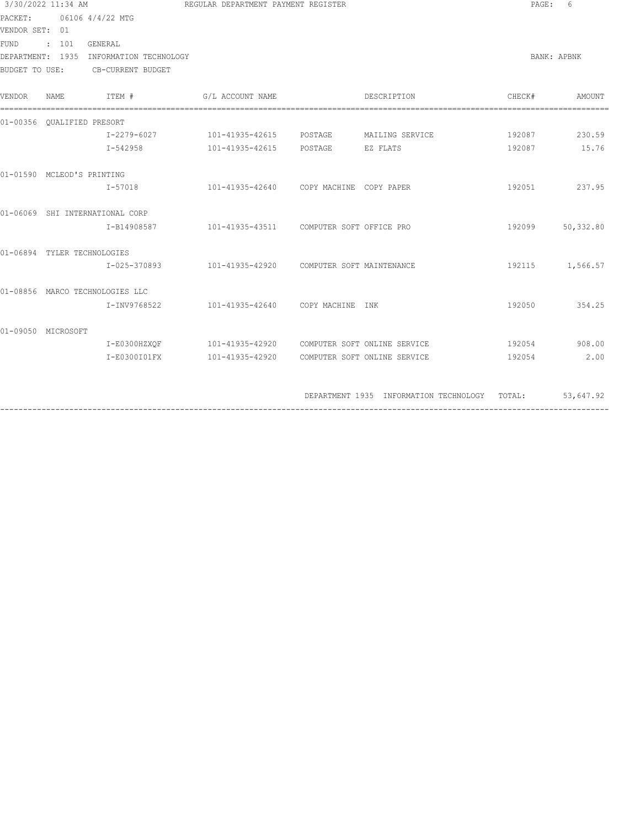| 3/30/2022 11:34 AM<br>PACKET: 06106 4/4/22 MTG |                |                                                                                                                                                                                                                                                         |                                                             |                                     | PAGE:<br>6                                                                                                                                                                                                                                                                             |                                                                                                                        |
|------------------------------------------------|----------------|---------------------------------------------------------------------------------------------------------------------------------------------------------------------------------------------------------------------------------------------------------|-------------------------------------------------------------|-------------------------------------|----------------------------------------------------------------------------------------------------------------------------------------------------------------------------------------------------------------------------------------------------------------------------------------|------------------------------------------------------------------------------------------------------------------------|
|                                                |                |                                                                                                                                                                                                                                                         |                                                             |                                     |                                                                                                                                                                                                                                                                                        |                                                                                                                        |
|                                                |                |                                                                                                                                                                                                                                                         |                                                             |                                     |                                                                                                                                                                                                                                                                                        |                                                                                                                        |
|                                                |                |                                                                                                                                                                                                                                                         |                                                             |                                     |                                                                                                                                                                                                                                                                                        |                                                                                                                        |
|                                                |                |                                                                                                                                                                                                                                                         |                                                             |                                     |                                                                                                                                                                                                                                                                                        | BANK: APBNK                                                                                                            |
|                                                |                |                                                                                                                                                                                                                                                         |                                                             |                                     |                                                                                                                                                                                                                                                                                        |                                                                                                                        |
| NAME                                           |                |                                                                                                                                                                                                                                                         |                                                             |                                     | CHECK#                                                                                                                                                                                                                                                                                 | AMOUNT                                                                                                                 |
|                                                |                |                                                                                                                                                                                                                                                         |                                                             |                                     |                                                                                                                                                                                                                                                                                        |                                                                                                                        |
|                                                |                |                                                                                                                                                                                                                                                         |                                                             |                                     |                                                                                                                                                                                                                                                                                        | 192087 230.59                                                                                                          |
|                                                |                |                                                                                                                                                                                                                                                         |                                                             |                                     |                                                                                                                                                                                                                                                                                        | 192087 15.76                                                                                                           |
|                                                |                |                                                                                                                                                                                                                                                         |                                                             |                                     |                                                                                                                                                                                                                                                                                        |                                                                                                                        |
|                                                |                |                                                                                                                                                                                                                                                         |                                                             |                                     |                                                                                                                                                                                                                                                                                        |                                                                                                                        |
|                                                |                |                                                                                                                                                                                                                                                         |                                                             |                                     |                                                                                                                                                                                                                                                                                        |                                                                                                                        |
|                                                |                |                                                                                                                                                                                                                                                         |                                                             |                                     |                                                                                                                                                                                                                                                                                        | 192099 50,332.80                                                                                                       |
|                                                |                |                                                                                                                                                                                                                                                         |                                                             |                                     |                                                                                                                                                                                                                                                                                        |                                                                                                                        |
|                                                |                |                                                                                                                                                                                                                                                         |                                                             |                                     |                                                                                                                                                                                                                                                                                        |                                                                                                                        |
|                                                |                |                                                                                                                                                                                                                                                         |                                                             |                                     |                                                                                                                                                                                                                                                                                        |                                                                                                                        |
|                                                |                |                                                                                                                                                                                                                                                         |                                                             |                                     |                                                                                                                                                                                                                                                                                        | 192050 354.25                                                                                                          |
|                                                |                |                                                                                                                                                                                                                                                         |                                                             |                                     |                                                                                                                                                                                                                                                                                        |                                                                                                                        |
|                                                |                |                                                                                                                                                                                                                                                         |                                                             |                                     |                                                                                                                                                                                                                                                                                        |                                                                                                                        |
|                                                |                |                                                                                                                                                                                                                                                         |                                                             |                                     |                                                                                                                                                                                                                                                                                        | 2.00                                                                                                                   |
|                                                |                |                                                                                                                                                                                                                                                         |                                                             |                                     |                                                                                                                                                                                                                                                                                        |                                                                                                                        |
|                                                | VENDOR SET: 01 | FUND : 101 GENERAL<br>BUDGET TO USE: CB-CURRENT BUDGET<br>ITEM #<br>01-00356 QUALIFIED PRESORT<br>01-01590 MCLEOD'S PRINTING<br>01-06069 SHI INTERNATIONAL CORP<br>01-06894 TYLER TECHNOLOGIES<br>01-08856 MARCO TECHNOLOGIES LLC<br>01-09050 MICROSOFT | DEPARTMENT: 1935 INFORMATION TECHNOLOGY<br>G/L ACCOUNT NAME | REGULAR DEPARTMENT PAYMENT REGISTER | DESCRIPTION<br>$I-2279-6027$ $101-41935-42615$ $POSTAGE$ MAILING SERVICE<br>I-542958 101-41935-42615 POSTAGE EZ FLATS<br>I-57018 101-41935-42640 COPY MACHINE COPY PAPER<br>I-INV9768522 101-41935-42640 COPY MACHINE INK<br>I-E0300I01FX 101-41935-42920 COMPUTER SOFT ONLINE SERVICE | 192051 237.95<br>192115 1,566.57<br>192054 908.00<br>192054<br>DEPARTMENT 1935 INFORMATION TECHNOLOGY TOTAL: 53,647.92 |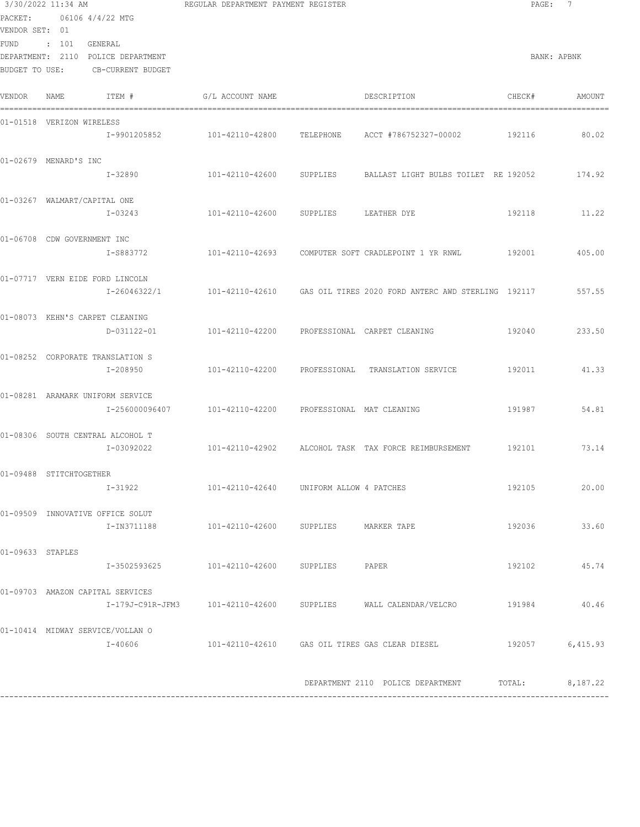|                  | 3/30/2022 11:34 AM               |                                               | REGULAR DEPARTMENT PAYMENT REGISTER            |                           |                                                    | PAGE:  | 7               |
|------------------|----------------------------------|-----------------------------------------------|------------------------------------------------|---------------------------|----------------------------------------------------|--------|-----------------|
| PACKET:          | 06106 4/4/22 MTG                 |                                               |                                                |                           |                                                    |        |                 |
| VENDOR SET: 01   |                                  |                                               |                                                |                           |                                                    |        |                 |
| FUND             | : 101                            | GENERAL<br>DEPARTMENT: 2110 POLICE DEPARTMENT |                                                |                           |                                                    |        | BANK: APBNK     |
| BUDGET TO USE:   |                                  | CB-CURRENT BUDGET                             |                                                |                           |                                                    |        |                 |
| <b>VENDOR</b>    | NAME                             | ITEM #                                        | G/L ACCOUNT NAME                               |                           | DESCRIPTION                                        | CHECK# | AMOUNT          |
|                  | 01-01518 VERIZON WIRELESS        |                                               |                                                |                           |                                                    |        |                 |
|                  |                                  | I-9901205852                                  | 101-42110-42800                                | TELEPHONE                 | ACCT #786752327-00002                              | 192116 | 80.02           |
|                  | 01-02679 MENARD'S INC            |                                               |                                                |                           |                                                    |        |                 |
|                  |                                  | I-32890                                       | 101-42110-42600                                | SUPPLIES                  | BALLAST LIGHT BULBS TOILET RE 192052               |        | 174.92          |
|                  | 01-03267 WALMART/CAPITAL ONE     |                                               |                                                |                           |                                                    |        |                 |
|                  |                                  | $I - 03243$                                   | 101-42110-42600                                | SUPPLIES                  | LEATHER DYE                                        | 192118 | 11.22           |
|                  | 01-06708 CDW GOVERNMENT INC      |                                               |                                                |                           |                                                    |        |                 |
|                  |                                  | I-S883772                                     | 101-42110-42693                                |                           | COMPUTER SOFT CRADLEPOINT 1 YR RNWL                | 192001 | 405.00          |
|                  | 01-07717 VERN EIDE FORD LINCOLN  |                                               |                                                |                           |                                                    |        |                 |
|                  |                                  | I-26046322/1                                  | 101-42110-42610                                |                           | GAS OIL TIRES 2020 FORD ANTERC AWD STERLING 192117 |        | 557.55          |
|                  | 01-08073 KEHN'S CARPET CLEANING  |                                               |                                                |                           |                                                    |        |                 |
|                  |                                  | D-031122-01                                   | 101-42110-42200                                |                           | PROFESSIONAL CARPET CLEANING                       | 192040 | 233.50          |
|                  | 01-08252 CORPORATE TRANSLATION S | I-208950                                      | 101-42110-42200                                | PROFESSIONAL              | TRANSLATION SERVICE                                | 192011 | 41.33           |
|                  |                                  |                                               |                                                |                           |                                                    |        |                 |
|                  | 01-08281 ARAMARK UNIFORM SERVICE | I-256000096407                                | 101-42110-42200                                | PROFESSIONAL MAT CLEANING |                                                    | 191987 | 54.81           |
|                  |                                  |                                               |                                                |                           |                                                    |        |                 |
|                  | 01-08306 SOUTH CENTRAL ALCOHOL T | I-03092022                                    | 101-42110-42902                                |                           | ALCOHOL TASK TAX FORCE REIMBURSEMENT               | 192101 | 73.14           |
|                  |                                  |                                               |                                                |                           |                                                    |        |                 |
|                  | 01-09488 STITCHTOGETHER          | I-31922                                       | 101-42110-42640 UNIFORM ALLOW 4 PATCHES        |                           |                                                    | 192105 | 20.00           |
|                  | 01-09509 INNOVATIVE OFFICE SOLUT |                                               |                                                |                           |                                                    |        |                 |
|                  |                                  | I-IN3711188                                   | 101-42110-42600 SUPPLIES MARKER TAPE           |                           |                                                    | 192036 | 33.60           |
| 01-09633 STAPLES |                                  |                                               |                                                |                           |                                                    |        |                 |
|                  |                                  |                                               |                                                |                           | PAPER                                              | 192102 | 45.74           |
|                  | 01-09703 AMAZON CAPITAL SERVICES |                                               |                                                |                           |                                                    |        |                 |
|                  |                                  |                                               |                                                |                           |                                                    | 191984 | 40.46           |
|                  | 01-10414 MIDWAY SERVICE/VOLLAN O |                                               |                                                |                           |                                                    |        |                 |
|                  |                                  | I-40606                                       | 101-42110-42610 GAS OIL TIRES GAS CLEAR DIESEL |                           |                                                    |        | 192057 6,415.93 |
|                  |                                  |                                               |                                                |                           |                                                    |        |                 |
|                  |                                  |                                               |                                                |                           | DEPARTMENT 2110 POLICE DEPARTMENT                  | TOTAL: | 8,187.22        |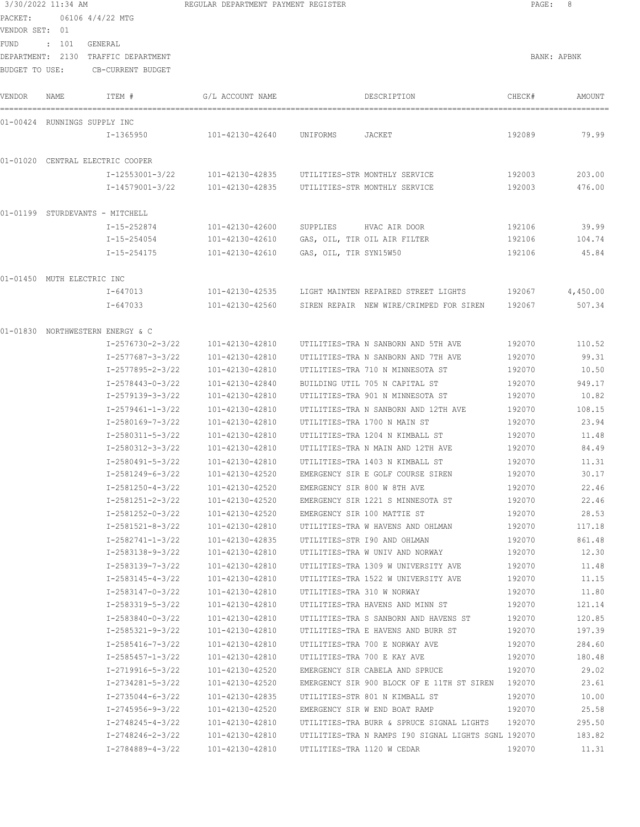|                | 3/30/2022 11:34 AM           |                                      | REGULAR DEPARTMENT PAYMENT REGISTER |                            |                                                                  | PAGE:            | 8               |
|----------------|------------------------------|--------------------------------------|-------------------------------------|----------------------------|------------------------------------------------------------------|------------------|-----------------|
| VENDOR SET: 01 | PACKET: 06106 4/4/22 MTG     |                                      |                                     |                            |                                                                  |                  |                 |
| FUND : 101     |                              | GENERAL                              |                                     |                            |                                                                  |                  |                 |
|                |                              | DEPARTMENT: 2130 TRAFFIC DEPARTMENT  |                                     |                            |                                                                  |                  | BANK: APBNK     |
| BUDGET TO USE: |                              | CB-CURRENT BUDGET                    |                                     |                            |                                                                  |                  |                 |
|                |                              |                                      |                                     |                            |                                                                  |                  |                 |
| VENDOR         | NAME                         | ITEM #                               | G/L ACCOUNT NAME                    |                            | DESCRIPTION                                                      | CHECK#           | AMOUNT          |
|                | 01-00424 RUNNINGS SUPPLY INC |                                      |                                     |                            |                                                                  |                  |                 |
|                |                              | I-1365950                            | 101-42130-42640                     | UNIFORMS                   | JACKET                                                           | 192089           | 79.99           |
|                |                              | 01-01020 CENTRAL ELECTRIC COOPER     |                                     |                            |                                                                  |                  |                 |
|                |                              | I-12553001-3/22                      | 101-42130-42835                     |                            | UTILITIES-STR MONTHLY SERVICE                                    | 192003           | 203.00          |
|                |                              | I-14579001-3/22                      | 101-42130-42835                     |                            | UTILITIES-STR MONTHLY SERVICE                                    | 192003           | 476.00          |
|                |                              | 01-01199 STURDEVANTS - MITCHELL      |                                     |                            |                                                                  |                  |                 |
|                |                              | I-15-252874                          | 101-42130-42600                     |                            | SUPPLIES HVAC AIR DOOR                                           | 192106           | 39.99           |
|                |                              | I-15-254054                          | 101-42130-42610                     |                            | GAS, OIL, TIR OIL AIR FILTER                                     | 192106           | 104.74          |
|                |                              | I-15-254175                          | 101-42130-42610                     | GAS, OIL, TIR SYN15W50     |                                                                  | 192106           | 45.84           |
|                |                              |                                      |                                     |                            |                                                                  |                  |                 |
|                | 01-01450 MUTH ELECTRIC INC   |                                      |                                     |                            |                                                                  |                  |                 |
|                |                              | I-647013                             | 101-42130-42535                     |                            | LIGHT MAINTEN REPAIRED STREET LIGHTS                             | 192067           | 4,450.00        |
|                |                              | I-647033                             | 101-42130-42560                     |                            | SIREN REPAIR NEW WIRE/CRIMPED FOR SIREN                          | 192067           | 507.34          |
|                |                              | 01-01830 NORTHWESTERN ENERGY & C     |                                     |                            |                                                                  |                  |                 |
|                |                              | I-2576730-2-3/22                     | 101-42130-42810                     |                            | UTILITIES-TRA N SANBORN AND 5TH AVE                              | 192070           | 110.52          |
|                |                              | I-2577687-3-3/22                     | 101-42130-42810                     |                            | UTILITIES-TRA N SANBORN AND 7TH AVE                              | 192070           | 99.31           |
|                |                              | I-2577895-2-3/22                     | 101-42130-42810                     |                            | UTILITIES-TRA 710 N MINNESOTA ST                                 | 192070           | 10.50           |
|                |                              | I-2578443-0-3/22                     | 101-42130-42840                     |                            | BUILDING UTIL 705 N CAPITAL ST                                   | 192070           | 949.17          |
|                |                              | I-2579139-3-3/22                     | 101-42130-42810                     |                            | UTILITIES-TRA 901 N MINNESOTA ST                                 | 192070           | 10.82           |
|                |                              | I-2579461-1-3/22                     | 101-42130-42810                     |                            | UTILITIES-TRA N SANBORN AND 12TH AVE                             | 192070           | 108.15          |
|                |                              | I-2580169-7-3/22                     | 101-42130-42810                     |                            | UTILITIES-TRA 1700 N MAIN ST                                     | 192070           | 23.94           |
|                |                              | I-2580311-5-3/22                     | 101-42130-42810                     |                            | UTILITIES-TRA 1204 N KIMBALL ST                                  | 192070           | 11.48           |
|                |                              | I-2580312-3-3/22                     | 101-42130-42810                     |                            | UTILITIES-TRA N MAIN AND 12TH AVE                                | 192070           | 84.49           |
|                |                              | I-2580491-5-3/22                     | 101-42130-42810                     |                            | UTILITIES-TRA 1403 N KIMBALL ST                                  | 192070           | 11.31           |
|                |                              | I-2581249-6-3/22                     | 101-42130-42520                     |                            | EMERGENCY SIR E GOLF COURSE SIREN                                | 192070           | 30.17           |
|                |                              | I-2581250-4-3/22                     | 101-42130-42520                     |                            | EMERGENCY SIR 800 W 8TH AVE                                      | 192070           | 22.46           |
|                |                              | I-2581251-2-3/22                     | 101-42130-42520<br>101-42130-42520  |                            | EMERGENCY SIR 1221 S MINNESOTA ST<br>EMERGENCY SIR 100 MATTIE ST | 192070           | 22.46           |
|                |                              | I-2581252-0-3/22<br>I-2581521-8-3/22 | 101-42130-42810                     |                            | UTILITIES-TRA W HAVENS AND OHLMAN                                | 192070<br>192070 | 28.53<br>117.18 |
|                |                              | I-2582741-1-3/22                     | 101-42130-42835                     |                            | UTILITIES-STR 190 AND OHLMAN                                     | 192070           | 861.48          |
|                |                              | I-2583138-9-3/22                     | 101-42130-42810                     |                            | UTILITIES-TRA W UNIV AND NORWAY                                  | 192070           | 12.30           |
|                |                              | I-2583139-7-3/22                     | 101-42130-42810                     |                            | UTILITIES-TRA 1309 W UNIVERSITY AVE                              | 192070           | 11.48           |
|                |                              | I-2583145-4-3/22                     | 101-42130-42810                     |                            | UTILITIES-TRA 1522 W UNIVERSITY AVE                              | 192070           | 11.15           |
|                |                              | I-2583147-0-3/22                     | 101-42130-42810                     | UTILITIES-TRA 310 W NORWAY |                                                                  | 192070           | 11.80           |
|                |                              | I-2583319-5-3/22                     | 101-42130-42810                     |                            | UTILITIES-TRA HAVENS AND MINN ST                                 | 192070           | 121.14          |
|                |                              | I-2583840-0-3/22                     | 101-42130-42810                     |                            | UTILITIES-TRA S SANBORN AND HAVENS ST                            | 192070           | 120.85          |
|                |                              | I-2585321-9-3/22                     | 101-42130-42810                     |                            | UTILITIES-TRA E HAVENS AND BURR ST                               | 192070           | 197.39          |
|                |                              | I-2585416-7-3/22                     | 101-42130-42810                     |                            | UTILITIES-TRA 700 E NORWAY AVE                                   | 192070           | 284.60          |
|                |                              | I-2585457-1-3/22                     | 101-42130-42810                     |                            | UTILITIES-TRA 700 E KAY AVE                                      | 192070           | 180.48          |
|                |                              | I-2719916-5-3/22                     | 101-42130-42520                     |                            | EMERGENCY SIR CABELA AND SPRUCE                                  | 192070           | 29.02           |
|                |                              | I-2734281-5-3/22                     | 101-42130-42520                     |                            | EMERGENCY SIR 900 BLOCK OF E 11TH ST SIREN                       | 192070           | 23.61           |
|                |                              | I-2735044-6-3/22                     | 101-42130-42835                     |                            | UTILITIES-STR 801 N KIMBALL ST                                   | 192070           | 10.00           |
|                |                              | I-2745956-9-3/22                     | 101-42130-42520                     |                            | EMERGENCY SIR W END BOAT RAMP                                    | 192070           | 25.58           |
|                |                              | I-2748245-4-3/22                     | 101-42130-42810                     |                            | UTILITIES-TRA BURR & SPRUCE SIGNAL LIGHTS                        | 192070           | 295.50          |
|                |                              | I-2748246-2-3/22                     | 101-42130-42810                     |                            | UTILITIES-TRA N RAMPS 190 SIGNAL LIGHTS SGNL 192070              |                  | 183.82          |
|                |                              | I-2784889-4-3/22                     | 101-42130-42810                     | UTILITIES-TRA 1120 W CEDAR |                                                                  | 192070           | 11.31           |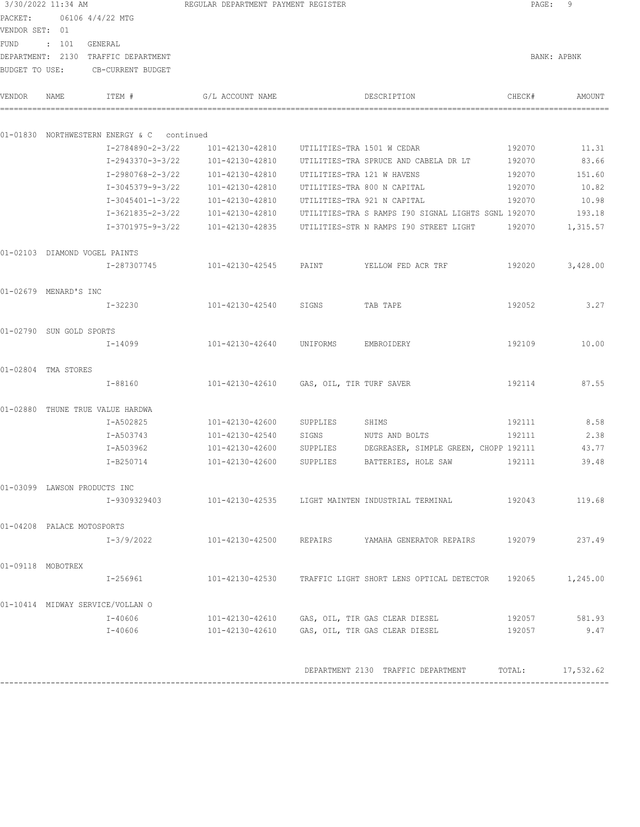|                | 3/30/2022 11:34 AM           |                                               | REGULAR DEPARTMENT PAYMENT REGISTER            |                            |                                                                           | PAGE:<br>9    |             |
|----------------|------------------------------|-----------------------------------------------|------------------------------------------------|----------------------------|---------------------------------------------------------------------------|---------------|-------------|
| PACKET:        |                              | 06106 4/4/22 MTG                              |                                                |                            |                                                                           |               |             |
| VENDOR SET: 01 |                              |                                               |                                                |                            |                                                                           |               |             |
| FUND           | $\therefore$ 101             | GENERAL                                       |                                                |                            |                                                                           |               |             |
|                |                              | DEPARTMENT: 2130 TRAFFIC DEPARTMENT           |                                                |                            |                                                                           |               | BANK: APBNK |
| BUDGET TO USE: |                              | CB-CURRENT BUDGET                             |                                                |                            |                                                                           |               |             |
| VENDOR         | NAME                         | ITEM #                                        | G/L ACCOUNT NAME                               |                            | DESCRIPTION                                                               | CHECK#        | AMOUNT      |
|                |                              | 01-01830 NORTHWESTERN ENERGY & C<br>continued |                                                |                            |                                                                           |               |             |
|                |                              | I-2784890-2-3/22                              | 101-42130-42810                                | UTILITIES-TRA 1501 W CEDAR |                                                                           | 192070        | 11.31       |
|                |                              |                                               | I-2943370-3-3/22    101-42130-42810            |                            | UTILITIES-TRA SPRUCE AND CABELA DR LT                                     | 192070        | 83.66       |
|                |                              |                                               | I-2980768-2-3/22    101-42130-42810            | UTILITIES-TRA 121 W HAVENS |                                                                           | 192070        | 151.60      |
|                |                              |                                               | I-3045379-9-3/22    101-42130-42810            |                            | UTILITIES-TRA 800 N CAPITAL                                               | 192070        | 10.82       |
|                |                              |                                               |                                                |                            | UTILITIES-TRA 921 N CAPITAL                                               | 192070        | 10.98       |
|                |                              |                                               |                                                |                            | UTILITIES-TRA S RAMPS I90 SIGNAL LIGHTS SGNL 192070                       |               | 193.18      |
|                |                              |                                               |                                                |                            | UTILITIES-STR N RAMPS 190 STREET LIGHT                                    | 192070        | 1,315.57    |
|                |                              | 01-02103 DIAMOND VOGEL PAINTS                 |                                                |                            |                                                                           |               |             |
|                |                              | I-287307745                                   | 101-42130-42545 PAINT                          |                            | YELLOW FED ACR TRF                                                        | 192020        | 3,428.00    |
|                | 01-02679 MENARD'S INC        |                                               |                                                |                            |                                                                           |               |             |
|                |                              | I-32230                                       | 101-42130-42540                                | SIGNS                      | TAB TAPE                                                                  | 192052        | 3.27        |
|                | 01-02790 SUN GOLD SPORTS     |                                               |                                                |                            |                                                                           |               |             |
|                |                              | I-14099                                       | 101-42130-42640 UNIFORMS                       |                            | EMBROIDERY                                                                | 192109        | 10.00       |
|                | 01-02804 TMA STORES          |                                               |                                                |                            |                                                                           |               |             |
|                |                              | I-88160                                       | 101-42130-42610                                | GAS, OIL, TIR TURF SAVER   |                                                                           | 192114        | 87.55       |
|                |                              | 01-02880 THUNE TRUE VALUE HARDWA              |                                                |                            |                                                                           |               |             |
|                |                              | I-A502825                                     | 101-42130-42600                                | SUPPLIES                   | SHIMS                                                                     | 192111        | 8.58        |
|                |                              | I-A503743                                     | 101-42130-42540                                | SIGNS                      | NUTS AND BOLTS                                                            | 192111        | 2.38        |
|                |                              | I-A503962                                     | 101-42130-42600                                | SUPPLIES                   | DEGREASER, SIMPLE GREEN, CHOPP 192111                                     |               | 43.77       |
|                |                              | I-B250714                                     | 101-42130-42600                                | SUPPLIES                   | BATTERIES, HOLE SAW                                                       | 192111        | 39.48       |
|                | 01-03099 LAWSON PRODUCTS INC |                                               |                                                |                            |                                                                           |               |             |
|                |                              |                                               |                                                |                            |                                                                           | 192043 119.68 |             |
|                | 01-04208 PALACE MOTOSPORTS   |                                               |                                                |                            |                                                                           |               |             |
|                |                              | I-3/9/2022                                    |                                                |                            | 101-42130-42500 REPAIRS YAMAHA GENERATOR REPAIRS 192079 237.49            |               |             |
|                | 01-09118 MOBOTREX            |                                               |                                                |                            |                                                                           |               |             |
|                |                              | I-256961                                      |                                                |                            | 101-42130-42530 TRAFFIC LIGHT SHORT LENS OPTICAL DETECTOR 192065 1,245.00 |               |             |
|                |                              | 01-10414 MIDWAY SERVICE/VOLLAN O              |                                                |                            |                                                                           |               |             |
|                |                              | I-40606                                       | 101-42130-42610 GAS, OIL, TIR GAS CLEAR DIESEL |                            |                                                                           | 192057        | 581.93      |
|                |                              |                                               |                                                |                            | $I-40606$ $101-42130-42610$ GAS, OIL, TIR GAS CLEAR DIESEL                | 192057        | 9.47        |
|                |                              |                                               |                                                |                            | DEPARTMENT 2130 TRAFFIC DEPARTMENT TOTAL: 17,532.62                       |               |             |
|                |                              |                                               |                                                |                            |                                                                           |               |             |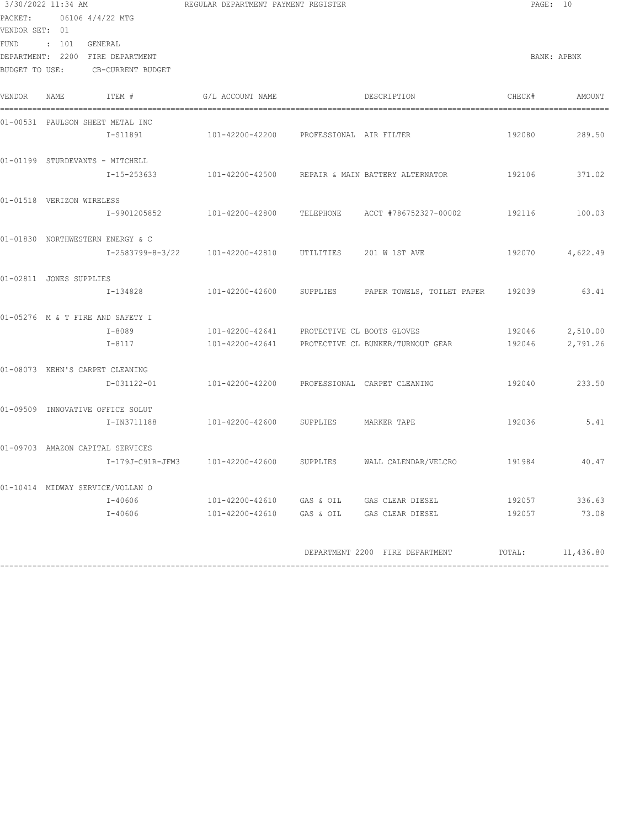|                    | 3/30/2022 11:34 AM<br>PACKET: 06106 4/4/22 MTG                  |                                  | REGULAR DEPARTMENT PAYMENT REGISTER                                                                                        |                                                                            |                                          | PAGE: 10    |
|--------------------|-----------------------------------------------------------------|----------------------------------|----------------------------------------------------------------------------------------------------------------------------|----------------------------------------------------------------------------|------------------------------------------|-------------|
|                    |                                                                 |                                  |                                                                                                                            |                                                                            |                                          |             |
| VENDOR SET: 01     |                                                                 |                                  |                                                                                                                            |                                                                            |                                          |             |
| FUND               | $\therefore$ 101<br>GENERAL<br>DEPARTMENT: 2200 FIRE DEPARTMENT |                                  |                                                                                                                            |                                                                            |                                          | BANK: APBNK |
|                    |                                                                 | BUDGET TO USE: CB-CURRENT BUDGET |                                                                                                                            |                                                                            |                                          |             |
|                    |                                                                 |                                  |                                                                                                                            |                                                                            |                                          |             |
| VENDOR<br>======== | NAME                                                            | ITEM #                           | G/L ACCOUNT NAME                                                                                                           | DESCRIPTION                                                                | CHECK#                                   | AMOUNT      |
|                    | 01-00531 PAULSON SHEET METAL INC                                |                                  |                                                                                                                            |                                                                            |                                          |             |
|                    |                                                                 | I-S11891                         | 101-42200-42200 PROFESSIONAL AIR FILTER                                                                                    |                                                                            | 192080                                   | 289.50      |
|                    | 01-01199 STURDEVANTS - MITCHELL                                 |                                  |                                                                                                                            |                                                                            |                                          |             |
|                    |                                                                 |                                  |                                                                                                                            | I-15-253633 101-42200-42500 REPAIR & MAIN BATTERY ALTERNATOR 192106 371.02 |                                          |             |
|                    | 01-01518 VERIZON WIRELESS                                       |                                  |                                                                                                                            |                                                                            |                                          |             |
|                    |                                                                 |                                  |                                                                                                                            | I-9901205852 101-42200-42800 TELEPHONE ACCT #786752327-00002 192116 100.03 |                                          |             |
|                    | 01-01830 NORTHWESTERN ENERGY & C                                |                                  |                                                                                                                            |                                                                            |                                          |             |
|                    |                                                                 |                                  | I-2583799-8-3/22                101-42200-42810                                UTILITIES                     201 W 1ST AVE |                                                                            | 192070                                   | 4,622.49    |
|                    | 01-02811 JONES SUPPLIES                                         |                                  |                                                                                                                            |                                                                            |                                          |             |
|                    |                                                                 | I-134828                         |                                                                                                                            | 101-42200-42600 SUPPLIES PAPER TOWELS, TOILET PAPER 192039                 |                                          | 63.41       |
|                    | 01-05276 M & T FIRE AND SAFETY I                                |                                  |                                                                                                                            |                                                                            |                                          |             |
|                    |                                                                 | I-8089                           |                                                                                                                            | 101-42200-42641 PROTECTIVE CL BOOTS GLOVES                                 | 192046                                   | 2,510.00    |
|                    |                                                                 | I-8117                           |                                                                                                                            |                                                                            |                                          | 2,791.26    |
|                    | 01-08073 KEHN'S CARPET CLEANING                                 |                                  |                                                                                                                            |                                                                            |                                          |             |
|                    |                                                                 | D-031122-01                      | 101-42200-42200 PROFESSIONAL CARPET CLEANING                                                                               |                                                                            | 192040                                   | 233.50      |
|                    | 01-09509 INNOVATIVE OFFICE SOLUT                                |                                  |                                                                                                                            |                                                                            |                                          |             |
|                    |                                                                 | I-IN3711188                      | 101-42200-42600 SUPPLIES                                                                                                   | MARKER TAPE                                                                | 192036                                   | 5.41        |
|                    | 01-09703 AMAZON CAPITAL SERVICES                                |                                  |                                                                                                                            |                                                                            |                                          |             |
|                    |                                                                 | I-179J-C91R-JFM3                 | 101-42200-42600 SUPPLIES                                                                                                   | WALL CALENDAR/VELCRO                                                       | 191984                                   | 40.47       |
|                    | 01-10414 MIDWAY SERVICE/VOLLAN O                                |                                  |                                                                                                                            |                                                                            |                                          |             |
|                    |                                                                 | I-40606                          | $101-42200-42610$ GAS & OIL GAS CLEAR DIESEL                                                                               |                                                                            | 192057                                   | 336.63      |
|                    |                                                                 |                                  |                                                                                                                            | $I-40606$ $101-42200-42610$ GAS & OIL GAS CLEAR DIESEL                     | 192057 1920                              | 73.08       |
|                    |                                                                 |                                  |                                                                                                                            |                                                                            |                                          |             |
|                    |                                                                 |                                  |                                                                                                                            | DEPARTMENT 2200 FIRE DEPARTMENT                                            | TOTAL:<br>------------------------------ | 11,436.80   |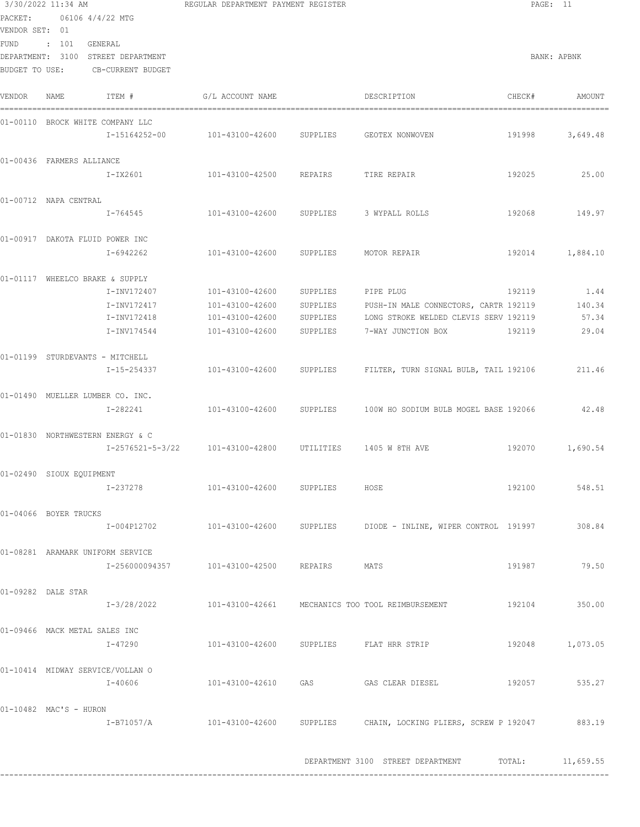|                           | 3/30/2022 11:34 AM |                                    |                                         | REGULAR DEPARTMENT PAYMENT REGISTER |                                                                                  |        | PAGE: 11        |  |
|---------------------------|--------------------|------------------------------------|-----------------------------------------|-------------------------------------|----------------------------------------------------------------------------------|--------|-----------------|--|
| PACKET:<br>VENDOR SET: 01 |                    | 06106 4/4/22 MTG                   |                                         |                                     |                                                                                  |        |                 |  |
| FUND                      | : 101 GENERAL      |                                    |                                         |                                     |                                                                                  |        |                 |  |
|                           |                    | DEPARTMENT: 3100 STREET DEPARTMENT |                                         |                                     |                                                                                  |        | BANK: APBNK     |  |
| BUDGET TO USE:            |                    | CB-CURRENT BUDGET                  |                                         |                                     |                                                                                  |        |                 |  |
| VENDOR                    | NAME               | ITEM #                             | G/L ACCOUNT NAME                        |                                     | DESCRIPTION                                                                      | CHECK# | AMOUNT          |  |
|                           |                    | 01-00110 BROCK WHITE COMPANY LLC   |                                         |                                     |                                                                                  |        |                 |  |
|                           |                    | I-15164252-00                      | 101-43100-42600                         | SUPPLIES                            | GEOTEX NONWOVEN                                                                  | 191998 | 3,649.48        |  |
| 01-00436 FARMERS ALLIANCE |                    |                                    |                                         |                                     |                                                                                  |        |                 |  |
|                           |                    | I-IX2601                           | 101-43100-42500                         | REPAIRS                             | TIRE REPAIR                                                                      | 192025 | 25.00           |  |
| 01-00712 NAPA CENTRAL     |                    |                                    |                                         |                                     |                                                                                  |        |                 |  |
|                           |                    | I-764545                           | 101-43100-42600                         | SUPPLIES 3 WYPALL ROLLS             |                                                                                  | 192068 | 149.97          |  |
|                           |                    | 01-00917 DAKOTA FLUID POWER INC    |                                         |                                     |                                                                                  |        |                 |  |
|                           |                    | $I-6942262$                        | 101-43100-42600                         | SUPPLIES MOTOR REPAIR               |                                                                                  | 192014 | 1,884.10        |  |
|                           |                    | 01-01117 WHEELCO BRAKE & SUPPLY    |                                         |                                     |                                                                                  |        |                 |  |
|                           |                    | I-INV172407                        | 101-43100-42600                         | SUPPLIES                            | PIPE PLUG                                                                        | 192119 | 1.44            |  |
|                           |                    | I-INV172417                        | 101-43100-42600 SUPPLIES                |                                     | PUSH-IN MALE CONNECTORS, CARTR 192119                                            |        | 140.34          |  |
|                           |                    | I-INV172418                        |                                         |                                     | 101-43100-42600 SUPPLIES LONG STROKE WELDED CLEVIS SERV 192119                   |        | 57.34           |  |
|                           |                    | I-INV174544                        | 101-43100-42600 SUPPLIES                |                                     | 7-WAY JUNCTION BOX                                                               | 192119 | 29.04           |  |
|                           |                    | 01-01199 STURDEVANTS - MITCHELL    |                                         |                                     |                                                                                  |        |                 |  |
|                           |                    | I-15-254337                        | 101-43100-42600                         |                                     | SUPPLIES FILTER, TURN SIGNAL BULB, TAIL 192106                                   |        | 211.46          |  |
|                           |                    | 01-01490 MUELLER LUMBER CO. INC.   |                                         |                                     |                                                                                  |        |                 |  |
|                           |                    | I-282241                           | 101-43100-42600                         |                                     | SUPPLIES 100W HO SODIUM BULB MOGEL BASE 192066                                   |        | 42.48           |  |
|                           |                    | 01-01830 NORTHWESTERN ENERGY & C   |                                         |                                     |                                                                                  |        |                 |  |
|                           |                    | I-2576521-5-3/22                   | 101-43100-42800                         | UTILITIES                           | 1405 W 8TH AVE                                                                   | 192070 | 1,690.54        |  |
| 01-02490 SIOUX EQUIPMENT  |                    |                                    |                                         |                                     |                                                                                  |        |                 |  |
|                           |                    |                                    |                                         |                                     |                                                                                  | 192100 | 548.51          |  |
| 01-04066 BOYER TRUCKS     |                    |                                    |                                         |                                     |                                                                                  |        |                 |  |
|                           |                    |                                    |                                         |                                     | I-004P12702 101-43100-42600 SUPPLIES DIODE - INLINE, WIPER CONTROL 191997 308.84 |        |                 |  |
|                           |                    | 01-08281 ARAMARK UNIFORM SERVICE   |                                         |                                     |                                                                                  |        |                 |  |
|                           |                    |                                    |                                         |                                     |                                                                                  |        | 191987 79.50    |  |
| 01-09282 DALE STAR        |                    |                                    |                                         |                                     |                                                                                  |        |                 |  |
|                           |                    |                                    |                                         |                                     | I-3/28/2022  101-43100-42661  MECHANICS TOO TOOL REIMBURSEMENT                   |        | 192104 350.00   |  |
|                           |                    | 01-09466 MACK METAL SALES INC      |                                         |                                     |                                                                                  |        |                 |  |
|                           |                    | I-47290                            | 101-43100-42600 SUPPLIES FLAT HRR STRIP |                                     |                                                                                  |        | 192048 1,073.05 |  |
|                           |                    | 01-10414 MIDWAY SERVICE/VOLLAN O   |                                         |                                     |                                                                                  |        |                 |  |
|                           |                    | I-40606                            | 101-43100-42610 GAS                     |                                     | GAS CLEAR DIESEL                                                                 |        | 192057 535.27   |  |
| 01-10482 MAC'S - HURON    |                    |                                    |                                         |                                     |                                                                                  |        |                 |  |
|                           |                    |                                    |                                         |                                     | I-B71057/A 101-43100-42600 SUPPLIES CHAIN, LOCKING PLIERS, SCREW P 192047 883.19 |        |                 |  |
|                           |                    |                                    |                                         |                                     |                                                                                  |        |                 |  |
|                           |                    |                                    |                                         |                                     | DEPARTMENT 3100 STREET DEPARTMENT TOTAL: 11,659.55                               |        |                 |  |
|                           |                    |                                    |                                         |                                     |                                                                                  |        |                 |  |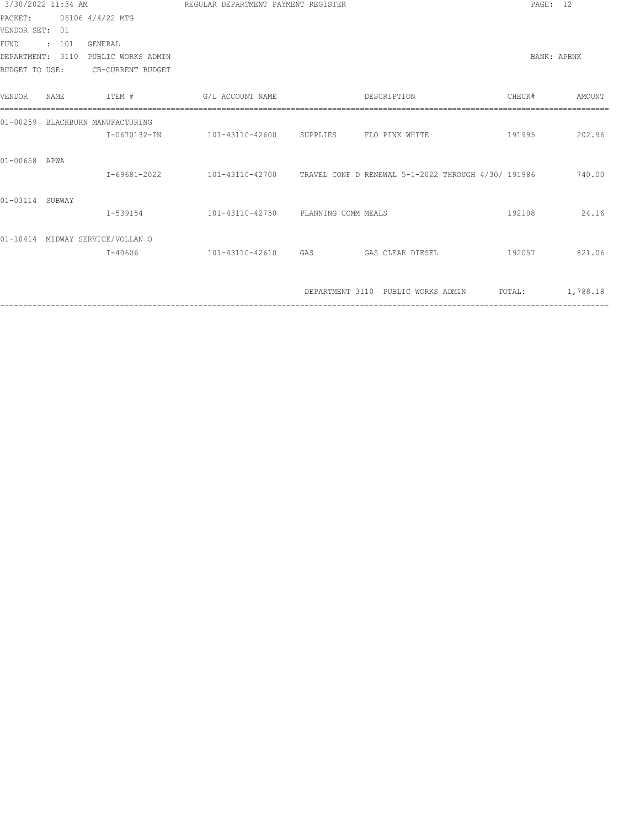| 3/30/2022 11:34 AM |             |                         | REGULAR DEPARTMENT PAYMENT REGISTER                                 |     |                                    |        | PAGE: 12    |
|--------------------|-------------|-------------------------|---------------------------------------------------------------------|-----|------------------------------------|--------|-------------|
| PACKET:            |             | 06106 4/4/22 MTG        |                                                                     |     |                                    |        |             |
| VENDOR SET: 01     |             |                         |                                                                     |     |                                    |        |             |
| <b>FUND</b>        | : 101       | GENERAL                 |                                                                     |     |                                    |        |             |
| DEPARTMENT:        | 3110        | PUBLIC WORKS ADMIN      |                                                                     |     |                                    |        | BANK: APBNK |
| BUDGET TO USE:     |             | CB-CURRENT BUDGET       |                                                                     |     |                                    |        |             |
| <b>VENDOR</b>      | <b>NAME</b> | ITEM #                  | G/L ACCOUNT NAME                                                    |     | DESCRIPTION                        | CHECK# | AMOUNT      |
| $01 - 00259$       |             | BLACKBURN MANUFACTURING |                                                                     |     |                                    |        |             |
|                    |             | I-0670132-IN            | 101-43110-42600 SUPPLIES                                            |     | FLO PINK WHITE                     | 191995 | 202.96      |
| 01-00658 APWA      |             |                         |                                                                     |     |                                    |        |             |
|                    |             | $I-69681-2022$          | 101-43110-42700 TRAVEL CONF D RENEWAL 5-1-2022 THROUGH 4/30/ 191986 |     |                                    |        | 740.00      |
| $01 - 03114$       | SUBWAY      |                         |                                                                     |     |                                    |        |             |
|                    |             | I-539154                | 101-43110-42750 PLANNING COMM MEALS                                 |     |                                    | 192108 | 24.16       |
| $01 - 10414$       |             | MIDWAY SERVICE/VOLLAN O |                                                                     |     |                                    |        |             |
|                    |             | $I - 40606$             | 101-43110-42610                                                     | GAS | GAS CLEAR DIESEL                   | 192057 | 821.06      |
|                    |             |                         |                                                                     |     |                                    |        |             |
|                    |             |                         |                                                                     |     | DEPARTMENT 3110 PUBLIC WORKS ADMIN | TOTAL: | 1,788.18    |
|                    |             |                         |                                                                     |     |                                    |        |             |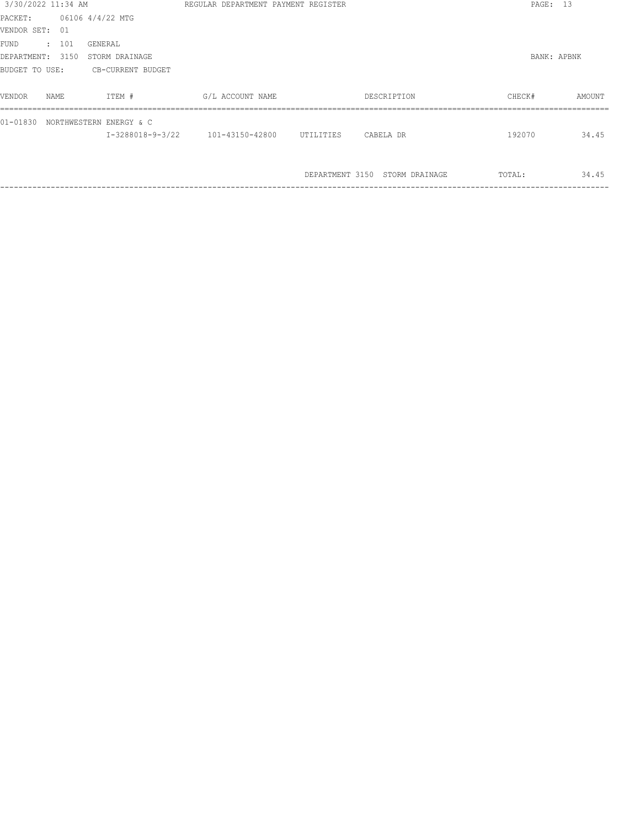| 3/30/2022 11:34 AM |       |                         | REGULAR DEPARTMENT PAYMENT REGISTER |           |                                | PAGE: 13    |        |
|--------------------|-------|-------------------------|-------------------------------------|-----------|--------------------------------|-------------|--------|
| PACKET:            |       | 06106 4/4/22 MTG        |                                     |           |                                |             |        |
| VENDOR SET: 01     |       |                         |                                     |           |                                |             |        |
| FUND               | : 101 | GENERAL                 |                                     |           |                                |             |        |
| DEPARTMENT:        | 3150  | STORM DRAINAGE          |                                     |           |                                | BANK: APBNK |        |
| BUDGET TO USE:     |       | CB-CURRENT BUDGET       |                                     |           |                                |             |        |
|                    |       |                         |                                     |           |                                |             |        |
| VENDOR             | NAME  | ITEM #                  | G/L ACCOUNT NAME                    |           | DESCRIPTION                    | CHECK#      | AMOUNT |
| $01 - 01830$       |       | NORTHWESTERN ENERGY & C |                                     |           |                                |             |        |
|                    |       |                         | I-3288018-9-3/22    101-43150-42800 | UTILITIES | CABELA DR                      | 192070      | 34.45  |
|                    |       |                         |                                     |           |                                |             |        |
|                    |       |                         |                                     |           | DEPARTMENT 3150 STORM DRAINAGE | TOTAL:      | 34.45  |
|                    |       |                         |                                     |           |                                |             |        |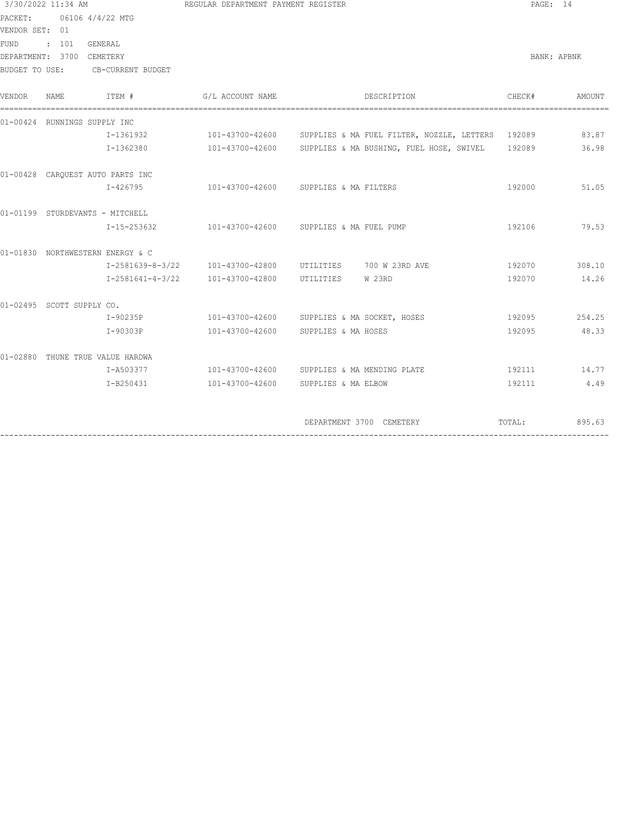|                | 3/30/2022 11:34 AM<br>06106 4/4/22 MTG |                                  | REGULAR DEPARTMENT PAYMENT REGISTER | PAGE: 14                                                          |               |               |
|----------------|----------------------------------------|----------------------------------|-------------------------------------|-------------------------------------------------------------------|---------------|---------------|
| PACKET:        |                                        |                                  |                                     |                                                                   |               |               |
| VENDOR SET: 01 |                                        |                                  |                                     |                                                                   |               |               |
| FUND           | : 101 GENERAL                          |                                  |                                     |                                                                   |               |               |
|                | DEPARTMENT: 3700 CEMETERY              |                                  |                                     |                                                                   |               | BANK: APBNK   |
|                |                                        | BUDGET TO USE: CB-CURRENT BUDGET |                                     |                                                                   |               |               |
| VENDOR         | NAME                                   | ITEM #                           | G/L ACCOUNT NAME                    | DESCRIPTION                                                       | CHECK#        | AMOUNT        |
|                | 01-00424 RUNNINGS SUPPLY INC           |                                  |                                     |                                                                   |               |               |
|                |                                        | I-1361932                        |                                     | 101-43700-42600 SUPPLIES & MA FUEL FILTER, NOZZLE, LETTERS 192089 |               | 83.87         |
|                |                                        | I-1362380                        |                                     | 101-43700-42600 SUPPLIES & MA BUSHING, FUEL HOSE, SWIVEL 192089   |               | 36.98         |
|                |                                        | 01-00428 CARQUEST AUTO PARTS INC |                                     |                                                                   |               |               |
|                |                                        | I-426795                         |                                     | 101-43700-42600 SUPPLIES & MA FILTERS                             | 192000        | 51.05         |
|                | 01-01199 STURDEVANTS - MITCHELL        |                                  |                                     |                                                                   |               |               |
|                |                                        | I-15-253632                      |                                     | 101-43700-42600 SUPPLIES & MA FUEL PUMP                           | 192106        | 79.53         |
|                |                                        | 01-01830 NORTHWESTERN ENERGY & C |                                     |                                                                   |               |               |
|                |                                        |                                  |                                     |                                                                   | 192070        | 308.10        |
|                |                                        |                                  |                                     |                                                                   | 192070        | 14.26         |
|                | 01-02495 SCOTT SUPPLY CO.              |                                  |                                     |                                                                   |               |               |
|                |                                        |                                  |                                     |                                                                   |               | 192095 254.25 |
|                |                                        | I-90303P                         |                                     | 101-43700-42600 SUPPLIES & MA HOSES                               | 192095        | 48.33         |
|                |                                        | 01-02880 THUNE TRUE VALUE HARDWA |                                     |                                                                   |               |               |
|                |                                        |                                  |                                     | I-A503377 101-43700-42600 SUPPLIES & MA MENDING PLATE             | 192111        | 14.77         |
|                |                                        | I-B250431                        |                                     | 101-43700-42600 SUPPLIES & MA ELBOW                               | 192111        | 4.49          |
|                |                                        |                                  |                                     | DEPARTMENT 3700 CEMETERY                                          | TOTAL: 895.63 |               |

------------------------------------------------------------------------------------------------------------------------------------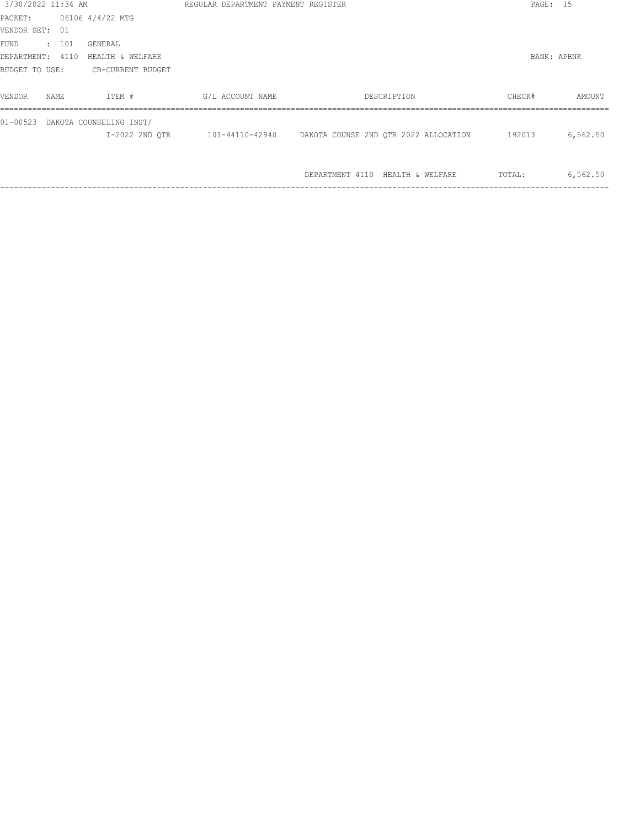| 3/30/2022 11:34 AM |       |                         | REGULAR DEPARTMENT PAYMENT REGISTER |                                                       | PAGE: 15    |          |
|--------------------|-------|-------------------------|-------------------------------------|-------------------------------------------------------|-------------|----------|
| PACKET:            |       | 06106 4/4/22 MTG        |                                     |                                                       |             |          |
| VENDOR SET: 01     |       |                         |                                     |                                                       |             |          |
| FUND               | : 101 | GENERAL                 |                                     |                                                       |             |          |
| DEPARTMENT: 4110   |       | HEALTH & WELFARE        |                                     |                                                       | BANK: APBNK |          |
| BUDGET TO USE:     |       | CB-CURRENT BUDGET       |                                     |                                                       |             |          |
|                    |       |                         |                                     |                                                       |             |          |
| VENDOR             | NAME  | ITEM #                  | G/L ACCOUNT NAME                    | DESCRIPTION                                           | CHECK#      | AMOUNT   |
| $01 - 00523$       |       | DAKOTA COUNSELING INST/ |                                     |                                                       |             |          |
|                    |       | I-2022 2ND OTR          |                                     | 101-44110-42940 DAKOTA COUNSE 2ND QTR 2022 ALLOCATION | 192013      | 6,562.50 |
|                    |       |                         |                                     |                                                       |             |          |
|                    |       |                         |                                     | DEPARTMENT 4110 HEALTH & WELFARE                      | TOTAL:      | 6,562.50 |
|                    |       |                         |                                     |                                                       |             |          |
|                    |       |                         |                                     |                                                       |             |          |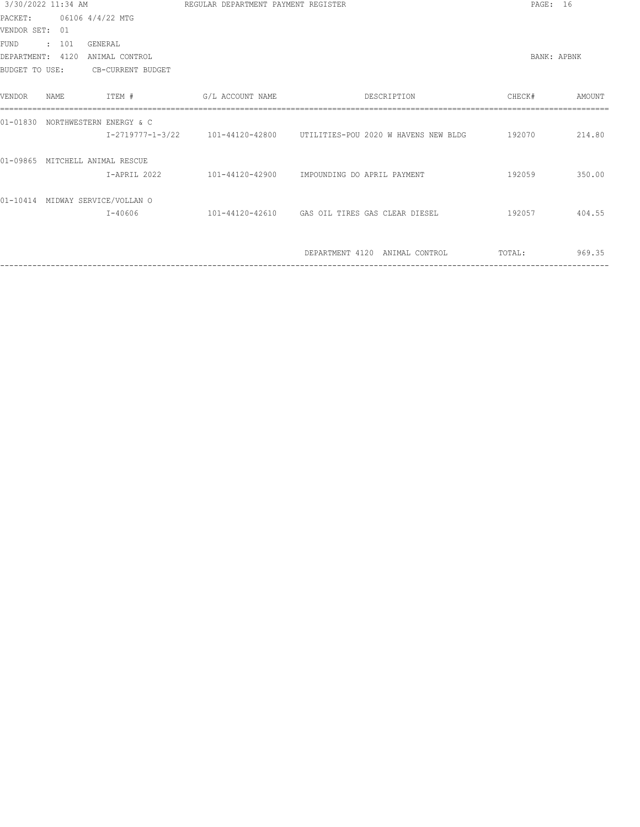|                  | 3/30/2022 11:34 AM |                                  | REGULAR DEPARTMENT PAYMENT REGISTER |                                                                      | PAGE: 16 |             |
|------------------|--------------------|----------------------------------|-------------------------------------|----------------------------------------------------------------------|----------|-------------|
| PACKET:          |                    | 06106 4/4/22 MTG                 |                                     |                                                                      |          |             |
| VENDOR SET: 01   |                    |                                  |                                     |                                                                      |          |             |
| <b>FUND</b>      | : 101              | GENERAL                          |                                     |                                                                      |          |             |
| DEPARTMENT: 4120 |                    | ANIMAL CONTROL                   |                                     |                                                                      |          | BANK: APBNK |
| BUDGET TO USE:   |                    | CB-CURRENT BUDGET                |                                     |                                                                      |          |             |
| VENDOR           | NAME               | ITEM #                           | G/L ACCOUNT NAME                    | DESCRIPTION                                                          | CHECK#   | AMOUNT      |
| $01 - 01830$     |                    | NORTHWESTERN ENERGY & C          |                                     |                                                                      |          |             |
|                  |                    |                                  |                                     | I-2719777-1-3/22 101-44120-42800 UTILITIES-POU 2020 WHAVENS NEW BLDG | 192070   | 214.80      |
| $01 - 09865$     |                    | MITCHELL ANIMAL RESCUE           |                                     |                                                                      |          |             |
|                  |                    | I-APRIL 2022                     |                                     | 101-44120-42900 IMPOUNDING DO APRIL PAYMENT                          | 192059   | 350.00      |
|                  |                    | 01-10414 MIDWAY SERVICE/VOLLAN O |                                     |                                                                      |          |             |
|                  |                    | $I - 40606$                      |                                     | 101-44120-42610 GAS OIL TIRES GAS CLEAR DIESEL                       | 192057   | 404.55      |
|                  |                    |                                  |                                     |                                                                      |          |             |
|                  |                    |                                  |                                     | DEPARTMENT 4120 ANIMAL CONTROL                                       | TOTAL:   | 969.35      |
|                  |                    |                                  |                                     |                                                                      |          |             |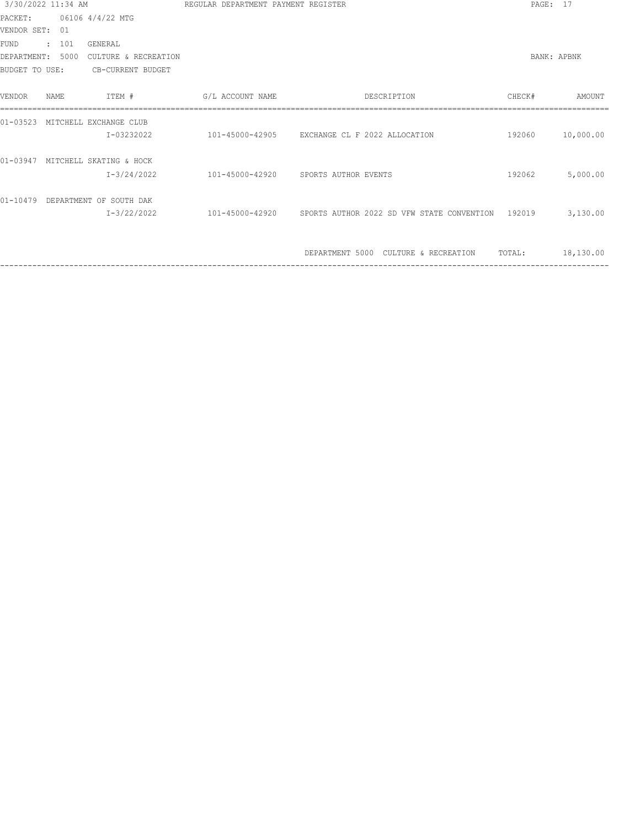| 3/30/2022 11:34 AM                                   | REGULAR DEPARTMENT PAYMENT REGISTER  |                                                                   | PAGE: 17    |           |
|------------------------------------------------------|--------------------------------------|-------------------------------------------------------------------|-------------|-----------|
| 06106 4/4/22 MTG<br>PACKET:                          |                                      |                                                                   |             |           |
| VENDOR SET:<br>01                                    |                                      |                                                                   |             |           |
| <b>FUND</b><br>101<br><b>GENERAL</b><br>$\mathbf{r}$ |                                      |                                                                   |             |           |
| 5000<br>CULTURE & RECREATION<br>DEPARTMENT:          |                                      |                                                                   | BANK: APBNK |           |
| CB-CURRENT BUDGET<br>BUDGET TO USE:                  |                                      |                                                                   |             |           |
| ITEM #<br>VENDOR<br>NAME                             | G/L ACCOUNT NAME                     | DESCRIPTION                                                       | CHECK#      | AMOUNT    |
| $01 - 03523$<br>MITCHELL EXCHANGE CLUB               |                                      |                                                                   |             |           |
| I-03232022                                           |                                      | 101-45000-42905 EXCHANGE CL F 2022 ALLOCATION                     | 192060      | 10,000.00 |
| $01 - 03947$<br>MITCHELL SKATING & HOCK              |                                      |                                                                   |             |           |
| $I-3/24/2022$                                        | 101-45000-42920 SPORTS AUTHOR EVENTS |                                                                   | 192062      | 5,000.00  |
| $01 - 10479$<br>DEPARTMENT OF SOUTH DAK              |                                      |                                                                   |             |           |
| $I-3/22/2022$                                        |                                      | 101-45000-42920 SPORTS AUTHOR 2022 SD VFW STATE CONVENTION 192019 |             | 3,130.00  |
|                                                      |                                      |                                                                   |             |           |
|                                                      |                                      | DEPARTMENT 5000 CULTURE & RECREATION                              | TOTAL:      | 18,130.00 |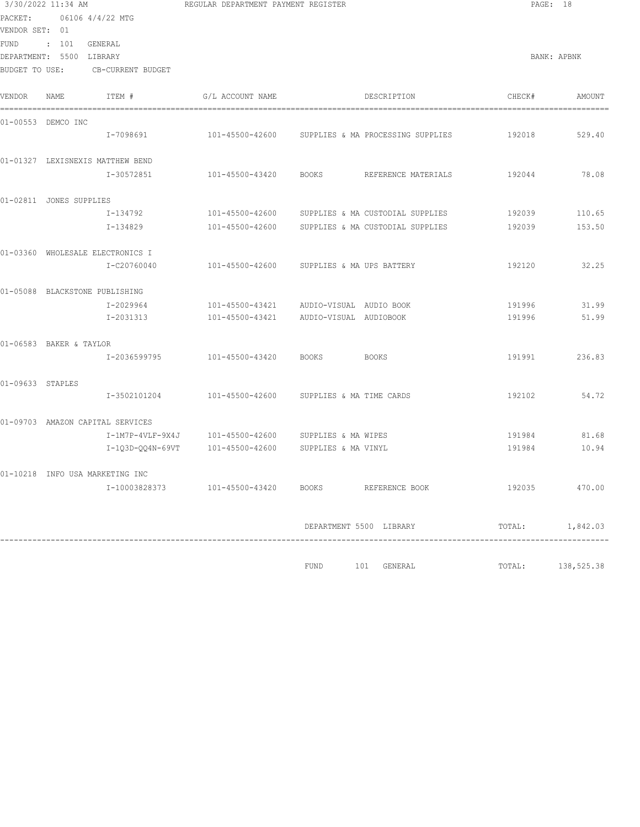|                  | 3/30/2022 11:34 AM       |                                  | REGULAR DEPARTMENT PAYMENT REGISTER |                           |                                   |        | PAGE: 18      |
|------------------|--------------------------|----------------------------------|-------------------------------------|---------------------------|-----------------------------------|--------|---------------|
| PACKET:          |                          | 06106 4/4/22 MTG                 |                                     |                           |                                   |        |               |
| VENDOR SET: 01   |                          |                                  |                                     |                           |                                   |        |               |
| FUND             | $\therefore$ 101         | GENERAL                          |                                     |                           |                                   |        |               |
|                  | DEPARTMENT: 5500 LIBRARY |                                  |                                     |                           |                                   |        | BANK: APBNK   |
| BUDGET TO USE:   |                          | CB-CURRENT BUDGET                |                                     |                           |                                   |        |               |
| VENDOR           | NAME                     | ITEM #                           | G/L ACCOUNT NAME                    |                           | DESCRIPTION                       | CHECK# | AMOUNT        |
|                  | 01-00553 DEMCO INC       |                                  |                                     |                           |                                   |        |               |
|                  |                          | I-7098691                        | 101-45500-42600                     |                           | SUPPLIES & MA PROCESSING SUPPLIES | 192018 | 529.40        |
|                  |                          | 01-01327 LEXISNEXIS MATTHEW BEND |                                     |                           |                                   |        |               |
|                  |                          | I-30572851                       | 101-45500-43420 BOOKS               |                           | REFERENCE MATERIALS               | 192044 | 78.08         |
|                  | 01-02811 JONES SUPPLIES  |                                  |                                     |                           |                                   |        |               |
|                  |                          | I-134792                         | 101-45500-42600                     |                           | SUPPLIES & MA CUSTODIAL SUPPLIES  | 192039 | 110.65        |
|                  |                          | I-134829                         | 101-45500-42600                     |                           | SUPPLIES & MA CUSTODIAL SUPPLIES  | 192039 | 153.50        |
|                  |                          | 01-03360 WHOLESALE ELECTRONICS I |                                     |                           |                                   |        |               |
|                  |                          | I-C20760040                      | 101-45500-42600                     | SUPPLIES & MA UPS BATTERY |                                   | 192120 | 32.25         |
|                  |                          | 01-05088 BLACKSTONE PUBLISHING   |                                     |                           |                                   |        |               |
|                  |                          | I-2029964                        | 101-45500-43421                     | AUDIO-VISUAL AUDIO BOOK   |                                   | 191996 | 31.99         |
|                  |                          | I-2031313                        | 101-45500-43421                     | AUDIO-VISUAL AUDIOBOOK    |                                   | 191996 | 51.99         |
|                  | 01-06583 BAKER & TAYLOR  |                                  |                                     |                           |                                   |        |               |
|                  |                          | I-2036599795                     | 101-45500-43420                     | BOOKS                     | BOOKS                             | 191991 | 236.83        |
| 01-09633 STAPLES |                          |                                  |                                     |                           |                                   |        |               |
|                  |                          | I-3502101204                     | 101-45500-42600                     | SUPPLIES & MA TIME CARDS  |                                   | 192102 | 54.72         |
|                  |                          | 01-09703 AMAZON CAPITAL SERVICES |                                     |                           |                                   |        |               |
|                  |                          |                                  | I-1M7P-4VLF-9X4J 101-45500-42600    | SUPPLIES & MA WIPES       |                                   | 191984 | 81.68         |
|                  |                          |                                  | I-1Q3D-QQ4N-69VT 101-45500-42600    | SUPPLIES & MA VINYL       |                                   | 191984 | 10.94         |
|                  |                          | 01-10218 INFO USA MARKETING INC  |                                     |                           |                                   |        |               |
|                  |                          |                                  |                                     |                           |                                   |        | 192035 470.00 |
|                  |                          |                                  |                                     |                           | DEPARTMENT 5500 LIBRARY           | TOTAL: | 1,842.03      |
|                  |                          |                                  |                                     | FUND                      | 101 GENERAL                       | TOTAL: | 138,525.38    |
|                  |                          |                                  |                                     |                           |                                   |        |               |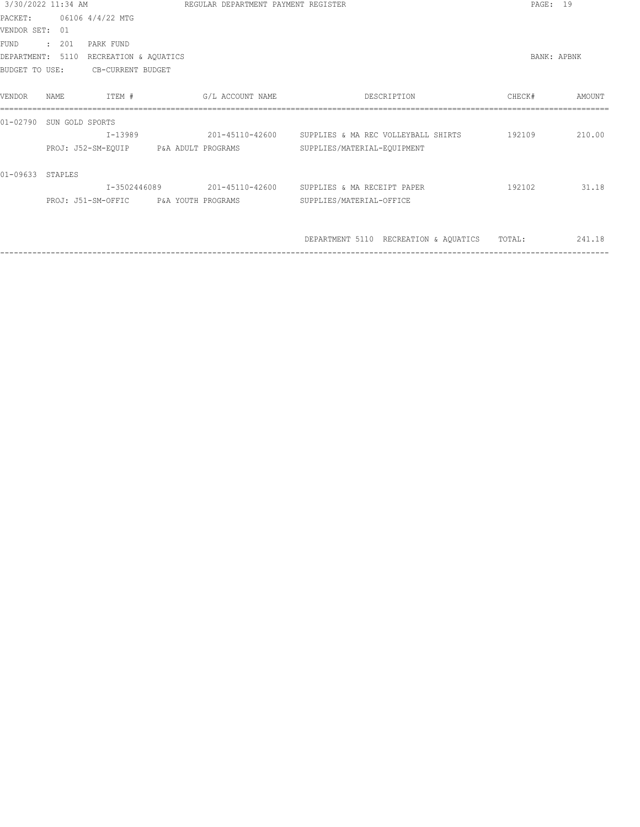|                | 3/30/2022 11:34 AM |                                        | REGULAR DEPARTMENT PAYMENT REGISTER |                                             |                                                     | PAGE: 19           |        |
|----------------|--------------------|----------------------------------------|-------------------------------------|---------------------------------------------|-----------------------------------------------------|--------------------|--------|
| PACKET:        |                    | 06106 4/4/22 MTG                       |                                     |                                             |                                                     |                    |        |
| VENDOR SET: 01 |                    |                                        |                                     |                                             |                                                     |                    |        |
| <b>FUND</b>    | : 201              | PARK FUND                              |                                     |                                             |                                                     |                    |        |
|                |                    | DEPARTMENT: 5110 RECREATION & AQUATICS |                                     |                                             |                                                     | <b>BANK: APBNK</b> |        |
| BUDGET TO USE: |                    | CB-CURRENT BUDGET                      |                                     |                                             |                                                     |                    |        |
| VENDOR         | NAME               | ITEM #                                 | G/L ACCOUNT NAME                    |                                             | DESCRIPTION                                         | CHECK#             | AMOUNT |
| 01-02790       | SUN GOLD SPORTS    |                                        |                                     |                                             |                                                     |                    |        |
|                |                    | $I-13989$                              |                                     |                                             | 201-45110-42600 SUPPLIES & MA REC VOLLEYBALL SHIRTS | 192109             | 210.00 |
|                |                    | PROJ: J52-SM-EOUIP P&A ADULT PROGRAMS  |                                     | SUPPLIES/MATERIAL-EQUIPMENT                 |                                                     |                    |        |
| $01 - 09633$   | STAPLES            |                                        |                                     |                                             |                                                     |                    |        |
|                |                    | I-3502446089                           |                                     | 201-45110-42600 SUPPLIES & MA RECEIPT PAPER |                                                     | 192102             | 31.18  |
|                |                    | PROJ: J51-SM-OFFIC P&A YOUTH PROGRAMS  |                                     | SUPPLIES/MATERIAL-OFFICE                    |                                                     |                    |        |
|                |                    |                                        |                                     |                                             |                                                     |                    |        |
|                |                    |                                        |                                     |                                             | DEPARTMENT 5110 RECREATION & AQUATICS               | TOTAL:             | 241.18 |
|                |                    |                                        |                                     |                                             |                                                     |                    |        |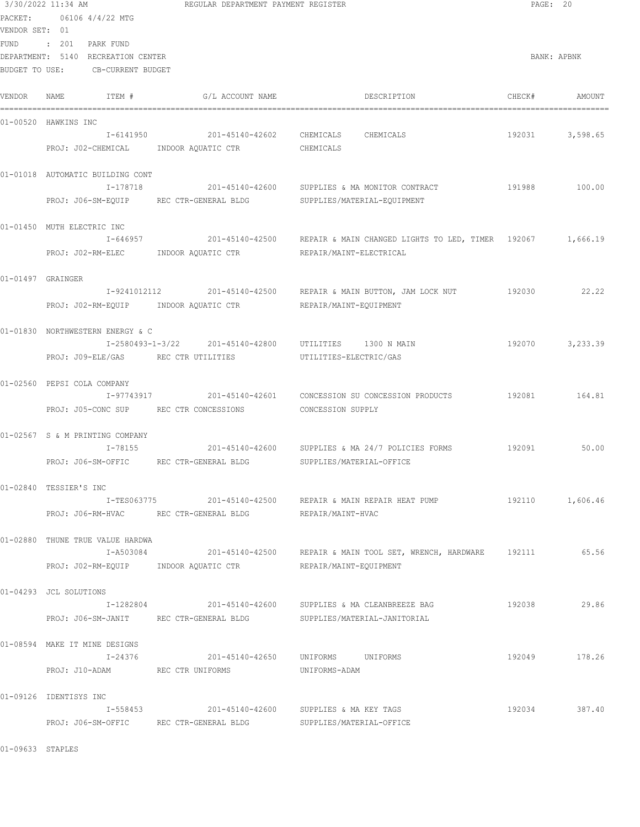|                           | 3/30/2022 11:34 AM                 | REGULAR DEPARTMENT PAYMENT REGISTER                                  |                                                                                     |        | PAGE: 20        |
|---------------------------|------------------------------------|----------------------------------------------------------------------|-------------------------------------------------------------------------------------|--------|-----------------|
| PACKET:<br>VENDOR SET: 01 | 06106 4/4/22 MTG                   |                                                                      |                                                                                     |        |                 |
| FUND                      | : 201 PARK FUND                    |                                                                      |                                                                                     |        |                 |
|                           | DEPARTMENT: 5140 RECREATION CENTER |                                                                      |                                                                                     |        | BANK: APBNK     |
|                           | BUDGET TO USE: CB-CURRENT BUDGET   |                                                                      |                                                                                     |        |                 |
| VENDOR                    | ITEM #<br>NAME                     | G/L ACCOUNT NAME                                                     | DESCRIPTION                                                                         | CHECK# | AMOUNT          |
|                           | 01-00520 HAWKINS INC               |                                                                      |                                                                                     |        |                 |
|                           |                                    | I-6141950 201-45140-42602 CHEMICALS CHEMICALS                        |                                                                                     |        | 192031 3,598.65 |
|                           |                                    | PROJ: J02-CHEMICAL INDOOR AQUATIC CTR CHEMICALS                      |                                                                                     |        |                 |
|                           | 01-01018 AUTOMATIC BUILDING CONT   |                                                                      |                                                                                     |        |                 |
|                           |                                    |                                                                      | I-178718 201-45140-42600 SUPPLIES & MA MONITOR CONTRACT 191988 100.00               |        |                 |
|                           |                                    | PROJ: J06-SM-EQUIP REC CTR-GENERAL BLDG SUPPLIES/MATERIAL-EQUIPMENT  |                                                                                     |        |                 |
|                           | 01-01450 MUTH ELECTRIC INC         |                                                                      |                                                                                     |        |                 |
|                           |                                    |                                                                      | I-646957 201-45140-42500 REPAIR & MAIN CHANGED LIGHTS TO LED, TIMER 192067 1,666.19 |        |                 |
|                           |                                    |                                                                      |                                                                                     |        |                 |
|                           | 01-01497 GRAINGER                  |                                                                      |                                                                                     |        |                 |
|                           |                                    |                                                                      | I-9241012112 201-45140-42500 REPAIR & MAIN BUTTON, JAM LOCK NUT 192030 22.22        |        |                 |
|                           |                                    | PROJ: J02-RM-EQUIP 1NDOOR AQUATIC CTR REPAIR/MAINT-EQUIPMENT         |                                                                                     |        |                 |
|                           | 01-01830 NORTHWESTERN ENERGY & C   |                                                                      |                                                                                     |        |                 |
|                           |                                    |                                                                      |                                                                                     | 192070 | 3,233.39        |
|                           |                                    | PROJ: J09-ELE/GAS REC CTR UTILITIES VTILITIES-ELECTRIC/GAS           |                                                                                     |        |                 |
|                           | 01-02560 PEPSI COLA COMPANY        |                                                                      |                                                                                     |        |                 |
|                           |                                    |                                                                      | I-97743917 201-45140-42601 CONCESSION SU CONCESSION PRODUCTS 192081 164.81          |        |                 |
|                           |                                    | PROJ: J05-CONC SUP REC CTR CONCESSIONS CONCESSION SUPPLY             |                                                                                     |        |                 |
|                           | 01-02567 S & M PRINTING COMPANY    |                                                                      |                                                                                     |        |                 |
|                           |                                    |                                                                      | I-78155 201-45140-42600 SUPPLIES & MA 24/7 POLICIES FORMS 192091 50.00              |        |                 |
|                           |                                    | PROJ: J06-SM-OFFIC REC CTR-GENERAL BLDG SUPPLIES/MATERIAL-OFFICE     |                                                                                     |        |                 |
|                           | 01-02840 TESSIER'S INC             |                                                                      |                                                                                     |        |                 |
|                           |                                    |                                                                      | I-TES063775 201-45140-42500 REPAIR & MAIN REPAIR HEAT PUMP 192110 1,606.46          |        |                 |
|                           |                                    | PROJ: J06-RM-HVAC REC CTR-GENERAL BLDG REPAIR/MAINT-HVAC             |                                                                                     |        |                 |
|                           | 01-02880 THUNE TRUE VALUE HARDWA   |                                                                      |                                                                                     |        |                 |
|                           |                                    |                                                                      | I-A503084 201-45140-42500 REPAIR & MAIN TOOL SET, WRENCH, HARDWARE 192111 65.56     |        |                 |
|                           |                                    | PROJ: J02-RM-EQUIP  INDOOR AQUATIC CTR  REPAIR/MAINT-EQUIPMENT       |                                                                                     |        |                 |
|                           | 01-04293 JCL SOLUTIONS             |                                                                      |                                                                                     |        |                 |
|                           |                                    |                                                                      | I-1282804 201-45140-42600 SUPPLIES & MA CLEANBREEZE BAG                             |        | 192038 29.86    |
|                           |                                    | PROJ: J06-SM-JANIT REC CTR-GENERAL BLDG SUPPLIES/MATERIAL-JANITORIAL |                                                                                     |        |                 |
|                           | 01-08594 MAKE IT MINE DESIGNS      |                                                                      |                                                                                     |        |                 |
|                           |                                    |                                                                      |                                                                                     |        | 192049 178.26   |
|                           |                                    | PROJ: J10-ADAM REC CTR UNIFORMS UNIFORMS-ADAM                        |                                                                                     |        |                 |
|                           | 01-09126 IDENTISYS INC             |                                                                      |                                                                                     |        |                 |
|                           |                                    | I-558453 201-45140-42600 SUPPLIES & MA KEY TAGS                      |                                                                                     |        | 192034 387.40   |
|                           |                                    | PROJ: J06-SM-OFFIC REC CTR-GENERAL BLDG SUPPLIES/MATERIAL-OFFICE     |                                                                                     |        |                 |

01-09633 STAPLES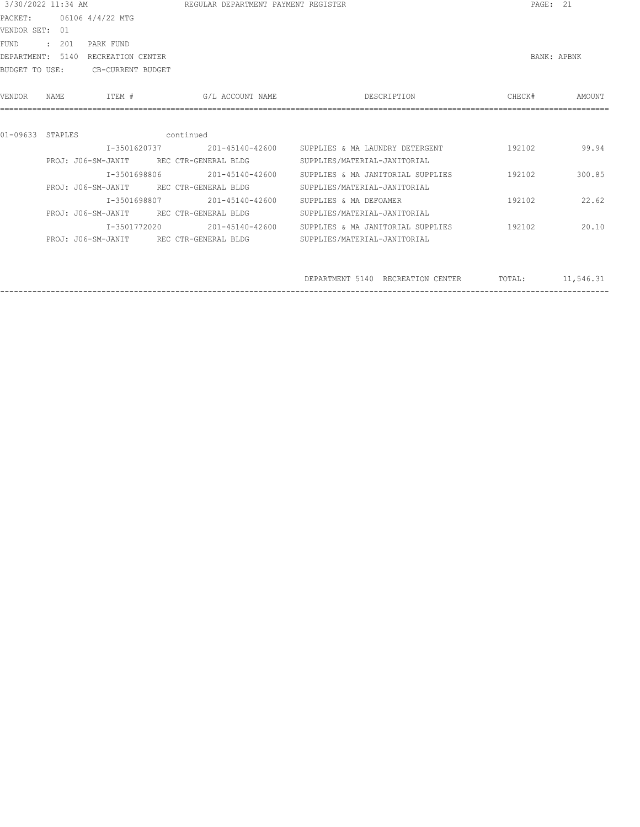| 3/30/2022 11:34 AM |       |                                    |           | REGULAR DEPARTMENT PAYMENT REGISTER                                  |                                   |                                   | PAGE: 21    |           |
|--------------------|-------|------------------------------------|-----------|----------------------------------------------------------------------|-----------------------------------|-----------------------------------|-------------|-----------|
|                    |       | PACKET: 06106 4/4/22 MTG           |           |                                                                      |                                   |                                   |             |           |
| VENDOR SET: 01     |       |                                    |           |                                                                      |                                   |                                   |             |           |
| <b>FUND</b>        | : 201 | PARK FUND                          |           |                                                                      |                                   |                                   |             |           |
|                    |       | DEPARTMENT: 5140 RECREATION CENTER |           |                                                                      |                                   |                                   | BANK: APBNK |           |
|                    |       | BUDGET TO USE: CB-CURRENT BUDGET   |           |                                                                      |                                   |                                   |             |           |
| VENDOR             | NAME. | TTEM #                             |           | G/L ACCOUNT NAME                                                     |                                   | DESCRIPTION                       | CHECK#      | AMOUNT    |
|                    |       |                                    |           |                                                                      |                                   |                                   |             |           |
| 01-09633 STAPLES   |       |                                    | continued |                                                                      |                                   |                                   |             |           |
|                    |       |                                    |           | I-3501620737 201-45140-42600 SUPPLIES & MA LAUNDRY DETERGENT         |                                   |                                   | 192102      | 99.94     |
|                    |       |                                    |           | PROJ: J06-SM-JANIT REC CTR-GENERAL BLDG                              | SUPPLIES/MATERIAL-JANITORIAL      |                                   |             |           |
|                    |       | T-3501698806                       |           | 201-45140-42600                                                      | SUPPLIES & MA JANITORIAL SUPPLIES |                                   | 192102      | 300.85    |
|                    |       |                                    |           | PROJ: J06-SM-JANIT REC CTR-GENERAL BLDG                              | SUPPLIES/MATERIAL-JANITORIAL      |                                   |             |           |
|                    |       | I-3501698807                       |           | 201-45140-42600                                                      | SUPPLIES & MA DEFOAMER            |                                   | 192102      | 22.62     |
|                    |       |                                    |           | PROJ: J06-SM-JANIT REC CTR-GENERAL BLDG                              | SUPPLIES/MATERIAL-JANITORIAL      |                                   |             |           |
|                    |       | I-3501772020                       |           | 201-45140-42600                                                      | SUPPLIES & MA JANITORIAL SUPPLIES |                                   | 192102      | 20.10     |
|                    |       |                                    |           | PROJ: J06-SM-JANIT REC CTR-GENERAL BLDG SUPPLIES/MATERIAL-JANITORIAL |                                   |                                   |             |           |
|                    |       |                                    |           |                                                                      |                                   |                                   |             |           |
|                    |       |                                    |           |                                                                      |                                   | DEPARTMENT 5140 RECREATION CENTER | TOTAL:      | 11,546.31 |

| - PELINININI - PELINI | TUDULUILIEUN ULINIUN | 1 V 11 11 1 |  |
|-----------------------|----------------------|-------------|--|
|                       |                      |             |  |
|                       |                      |             |  |
|                       |                      |             |  |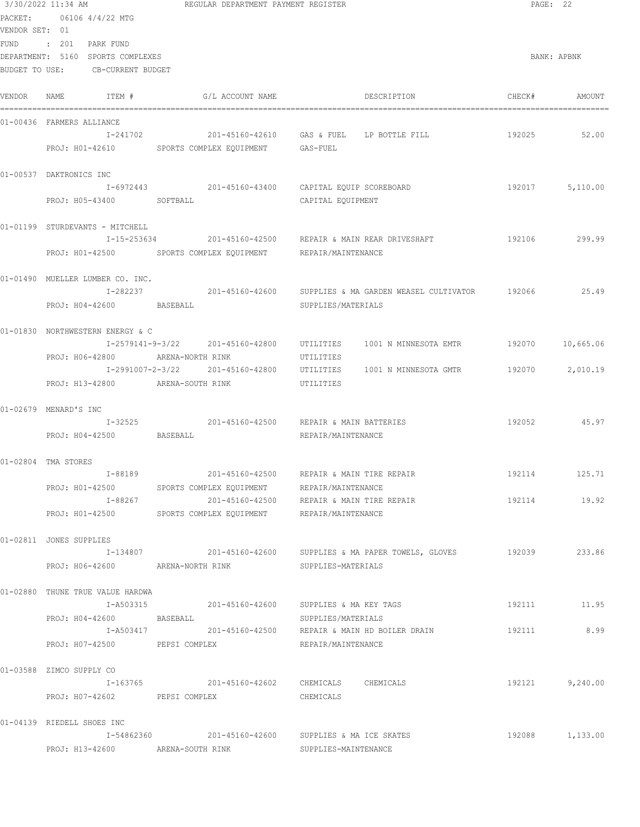|                | 3/30/2022 11:34 AM                                                    | REGULAR DEPARTMENT PAYMENT REGISTER                                             |                                                                              |                 | PAGE: 22     |
|----------------|-----------------------------------------------------------------------|---------------------------------------------------------------------------------|------------------------------------------------------------------------------|-----------------|--------------|
|                | PACKET: 06106 4/4/22 MTG                                              |                                                                                 |                                                                              |                 |              |
| VENDOR SET: 01 |                                                                       |                                                                                 |                                                                              |                 |              |
| FUND           | : 201 PARK FUND                                                       |                                                                                 |                                                                              |                 |              |
|                | DEPARTMENT: 5160 SPORTS COMPLEXES<br>BUDGET TO USE: CB-CURRENT BUDGET |                                                                                 |                                                                              |                 | BANK: APBNK  |
|                |                                                                       |                                                                                 |                                                                              |                 |              |
| VENDOR         | ITEM #<br>NAME                                                        | G/L ACCOUNT NAME                                                                | DESCRIPTION                                                                  | CHECK#          | AMOUNT       |
|                | 01-00436 FARMERS ALLIANCE                                             |                                                                                 |                                                                              |                 |              |
|                |                                                                       |                                                                                 | I-241702  201-45160-42610  GAS & FUEL  LP BOTTLE FILL                        | 192025 52.00    |              |
|                |                                                                       | PROJ: H01-42610 SPORTS COMPLEX EQUIPMENT GAS-FUEL                               |                                                                              |                 |              |
|                | 01-00537 DAKTRONICS INC                                               |                                                                                 |                                                                              |                 |              |
|                |                                                                       |                                                                                 | I-6972443 201-45160-43400 CAPITAL EQUIP SCOREBOARD                           | 192017          | 5,110.00     |
|                | PROJ: H05-43400 SOFTBALL                                              |                                                                                 | CAPITAL EQUIPMENT                                                            |                 |              |
|                | 01-01199 STURDEVANTS - MITCHELL                                       |                                                                                 |                                                                              |                 |              |
|                |                                                                       |                                                                                 | I-15-253634 201-45160-42500 REPAIR & MAIN REAR DRIVESHAFT                    | 192106 299.99   |              |
|                |                                                                       | PROJ: H01-42500 SPORTS COMPLEX EQUIPMENT REPAIR/MAINTENANCE                     |                                                                              |                 |              |
|                | 01-01490 MUELLER LUMBER CO. INC.                                      |                                                                                 |                                                                              |                 |              |
|                |                                                                       |                                                                                 | I-282237 201-45160-42600 SUPPLIES & MA GARDEN WEASEL CULTIVATOR 192066 25.49 |                 |              |
|                | PROJ: H04-42600 BASEBALL                                              |                                                                                 | SUPPLIES/MATERIALS                                                           |                 |              |
|                | 01-01830 NORTHWESTERN ENERGY & C                                      |                                                                                 |                                                                              |                 |              |
|                |                                                                       |                                                                                 |                                                                              |                 |              |
|                | PROJ: H06-42800 ARENA-NORTH RINK                                      |                                                                                 | UTILITIES                                                                    |                 |              |
|                |                                                                       |                                                                                 |                                                                              |                 | 2,010.19     |
|                |                                                                       | PROJ: H13-42800 ARENA-SOUTH RINK UTILITIES                                      |                                                                              |                 |              |
|                | 01-02679 MENARD'S INC                                                 |                                                                                 |                                                                              |                 |              |
|                |                                                                       |                                                                                 | $I-32525$ $201-45160-42500$ REPAIR & MAIN BATTERIES                          | 192052 45.97    |              |
|                | PROJ: H04-42500 BASEBALL                                              |                                                                                 | REPAIR/MAINTENANCE                                                           |                 |              |
|                | 01-02804 TMA STORES                                                   |                                                                                 |                                                                              |                 |              |
|                |                                                                       | I-88189                         201-45160-42500       REPAIR & MAIN TIRE REPAIR |                                                                              | 192114          | 125.71       |
|                |                                                                       | PROJ: H01-42500 SPORTS COMPLEX EQUIPMENT REPAIR/MAINTENANCE                     |                                                                              |                 |              |
|                |                                                                       | PROJ: H01-42500 SPORTS COMPLEX EQUIPMENT REPAIR/MAINTENANCE                     |                                                                              | 192114 19.92    |              |
|                |                                                                       |                                                                                 |                                                                              |                 |              |
|                | 01-02811 JONES SUPPLIES                                               |                                                                                 |                                                                              |                 |              |
|                |                                                                       | PROJ: H06-42600 ARENA-NORTH RINK                                                | I-134807 201-45160-42600 SUPPLIES & MA PAPER TOWELS, GLOVES 192039 233.86    |                 |              |
|                |                                                                       |                                                                                 | SUPPLIES-MATERIALS                                                           |                 |              |
|                | 01-02880 THUNE TRUE VALUE HARDWA                                      |                                                                                 |                                                                              |                 |              |
|                |                                                                       |                                                                                 | I-A503315 201-45160-42600 SUPPLIES & MA KEY TAGS                             |                 | 192111 11.95 |
|                | PROJ: H04-42600 BASEBALL                                              |                                                                                 | SUPPLIES/MATERIALS                                                           |                 |              |
|                |                                                                       |                                                                                 |                                                                              |                 |              |
|                |                                                                       | PROJ: H07-42500 PEPSI COMPLEX REPAIR/MAINTENANCE                                |                                                                              |                 |              |
|                | 01-03588 ZIMCO SUPPLY CO                                              |                                                                                 |                                                                              |                 |              |
|                |                                                                       |                                                                                 | I-163765 201-45160-42602 CHEMICALS CHEMICALS                                 | 192121 9,240.00 |              |
|                |                                                                       | PROJ: H07-42602 PEPSI COMPLEX                                                   | CHEMICALS                                                                    |                 |              |
|                | 01-04139 RIEDELL SHOES INC                                            |                                                                                 |                                                                              |                 |              |
|                |                                                                       | I-54862360  201-45160-42600  SUPPLIES & MA ICE SKATES                           |                                                                              | 192088 1,133.00 |              |
|                | PROJ: H13-42600 ARENA-SOUTH RINK                                      |                                                                                 | SUPPLIES-MAINTENANCE                                                         |                 |              |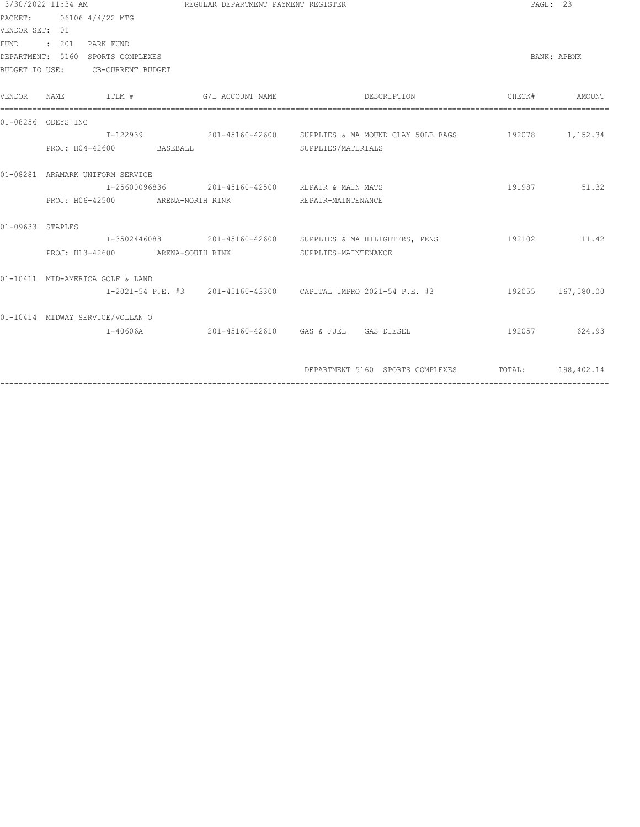| 3/30/2022 11:34 AM |                                   | REGULAR DEPARTMENT PAYMENT REGISTER                                                                     |                                                                                   | PAGE: 23     |               |  |
|--------------------|-----------------------------------|---------------------------------------------------------------------------------------------------------|-----------------------------------------------------------------------------------|--------------|---------------|--|
|                    | PACKET: 06106 4/4/22 MTG          |                                                                                                         |                                                                                   |              |               |  |
| VENDOR SET: 01     |                                   |                                                                                                         |                                                                                   |              |               |  |
|                    | FUND : 201 PARK FUND              |                                                                                                         |                                                                                   |              |               |  |
|                    | DEPARTMENT: 5160 SPORTS COMPLEXES |                                                                                                         |                                                                                   |              | BANK: APBNK   |  |
|                    | BUDGET TO USE: CB-CURRENT BUDGET  |                                                                                                         |                                                                                   |              |               |  |
| VENDOR             |                                   | $\begin{array}{lll}\texttt{NAME} & \texttt{IFEM} & \texttt{\#} & \texttt{G/L ACCOUNT NAME} \end{array}$ | DESCRIPTION                                                                       |              | CHECK# AMOUNT |  |
| 01-08256 ODEYS INC |                                   |                                                                                                         |                                                                                   |              |               |  |
|                    |                                   |                                                                                                         | I-122939 201-45160-42600 SUPPLIES & MA MOUND CLAY 50LB BAGS 192078 1,152.34       |              |               |  |
|                    | PROJ: H04-42600 BASEBALL          |                                                                                                         | SUPPLIES/MATERIALS                                                                |              |               |  |
|                    | 01-08281 ARAMARK UNIFORM SERVICE  |                                                                                                         |                                                                                   |              |               |  |
|                    |                                   |                                                                                                         | I-25600096836  201-45160-42500  REPAIR & MAIN MATS                                | 191987 51.32 |               |  |
|                    |                                   |                                                                                                         | PROJ: H06-42500 ARENA-NORTH RINK REPAIR-MAINTENANCE                               |              |               |  |
| 01-09633 STAPLES   |                                   |                                                                                                         |                                                                                   |              |               |  |
|                    |                                   |                                                                                                         | I-3502446088 201-45160-42600 SUPPLIES & MA HILIGHTERS, PENS 192102 11.42          |              |               |  |
|                    |                                   |                                                                                                         | PROJ: H13-42600 ARENA-SOUTH RINK SUPPLIES-MAINTENANCE                             |              |               |  |
|                    | 01-10411 MID-AMERICA GOLF & LAND  |                                                                                                         |                                                                                   |              |               |  |
|                    |                                   |                                                                                                         | I-2021-54 P.E. #3 201-45160-43300 CAPITAL IMPRO 2021-54 P.E. #3 192055 167,580.00 |              |               |  |
|                    | 01-10414 MIDWAY SERVICE/VOLLAN O  |                                                                                                         |                                                                                   |              |               |  |
|                    |                                   |                                                                                                         |                                                                                   |              | 192057 624.93 |  |
|                    |                                   |                                                                                                         |                                                                                   |              |               |  |
|                    |                                   |                                                                                                         | DEPARTMENT 5160 SPORTS COMPLEXES TOTAL: 198,402.14                                |              |               |  |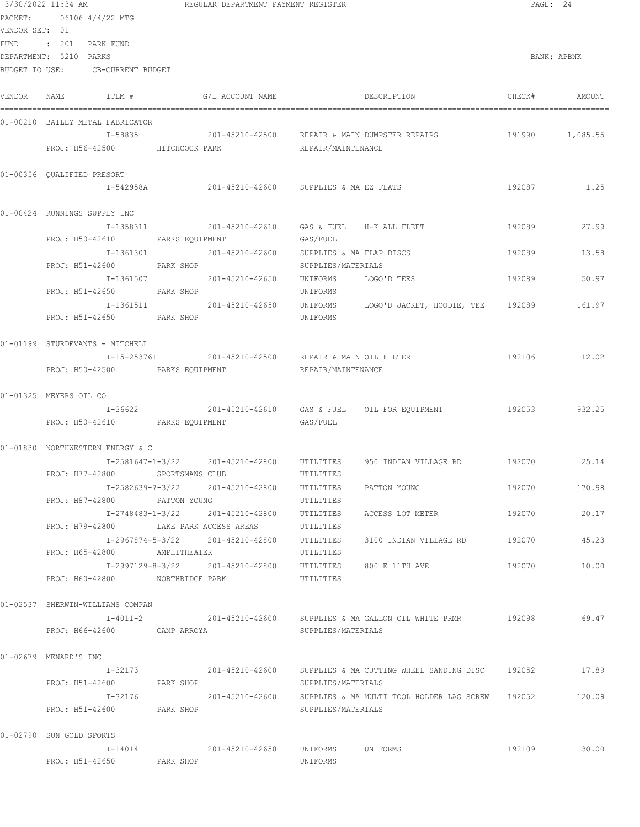|                                          | 3/30/2022 11:34 AM | PACKET: 06106 4/4/22 MTG                                 | REGULAR DEPARTMENT PAYMENT REGISTER                |                             |                                                                               | PAGE: 24     |               |
|------------------------------------------|--------------------|----------------------------------------------------------|----------------------------------------------------|-----------------------------|-------------------------------------------------------------------------------|--------------|---------------|
| VENDOR SET: 01<br>DEPARTMENT: 5210 PARKS |                    | FUND : 201 PARK FUND<br>BUDGET TO USE: CB-CURRENT BUDGET |                                                    |                             |                                                                               |              | BANK: APBNK   |
| VENDOR                                   |                    | NAME ITEM #                                              | G/L ACCOUNT NAME                                   |                             | DESCRIPTION                                                                   |              | CHECK# AMOUNT |
|                                          |                    | 01-00210 BAILEY METAL FABRICATOR                         |                                                    |                             |                                                                               |              |               |
|                                          |                    |                                                          |                                                    |                             | I-58835 201-45210-42500 REPAIR & MAIN DUMPSTER REPAIRS 191990 1,085.55        |              |               |
|                                          |                    | PROJ: H56-42500 HITCHCOCK PARK                           |                                                    | REPAIR/MAINTENANCE          |                                                                               |              |               |
| 01-00356 QUALIFIED PRESORT               |                    |                                                          |                                                    |                             |                                                                               |              |               |
|                                          |                    |                                                          | I-542958A 201-45210-42600 SUPPLIES & MA EZ FLATS   |                             |                                                                               |              | 192087 1.25   |
|                                          |                    | 01-00424 RUNNINGS SUPPLY INC                             |                                                    |                             |                                                                               |              |               |
|                                          |                    |                                                          | I-1358311 201-45210-42610 GAS & FUEL H-K ALL FLEET |                             |                                                                               | 192089       | 27.99         |
|                                          |                    |                                                          | PROJ: H50-42610 PARKS EQUIPMENT GAS/FUEL           |                             |                                                                               |              |               |
|                                          |                    | PROJ: H51-42600 PARK SHOP                                |                                                    | SUPPLIES/MATERIALS          |                                                                               | 192089       | 13.58         |
|                                          |                    |                                                          | I-1361507  201-45210-42650  UNIFORMS  LOGO'D TEES  |                             |                                                                               | 192089       | 50.97         |
|                                          |                    | PROJ: H51-42650 PARK SHOP                                |                                                    | UNIFORMS                    |                                                                               |              |               |
|                                          |                    | PROJ: H51-42650 PARK SHOP                                |                                                    | UNIFORMS                    | I-1361511 201-45210-42650 UNIFORMS LOGO'D JACKET, HOODIE, TEE 192089 161.97   |              |               |
|                                          |                    |                                                          |                                                    |                             |                                                                               |              |               |
|                                          |                    | 01-01199 STURDEVANTS - MITCHELL                          |                                                    |                             |                                                                               |              |               |
|                                          |                    | PROJ: H50-42500 PARKS EQUIPMENT                          |                                                    | REPAIR/MAINTENANCE          |                                                                               | 192106 12.02 |               |
|                                          |                    |                                                          |                                                    |                             |                                                                               |              |               |
| 01-01325 MEYERS OIL CO                   |                    |                                                          |                                                    |                             |                                                                               |              |               |
|                                          |                    |                                                          | PROJ: H50-42610 PARKS EQUIPMENT GAS/FUEL           |                             | I-36622 201-45210-42610 GAS & FUEL OIL FOR EQUIPMENT 202053 932.25            |              |               |
|                                          |                    |                                                          |                                                    |                             |                                                                               |              |               |
|                                          |                    | 01-01830 NORTHWESTERN ENERGY & C                         |                                                    |                             |                                                                               |              |               |
|                                          |                    | PROJ: H77-42800 SPORTSMANS CLUB                          |                                                    |                             |                                                                               |              |               |
|                                          |                    |                                                          |                                                    | UTILITIES                   |                                                                               |              | 192070 170.98 |
|                                          |                    | PROJ: H87-42800 PATTON YOUNG                             |                                                    | UTILITIES                   |                                                                               |              |               |
|                                          |                    |                                                          |                                                    |                             |                                                                               | 192070       | 20.17         |
|                                          |                    |                                                          | PROJ: H79-42800 LAKE PARK ACCESS AREAS             | UTILITIES                   |                                                                               | 192070       | 45.23         |
|                                          |                    | PROJ: H65-42800 AMPHITHEATER                             |                                                    | UTILITIES                   |                                                                               |              |               |
|                                          |                    |                                                          |                                                    |                             |                                                                               | 192070       | 10.00         |
|                                          |                    | PROJ: H60-42800 NORTHRIDGE PARK                          |                                                    | <b>Example 10 UTILITIES</b> |                                                                               |              |               |
|                                          |                    | 01-02537 SHERWIN-WILLIAMS COMPAN                         |                                                    |                             |                                                                               |              |               |
|                                          |                    |                                                          |                                                    |                             | I-4011-2 201-45210-42600 SUPPLIES & MA GALLON OIL WHITE PRMR 192098 69.47     |              |               |
|                                          |                    | PROJ: H66-42600 CAMP ARROYA                              |                                                    | SUPPLIES/MATERIALS          |                                                                               |              |               |
| 01-02679 MENARD'S INC                    |                    |                                                          |                                                    |                             |                                                                               |              |               |
|                                          |                    |                                                          |                                                    |                             | I-32173 201-45210-42600 SUPPLIES & MA CUTTING WHEEL SANDING DISC 192052 17.89 |              |               |
|                                          |                    | PROJ: H51-42600 PARK SHOP                                |                                                    | SUPPLIES/MATERIALS          |                                                                               |              |               |
|                                          |                    | PROJ: H51-42600 PARK SHOP                                |                                                    | SUPPLIES/MATERIALS          |                                                                               |              |               |
|                                          |                    |                                                          |                                                    |                             |                                                                               |              |               |
| 01-02790 SUN GOLD SPORTS                 |                    |                                                          |                                                    |                             |                                                                               |              |               |
|                                          |                    | PROJ: H51-42650 PARK SHOP                                | I-14014  201-45210-42650  UNIFORMS  UNIFORMS       | UNIFORMS                    |                                                                               | 192109       | 30.00         |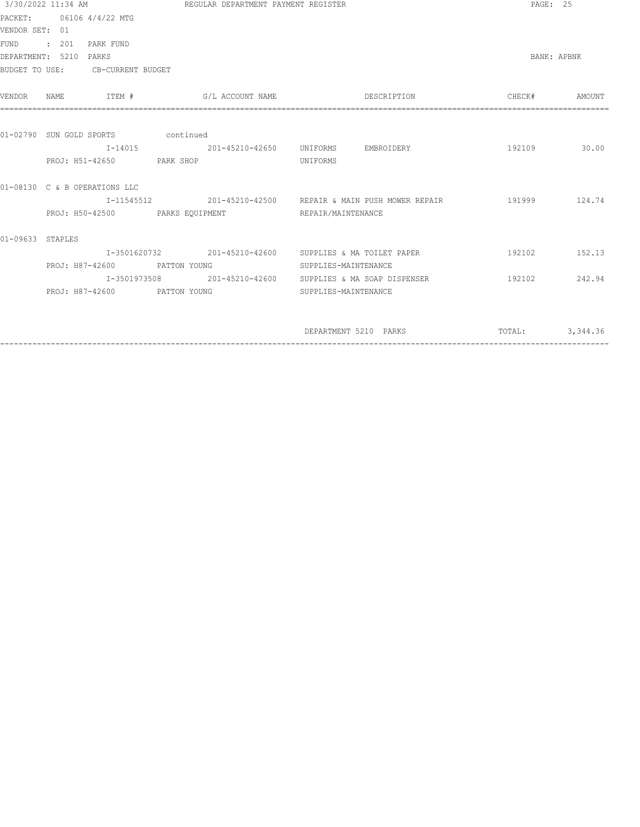|                  | 3/30/2022 11:34 AM                 | REGULAR DEPARTMENT PAYMENT REGISTER                | PAGE: 25                                                                 |               |          |
|------------------|------------------------------------|----------------------------------------------------|--------------------------------------------------------------------------|---------------|----------|
|                  | PACKET: 06106 4/4/22 MTG           |                                                    |                                                                          |               |          |
| VENDOR SET: 01   |                                    |                                                    |                                                                          |               |          |
| FUND             | $\cdot$ 201<br>PARK FUND           |                                                    |                                                                          |               |          |
|                  | DEPARTMENT: 5210 PARKS             |                                                    |                                                                          | BANK: APBNK   |          |
|                  | BUDGET TO USE: CB-CURRENT BUDGET   |                                                    |                                                                          |               |          |
| VENDOR           | ITEM #<br>NAME.                    | G/L ACCOUNT NAME                                   | DESCRIPTION                                                              | CHECK#        | AMOUNT   |
|                  |                                    |                                                    |                                                                          |               |          |
|                  | 01-02790 SUN GOLD SPORTS continued |                                                    |                                                                          |               |          |
|                  |                                    |                                                    | I-14015  201-45210-42650  UNIFORMS EMBROIDERY                            | 192109 30.00  |          |
|                  | PROJ: H51-42650 PARK SHOP          |                                                    | UNIFORMS                                                                 |               |          |
|                  | 01-08130 C & B OPERATIONS LLC      |                                                    |                                                                          |               |          |
|                  |                                    |                                                    | I-11545512 201-45210-42500 REPAIR & MAIN PUSH MOWER REPAIR 191999 124.74 |               |          |
|                  |                                    | PROJ: H50-42500 PARKS EQUIPMENT REPAIR/MAINTENANCE |                                                                          |               |          |
| 01-09633 STAPLES |                                    |                                                    |                                                                          |               |          |
|                  |                                    |                                                    | I-3501620732 201-45210-42600 SUPPLIES & MA TOILET PAPER                  | 192102 152.13 |          |
|                  | PROJ: H87-42600 PATTON YOUNG       |                                                    | SUPPLIES-MAINTENANCE                                                     |               |          |
|                  |                                    |                                                    | I-3501973508 201-45210-42600 SUPPLIES & MA SOAP DISPENSER                | 192102 242.94 |          |
|                  | PROJ: H87-42600 PATTON YOUNG       |                                                    | SUPPLIES-MAINTENANCE                                                     |               |          |
|                  |                                    |                                                    | DEPARTMENT 5210 PARKS                                                    | TOTAL:        | 3,344.36 |

------------------------------------------------------------------------------------------------------------------------------------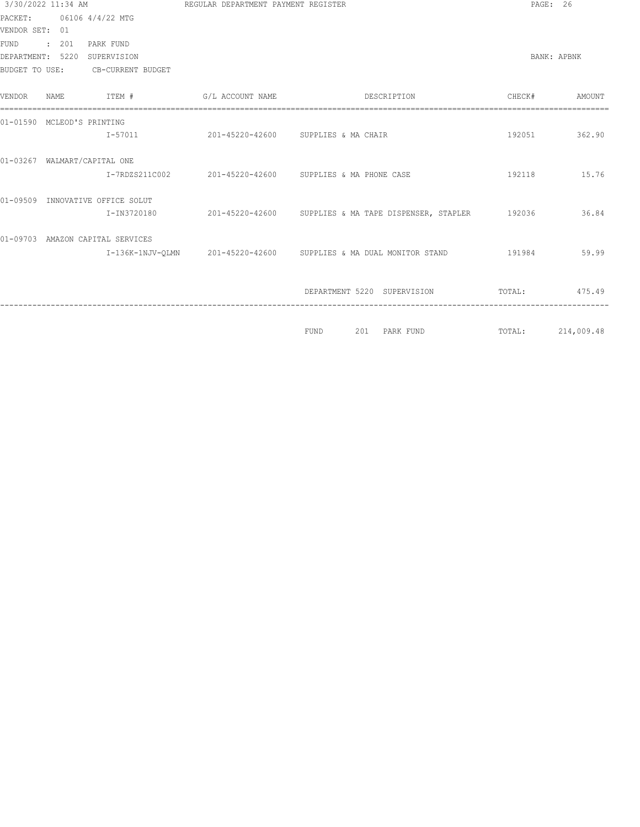| 3/30/2022 11:34 AM |       |                                  | REGULAR DEPARTMENT PAYMENT REGISTER |                                                                   | PAGE: 26 |             |
|--------------------|-------|----------------------------------|-------------------------------------|-------------------------------------------------------------------|----------|-------------|
| PACKET:            |       | 06106 4/4/22 MTG                 |                                     |                                                                   |          |             |
| VENDOR SET: 01     |       |                                  |                                     |                                                                   |          |             |
| <b>FUND</b>        | : 201 | PARK FUND                        |                                     |                                                                   |          |             |
|                    |       | DEPARTMENT: 5220 SUPERVISION     |                                     |                                                                   |          | BANK: APBNK |
| BUDGET TO USE:     |       | CB-CURRENT BUDGET                |                                     |                                                                   |          |             |
| <b>VENDOR</b>      | NAME. | TTEM #                           | G/L ACCOUNT NAME                    | DESCRIPTION                                                       | CHECK#   | AMOUNT      |
|                    |       | 01-01590 MCLEOD'S PRINTING       |                                     |                                                                   |          |             |
|                    |       | $I - 57011$                      |                                     | 201-45220-42600 SUPPLIES & MA CHAIR                               | 192051   | 362.90      |
|                    |       | 01-03267 WALMART/CAPITAL ONE     |                                     |                                                                   |          |             |
|                    |       | I-7RDZS211C002                   |                                     | 201-45220-42600 SUPPLIES & MA PHONE CASE                          | 192118   | 15.76       |
| $01 - 09509$       |       | INNOVATIVE OFFICE SOLUT          |                                     |                                                                   |          |             |
|                    |       | I-IN3720180                      |                                     | 201-45220-42600 SUPPLIES & MA TAPE DISPENSER, STAPLER 192036      |          | 36.84       |
|                    |       | 01-09703 AMAZON CAPITAL SERVICES |                                     |                                                                   |          |             |
|                    |       |                                  |                                     | I-136K-1NJV-QLMN 201-45220-42600 SUPPLIES & MA DUAL MONITOR STAND | 191984   | 59.99       |
|                    |       |                                  |                                     |                                                                   |          |             |
|                    |       |                                  |                                     | DEPARTMENT 5220 SUPERVISION                                       | TOTAL:   | 475.49      |
|                    |       |                                  |                                     |                                                                   |          |             |
|                    |       |                                  |                                     | 201 PARK FUND<br><b>FUND</b>                                      | TOTAL:   | 214,009.48  |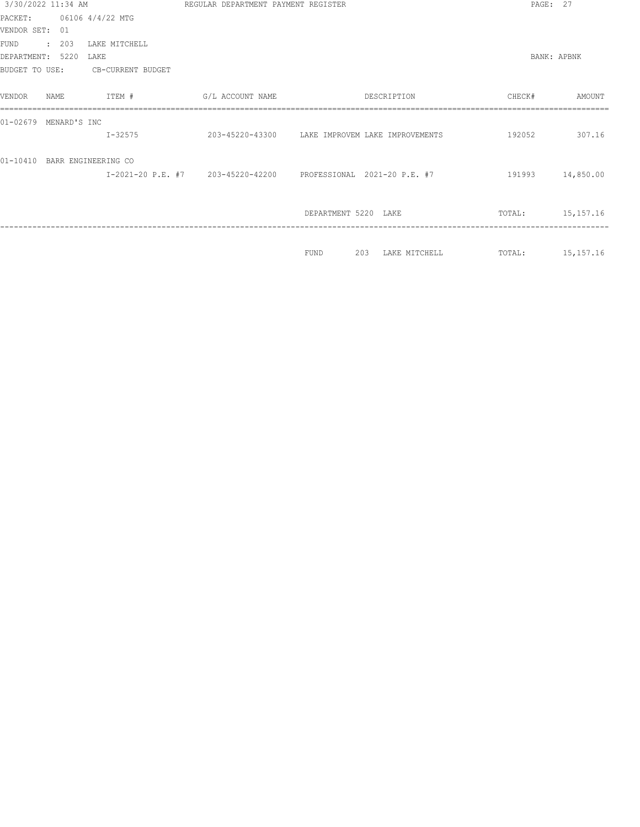| 3/30/2022 11:34 AM           |                     | REGULAR DEPARTMENT PAYMENT REGISTER | PAGE: 27                                        |        |                    |
|------------------------------|---------------------|-------------------------------------|-------------------------------------------------|--------|--------------------|
| PACKET:                      | 06106 4/4/22 MTG    |                                     |                                                 |        |                    |
| VENDOR SET:<br>01            |                     |                                     |                                                 |        |                    |
| <b>FUND</b><br>: 203         | LAKE MITCHELL       |                                     |                                                 |        |                    |
| 5220<br>DEPARTMENT:          | LAKE                |                                     |                                                 |        | <b>BANK: APBNK</b> |
| <b>BUDGET TO USE:</b>        | CB-CURRENT BUDGET   |                                     |                                                 |        |                    |
| VENDOR<br>NAME               | ITEM #              | G/L ACCOUNT NAME                    | DESCRIPTION                                     | CHECK# | AMOUNT             |
| $01 - 02679$<br>MENARD'S INC |                     |                                     |                                                 |        |                    |
|                              | $I - 32575$         |                                     | 203-45220-43300 LAKE IMPROVEM LAKE IMPROVEMENTS | 192052 | 307.16             |
| $01 - 10410$                 | BARR ENGINEERING CO |                                     |                                                 |        |                    |
|                              |                     |                                     |                                                 | 191993 | 14,850.00          |
|                              |                     |                                     |                                                 |        |                    |
|                              |                     |                                     | DEPARTMENT 5220 LAKE                            | TOTAL: | 15,157.16          |
|                              |                     |                                     |                                                 |        |                    |
|                              |                     |                                     | 203<br>LAKE MITCHELL<br><b>FUND</b>             | TOTAL: | 15, 157. 16        |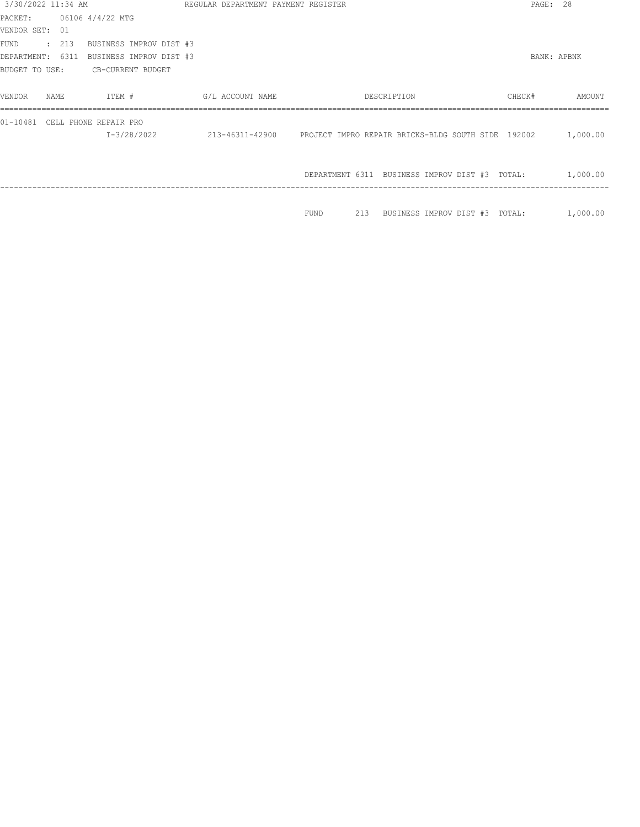| 3/30/2022 11:34 AM |       |                                          | REGULAR DEPARTMENT PAYMENT REGISTER |                                                                         | PAGE: 28    |          |
|--------------------|-------|------------------------------------------|-------------------------------------|-------------------------------------------------------------------------|-------------|----------|
|                    |       | PACKET: 06106 4/4/22 MTG                 |                                     |                                                                         |             |          |
| VENDOR SET: 01     |       |                                          |                                     |                                                                         |             |          |
| FUND               | : 213 | BUSINESS IMPROV DIST #3                  |                                     |                                                                         |             |          |
|                    |       | DEPARTMENT: 6311 BUSINESS IMPROV DIST #3 |                                     |                                                                         | BANK: APBNK |          |
|                    |       | BUDGET TO USE: CB-CURRENT BUDGET         |                                     |                                                                         |             |          |
| VENDOR             | NAME. | ITEM #                                   | G/L ACCOUNT NAME                    | DESCRIPTION                                                             | CHECK#      | AMOUNT   |
| 01-10481           |       | CELL PHONE REPAIR PRO<br>I-3/28/2022     |                                     | 213-46311-42900      PROJECT IMPRO REPAIR BRICKS-BLDG SOUTH SIDE 192002 |             | 1,000.00 |
|                    |       |                                          |                                     | DEPARTMENT 6311 BUSINESS IMPROV DIST #3 TOTAL:                          |             | 1,000.00 |
|                    |       |                                          |                                     | 213<br>BUSINESS IMPROV DIST #3 TOTAL:<br>FUND                           |             | 1,000.00 |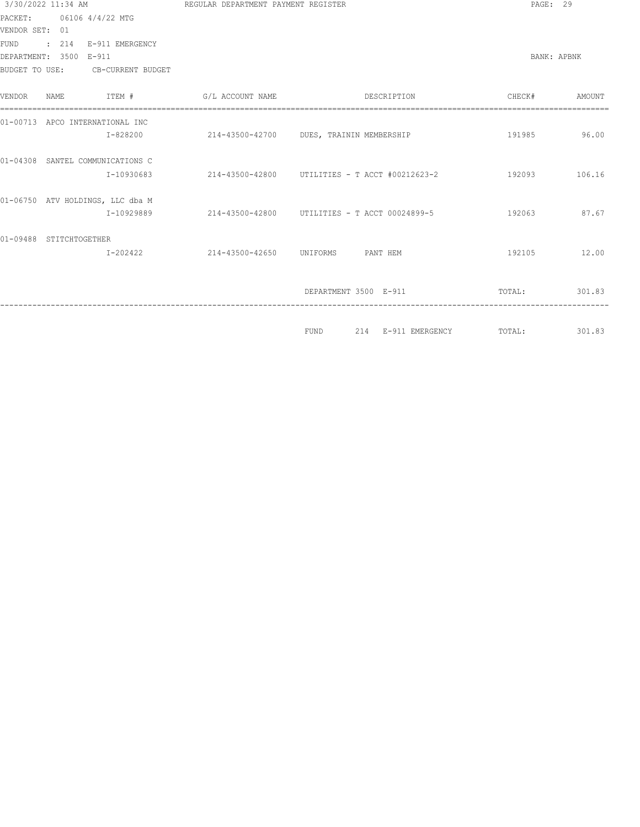| 3/30/2022 11:34 AM<br>PACKET: 06106 4/4/22 MTG |                                                 |                                  | REGULAR DEPARTMENT PAYMENT REGISTER | PAGE: 29                                       |               |        |
|------------------------------------------------|-------------------------------------------------|----------------------------------|-------------------------------------|------------------------------------------------|---------------|--------|
| VENDOR SET: 01                                 |                                                 |                                  |                                     |                                                |               |        |
| <b>FUND</b>                                    | : 214 E-911 EMERGENCY<br>DEPARTMENT: 3500 E-911 |                                  |                                     |                                                |               |        |
|                                                |                                                 | BUDGET TO USE: CB-CURRENT BUDGET |                                     |                                                | BANK: APBNK   |        |
| VENDOR                                         | NAME.                                           | TTEM #                           | G/L ACCOUNT NAME                    | DESCRIPTION                                    | CHECK#        | AMOUNT |
|                                                | 01-00713 APCO INTERNATIONAL INC                 |                                  |                                     |                                                |               |        |
|                                                |                                                 | I-828200                         |                                     | 214-43500-42700 DUES, TRAININ MEMBERSHIP       | 191985        | 96.00  |
|                                                | 01-04308 SANTEL COMMUNICATIONS C                |                                  |                                     |                                                |               |        |
|                                                |                                                 | I-10930683                       |                                     | 214-43500-42800 UTILITIES - T ACCT #00212623-2 | 192093 106.16 |        |
|                                                | 01-06750 ATV HOLDINGS, LLC dba M                |                                  |                                     |                                                |               |        |
|                                                |                                                 | I-10929889                       |                                     | 214-43500-42800 UTILITIES - T ACCT 00024899-5  | 192063        | 87.67  |
|                                                | 01-09488 STITCHTOGETHER                         |                                  |                                     |                                                |               |        |
|                                                |                                                 | $I - 202422$                     | 214-43500-42650 UNIFORMS            | PANT HEM                                       | 192105        | 12.00  |
|                                                |                                                 |                                  |                                     | DEPARTMENT 3500 E-911                          | TOTAL:        | 301.83 |
|                                                |                                                 |                                  |                                     |                                                |               |        |
|                                                |                                                 |                                  |                                     | 214 E-911 EMERGENCY TOTAL:<br>FUND             |               | 301.83 |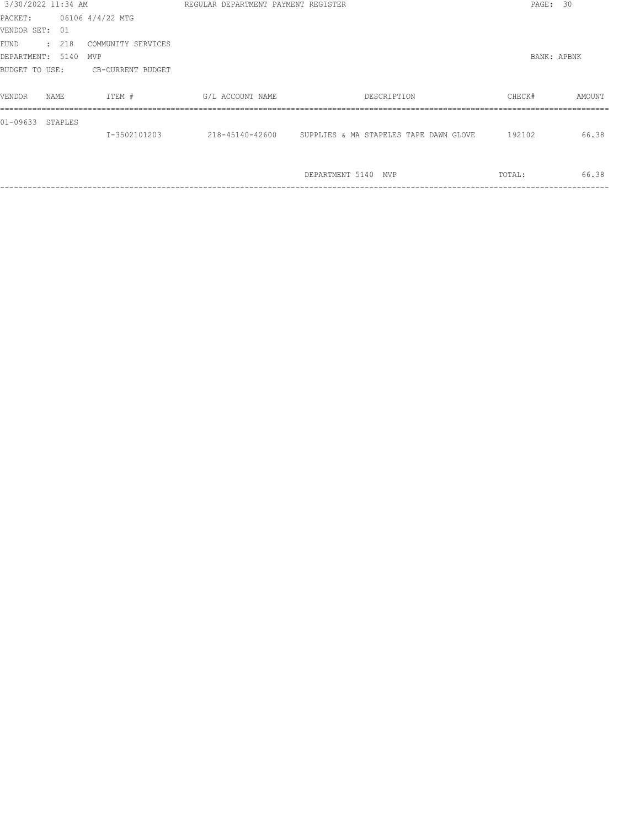| 3/30/2022 11:34 AM |         |      |                    | REGULAR DEPARTMENT PAYMENT REGISTER |                                                        | PAGE: 30           |        |
|--------------------|---------|------|--------------------|-------------------------------------|--------------------------------------------------------|--------------------|--------|
| PACKET:            |         |      | 06106 4/4/22 MTG   |                                     |                                                        |                    |        |
| VENDOR SET:        | 01      |      |                    |                                     |                                                        |                    |        |
| FUND               | : 218   |      | COMMUNITY SERVICES |                                     |                                                        |                    |        |
| DEPARTMENT:        |         | 5140 | MVP                |                                     |                                                        | <b>BANK: APBNK</b> |        |
| BUDGET TO USE:     |         |      | CB-CURRENT BUDGET  |                                     |                                                        |                    |        |
|                    |         |      |                    |                                     |                                                        |                    |        |
| VENDOR             | NAME    |      | ITEM #             | G/L ACCOUNT NAME                    | DESCRIPTION                                            | CHECK#             | AMOUNT |
|                    |         |      |                    |                                     |                                                        |                    |        |
| $01 - 09633$       | STAPLES |      |                    |                                     |                                                        |                    |        |
|                    |         |      | I-3502101203       |                                     | 218-45140-42600 SUPPLIES & MA STAPELES TAPE DAWN GLOVE | 192102             | 66.38  |
|                    |         |      |                    |                                     |                                                        |                    |        |
|                    |         |      |                    |                                     |                                                        |                    |        |
|                    |         |      |                    |                                     | DEPARTMENT 5140 MVP                                    | TOTAL:             | 66.38  |
|                    |         |      |                    |                                     |                                                        |                    |        |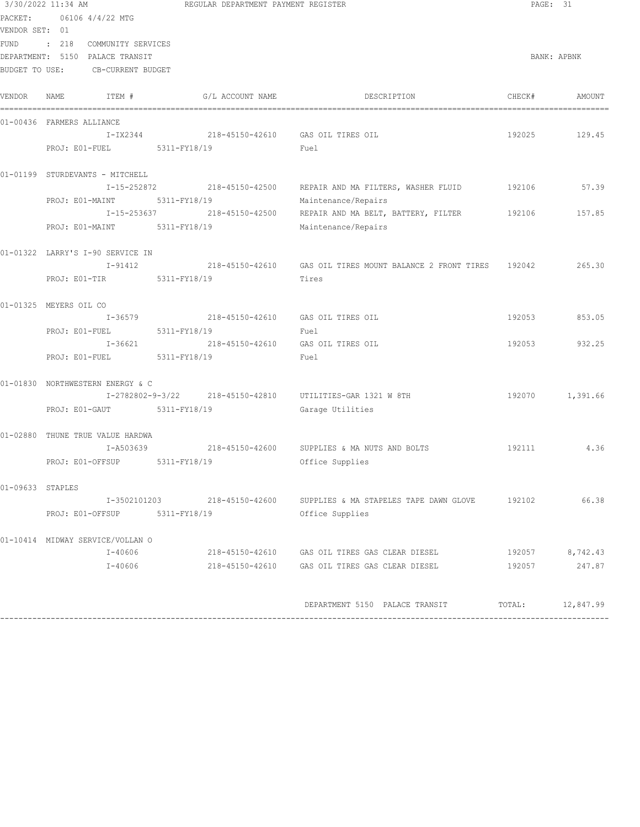|                  | 3/30/2022 11:34 AM                     | REGULAR DEPARTMENT PAYMENT REGISTER        | PAGE: 31                                                                         |        |               |
|------------------|----------------------------------------|--------------------------------------------|----------------------------------------------------------------------------------|--------|---------------|
|                  | PACKET: 06106 4/4/22 MTG               |                                            |                                                                                  |        |               |
| VENDOR SET: 01   |                                        |                                            |                                                                                  |        |               |
| FUND             | $\therefore$ 218<br>COMMUNITY SERVICES |                                            |                                                                                  |        |               |
|                  | DEPARTMENT: 5150 PALACE TRANSIT        |                                            |                                                                                  |        | BANK: APBNK   |
|                  | BUDGET TO USE: CB-CURRENT BUDGET       |                                            |                                                                                  |        |               |
| VENDOR           | ITEM #<br>NAME                         | G/L ACCOUNT NAME                           | DESCRIPTION                                                                      | CHECK# | AMOUNT        |
|                  | 01-00436 FARMERS ALLIANCE              |                                            |                                                                                  |        |               |
|                  |                                        | I-IX2344 218-45150-42610 GAS OIL TIRES OIL |                                                                                  |        | 192025 129.45 |
|                  | PROJ: E01-FUEL 5311-FY18/19            |                                            | Fuel                                                                             |        |               |
|                  | 01-01199 STURDEVANTS - MITCHELL        |                                            |                                                                                  |        |               |
|                  |                                        |                                            | I-15-252872 218-45150-42500 REPAIR AND MA FILTERS, WASHER FLUID 192106 57.39     |        |               |
|                  | PROJ: E01-MAINT 5311-FY18/19           |                                            | Maintenance/Repairs                                                              |        |               |
|                  |                                        |                                            | I-15-253637 218-45150-42500 REPAIR AND MA BELT, BATTERY, FILTER 192106 157.85    |        |               |
|                  |                                        |                                            | Maintenance/Repairs                                                              |        |               |
|                  | PROJ: E01-MAINT 5311-FY18/19           |                                            |                                                                                  |        |               |
|                  | 01-01322 LARRY'S I-90 SERVICE IN       |                                            |                                                                                  |        |               |
|                  | $I - 91412$                            |                                            | 218-45150-42610 GAS OIL TIRES MOUNT BALANCE 2 FRONT TIRES 192042 265.30          |        |               |
|                  | PROJ: E01-TIR 5311-FY18/19             |                                            | Tires                                                                            |        |               |
|                  | 01-01325 MEYERS OIL CO                 |                                            |                                                                                  |        |               |
|                  | I-36579                                | 218-45150-42610 GAS OIL TIRES OIL          |                                                                                  |        | 192053 853.05 |
|                  |                                        |                                            |                                                                                  |        |               |
|                  | PROJ: E01-FUEL 5311-FY18/19            |                                            | Fuel                                                                             |        |               |
|                  | I-36621                                | 218-45150-42610 GAS OIL TIRES OIL          |                                                                                  | 192053 | 932.25        |
|                  | PROJ: E01-FUEL 5311-FY18/19            |                                            | Fuel                                                                             |        |               |
|                  | 01-01830 NORTHWESTERN ENERGY & C       |                                            |                                                                                  |        |               |
|                  |                                        |                                            |                                                                                  | 192070 | 1,391.66      |
|                  | PROJ: E01-GAUT 5311-FY18/19            |                                            | Garage Utilities                                                                 |        |               |
|                  | 01-02880 THUNE TRUE VALUE HARDWA       |                                            |                                                                                  |        |               |
|                  | I-A503639                              |                                            | 218-45150-42600 SUPPLIES & MA NUTS AND BOLTS<br>192111                           |        | 4.36          |
|                  | PROJ: E01-OFFSUP 5311-FY18/19          |                                            | Office Supplies                                                                  |        |               |
|                  |                                        |                                            |                                                                                  |        |               |
| 01-09633 STAPLES |                                        |                                            |                                                                                  |        |               |
|                  |                                        |                                            | I-3502101203 218-45150-42600 SUPPLIES & MA STAPELES TAPE DAWN GLOVE 192102 66.38 |        |               |
|                  | PROJ: E01-OFFSUP 5311-FY18/19          |                                            | Office Supplies                                                                  |        |               |
|                  | 01-10414 MIDWAY SERVICE/VOLLAN O       |                                            |                                                                                  |        |               |
|                  |                                        |                                            | I-40606 218-45150-42610 GAS OIL TIRES GAS CLEAR DIESEL 2192057 8,742.43          |        |               |
|                  |                                        |                                            | I-40606 218-45150-42610 GAS OIL TIRES GAS CLEAR DIESEL 192057 247.87             |        |               |
|                  |                                        |                                            |                                                                                  |        |               |
|                  |                                        |                                            | DEPARTMENT 5150 PALACE TRANSIT TOTAL: 12,847.99                                  |        |               |
|                  |                                        |                                            |                                                                                  |        |               |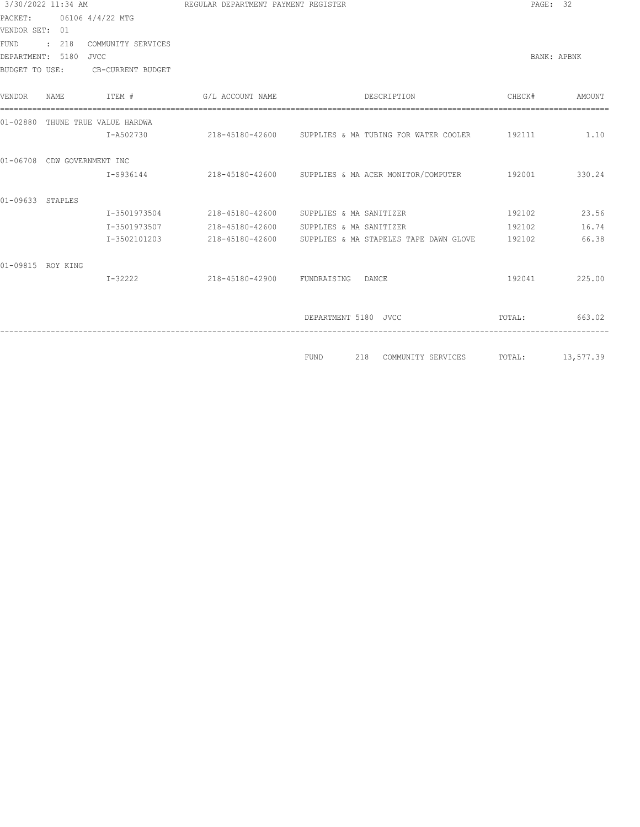| 3/30/2022 11:34 AM |                       |                                  |                                   | REGULAR DEPARTMENT PAYMENT REGISTER                                              |               |               |  |
|--------------------|-----------------------|----------------------------------|-----------------------------------|----------------------------------------------------------------------------------|---------------|---------------|--|
|                    |                       | PACKET: 06106 4/4/22 MTG         |                                   |                                                                                  |               |               |  |
| VENDOR SET: 01     |                       |                                  |                                   |                                                                                  |               |               |  |
|                    |                       | FUND : 218 COMMUNITY SERVICES    |                                   |                                                                                  |               |               |  |
|                    | DEPARTMENT: 5180 JVCC |                                  |                                   |                                                                                  |               | BANK: APBNK   |  |
|                    |                       | BUDGET TO USE: CB-CURRENT BUDGET |                                   |                                                                                  |               |               |  |
| VENDOR             | NAME.                 |                                  | ITEM # G/L ACCOUNT NAME           | DESCRIPTION                                                                      | CHECK#        | AMOUNT        |  |
|                    |                       | 01-02880 THUNE TRUE VALUE HARDWA |                                   |                                                                                  |               |               |  |
|                    |                       |                                  |                                   |                                                                                  |               | 1.10          |  |
|                    |                       | 01-06708 CDW GOVERNMENT INC      |                                   |                                                                                  |               |               |  |
|                    |                       |                                  |                                   | I-S936144 218-45180-42600 SUPPLIES & MA ACER MONITOR/COMPUTER 192001 330.24      |               |               |  |
| 01-09633 STAPLES   |                       |                                  |                                   |                                                                                  |               |               |  |
|                    |                       |                                  |                                   | I-3501973504 218-45180-42600 SUPPLIES & MA SANITIZER                             |               | 192102 23.56  |  |
|                    |                       |                                  |                                   | I-3501973507 218-45180-42600 SUPPLIES & MA SANITIZER                             | 192102 16.74  |               |  |
|                    |                       |                                  |                                   | I-3502101203 218-45180-42600 SUPPLIES & MA STAPELES TAPE DAWN GLOVE 192102 66.38 |               |               |  |
|                    | 01-09815 ROY KING     |                                  |                                   |                                                                                  |               |               |  |
|                    |                       | I-32222                          | 218-45180-42900 FUNDRAISING DANCE |                                                                                  |               | 192041 225.00 |  |
|                    |                       |                                  |                                   |                                                                                  |               |               |  |
|                    |                       |                                  |                                   | DEPARTMENT 5180 JVCC                                                             | TOTAL: 663.02 |               |  |
|                    |                       |                                  |                                   |                                                                                  |               |               |  |
|                    |                       |                                  |                                   | 218 COMMUNITY SERVICES TOTAL: 13,577.39<br>FUND                                  |               |               |  |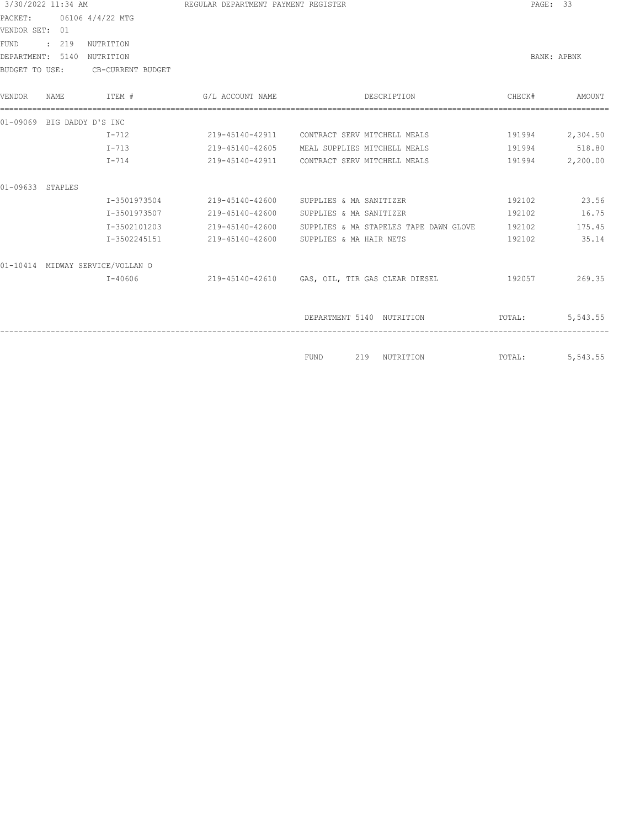| 3/30/2022 11:34 AM |                            |                                  | REGULAR DEPARTMENT PAYMENT REGISTER |                                                      | PAGE: 33    |                 |
|--------------------|----------------------------|----------------------------------|-------------------------------------|------------------------------------------------------|-------------|-----------------|
|                    |                            | PACKET: 06106 4/4/22 MTG         |                                     |                                                      |             |                 |
| VENDOR SET: 01     |                            |                                  |                                     |                                                      |             |                 |
| <b>FUND</b>        | : 219                      | NUTRITION                        |                                     |                                                      |             |                 |
|                    |                            | DEPARTMENT: 5140 NUTRITION       |                                     |                                                      | BANK: APBNK |                 |
|                    |                            | BUDGET TO USE: CB-CURRENT BUDGET |                                     |                                                      |             |                 |
| VENDOR             | NAME                       | ITEM #                           | G/L ACCOUNT NAME                    | DESCRIPTION                                          | CHECK#      | AMOUNT          |
|                    | 01-09069 BIG DADDY D'S INC |                                  |                                     |                                                      |             |                 |
|                    |                            | T-712                            |                                     | 219-45140-42911 CONTRACT SERV MITCHELL MEALS         | 191994      | 2,304.50        |
|                    |                            | $I - 713$                        |                                     | 219-45140-42605 MEAL SUPPLIES MITCHELL MEALS         | 191994      | 518.80          |
|                    |                            | $I-714$                          | 219-45140-42911                     | CONTRACT SERV MITCHELL MEALS                         | 191994      | 2,200.00        |
|                    | 01-09633 STAPLES           |                                  |                                     |                                                      |             |                 |
|                    |                            |                                  |                                     | I-3501973504 219-45140-42600 SUPPLIES & MA SANITIZER | 192102      | 23.56           |
|                    |                            |                                  |                                     | I-3501973507 219-45140-42600 SUPPLIES & MA SANITIZER | 192102      | 16.75           |
|                    |                            | I-3502101203                     | 219-45140-42600                     | SUPPLIES & MA STAPELES TAPE DAWN GLOVE               | 192102      | 175.45          |
|                    |                            | I-3502245151                     | 219-45140-42600                     | SUPPLIES & MA HAIR NETS                              | 192102      | 35.14           |
|                    |                            | 01-10414 MIDWAY SERVICE/VOLLAN O |                                     |                                                      |             |                 |
|                    |                            | $I - 40606$                      |                                     | 219-45140-42610 GAS, OIL, TIR GAS CLEAR DIESEL       | 192057      | 269.35          |
|                    |                            |                                  |                                     |                                                      |             |                 |
|                    |                            |                                  |                                     | DEPARTMENT 5140 NUTRITION                            | TOTAL:      | 5,543.55        |
|                    |                            |                                  |                                     |                                                      |             |                 |
|                    |                            |                                  |                                     | 219 NUTRITION<br>FUND                                |             | TOTAL: 5,543.55 |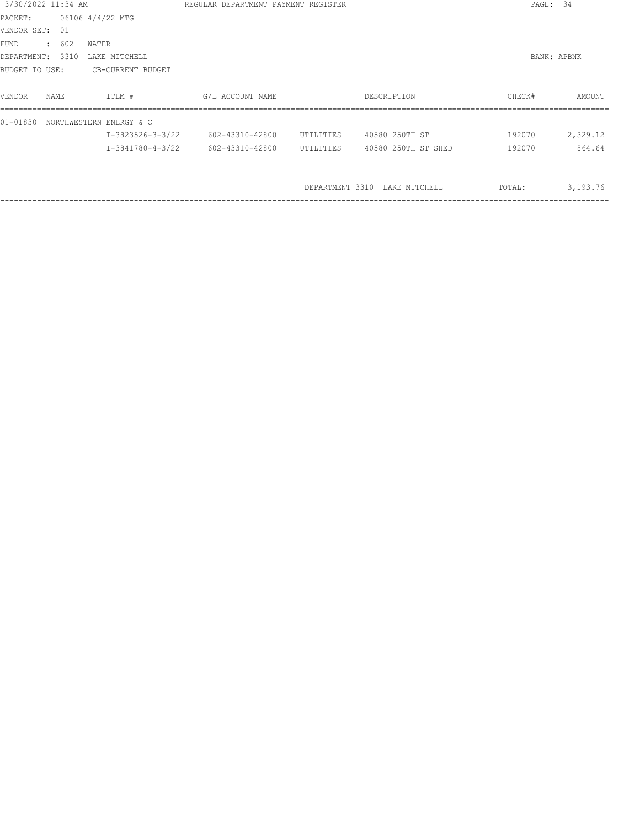|                | 3/30/2022 11:34 AM |      |                         | REGULAR DEPARTMENT PAYMENT REGISTER |           |                               | PAGE:       | - 34     |
|----------------|--------------------|------|-------------------------|-------------------------------------|-----------|-------------------------------|-------------|----------|
| PACKET:        |                    |      | 06106 4/4/22 MTG        |                                     |           |                               |             |          |
| VENDOR SET:    |                    | 01   |                         |                                     |           |                               |             |          |
| FUND           | : 602              |      | WATER                   |                                     |           |                               |             |          |
| DEPARTMENT:    |                    | 3310 | LAKE MITCHELL           |                                     |           |                               | BANK: APBNK |          |
| BUDGET TO USE: |                    |      | CB-CURRENT BUDGET       |                                     |           |                               |             |          |
| VENDOR         | NAME               |      | ITEM #                  | G/L ACCOUNT NAME                    |           | DESCRIPTION                   | CHECK#      | AMOUNT   |
| 01-01830       |                    |      | NORTHWESTERN ENERGY & C |                                     |           |                               |             |          |
|                |                    |      |                         | I-3823526-3-3/22 602-43310-42800    | UTILITIES | 40580 250TH ST                | 192070      | 2,329.12 |
|                |                    |      |                         | I-3841780-4-3/22 602-43310-42800    | UTILITIES | 40580 250TH ST SHED           | 192070      | 864.64   |
|                |                    |      |                         |                                     |           |                               |             |          |
|                |                    |      |                         |                                     |           | DEPARTMENT 3310 LAKE MITCHELL | TOTAL:      | 3,193.76 |
|                |                    |      |                         |                                     |           |                               |             |          |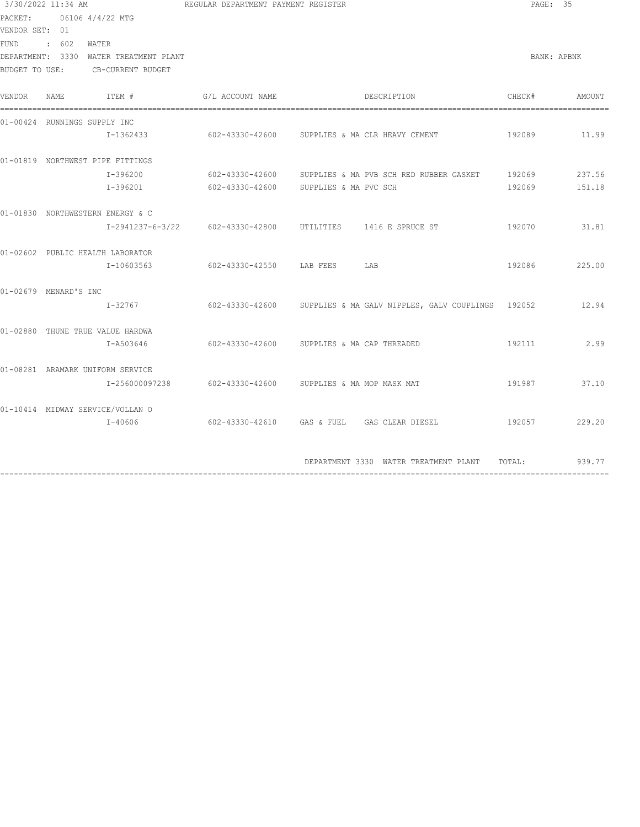| 3/30/2022 11:34 AM |            |                                                                                                                                                                                                                                                                                                                                                                                       | PAGE: 35                                                   |                                     |                                                                                                                                                                                                                                                                                                                              |                                                                                                                                                                                                                                                                                                               |
|--------------------|------------|---------------------------------------------------------------------------------------------------------------------------------------------------------------------------------------------------------------------------------------------------------------------------------------------------------------------------------------------------------------------------------------|------------------------------------------------------------|-------------------------------------|------------------------------------------------------------------------------------------------------------------------------------------------------------------------------------------------------------------------------------------------------------------------------------------------------------------------------|---------------------------------------------------------------------------------------------------------------------------------------------------------------------------------------------------------------------------------------------------------------------------------------------------------------|
| VENDOR SET: 01     |            |                                                                                                                                                                                                                                                                                                                                                                                       |                                                            |                                     |                                                                                                                                                                                                                                                                                                                              |                                                                                                                                                                                                                                                                                                               |
|                    |            |                                                                                                                                                                                                                                                                                                                                                                                       |                                                            |                                     |                                                                                                                                                                                                                                                                                                                              |                                                                                                                                                                                                                                                                                                               |
|                    |            |                                                                                                                                                                                                                                                                                                                                                                                       |                                                            |                                     |                                                                                                                                                                                                                                                                                                                              | BANK: APBNK                                                                                                                                                                                                                                                                                                   |
|                    |            |                                                                                                                                                                                                                                                                                                                                                                                       |                                                            |                                     |                                                                                                                                                                                                                                                                                                                              |                                                                                                                                                                                                                                                                                                               |
| NAME               |            |                                                                                                                                                                                                                                                                                                                                                                                       |                                                            |                                     | CHECK#                                                                                                                                                                                                                                                                                                                       | AMOUNT                                                                                                                                                                                                                                                                                                        |
|                    |            |                                                                                                                                                                                                                                                                                                                                                                                       |                                                            |                                     |                                                                                                                                                                                                                                                                                                                              |                                                                                                                                                                                                                                                                                                               |
|                    |            |                                                                                                                                                                                                                                                                                                                                                                                       |                                                            |                                     |                                                                                                                                                                                                                                                                                                                              |                                                                                                                                                                                                                                                                                                               |
|                    |            |                                                                                                                                                                                                                                                                                                                                                                                       |                                                            |                                     |                                                                                                                                                                                                                                                                                                                              |                                                                                                                                                                                                                                                                                                               |
|                    | I-396200   |                                                                                                                                                                                                                                                                                                                                                                                       |                                                            |                                     |                                                                                                                                                                                                                                                                                                                              |                                                                                                                                                                                                                                                                                                               |
|                    | I-396201   |                                                                                                                                                                                                                                                                                                                                                                                       |                                                            |                                     |                                                                                                                                                                                                                                                                                                                              |                                                                                                                                                                                                                                                                                                               |
|                    |            |                                                                                                                                                                                                                                                                                                                                                                                       |                                                            |                                     |                                                                                                                                                                                                                                                                                                                              |                                                                                                                                                                                                                                                                                                               |
|                    |            |                                                                                                                                                                                                                                                                                                                                                                                       |                                                            |                                     |                                                                                                                                                                                                                                                                                                                              |                                                                                                                                                                                                                                                                                                               |
|                    |            |                                                                                                                                                                                                                                                                                                                                                                                       |                                                            |                                     |                                                                                                                                                                                                                                                                                                                              |                                                                                                                                                                                                                                                                                                               |
|                    | I-10603563 |                                                                                                                                                                                                                                                                                                                                                                                       |                                                            |                                     |                                                                                                                                                                                                                                                                                                                              |                                                                                                                                                                                                                                                                                                               |
|                    |            |                                                                                                                                                                                                                                                                                                                                                                                       |                                                            |                                     |                                                                                                                                                                                                                                                                                                                              |                                                                                                                                                                                                                                                                                                               |
|                    | I-32767    |                                                                                                                                                                                                                                                                                                                                                                                       |                                                            |                                     |                                                                                                                                                                                                                                                                                                                              |                                                                                                                                                                                                                                                                                                               |
|                    |            |                                                                                                                                                                                                                                                                                                                                                                                       |                                                            |                                     |                                                                                                                                                                                                                                                                                                                              |                                                                                                                                                                                                                                                                                                               |
|                    | I-A503646  |                                                                                                                                                                                                                                                                                                                                                                                       |                                                            |                                     |                                                                                                                                                                                                                                                                                                                              | 2.99                                                                                                                                                                                                                                                                                                          |
|                    |            |                                                                                                                                                                                                                                                                                                                                                                                       |                                                            |                                     |                                                                                                                                                                                                                                                                                                                              |                                                                                                                                                                                                                                                                                                               |
|                    |            |                                                                                                                                                                                                                                                                                                                                                                                       |                                                            |                                     |                                                                                                                                                                                                                                                                                                                              |                                                                                                                                                                                                                                                                                                               |
|                    |            |                                                                                                                                                                                                                                                                                                                                                                                       |                                                            |                                     |                                                                                                                                                                                                                                                                                                                              |                                                                                                                                                                                                                                                                                                               |
|                    |            |                                                                                                                                                                                                                                                                                                                                                                                       |                                                            |                                     |                                                                                                                                                                                                                                                                                                                              |                                                                                                                                                                                                                                                                                                               |
|                    |            |                                                                                                                                                                                                                                                                                                                                                                                       |                                                            |                                     |                                                                                                                                                                                                                                                                                                                              |                                                                                                                                                                                                                                                                                                               |
|                    |            |                                                                                                                                                                                                                                                                                                                                                                                       |                                                            |                                     |                                                                                                                                                                                                                                                                                                                              | 939.77                                                                                                                                                                                                                                                                                                        |
|                    |            | PACKET: 06106 4/4/22 MTG<br>: 602 WATER<br>BUDGET TO USE: CB-CURRENT BUDGET<br>ITEM #<br>01-00424 RUNNINGS SUPPLY INC<br>01-01819 NORTHWEST PIPE FITTINGS<br>01-01830 NORTHWESTERN ENERGY & C<br>01-02602 PUBLIC HEALTH LABORATOR<br>01-02679 MENARD'S INC<br>01-02880 THUNE TRUE VALUE HARDWA<br>01-08281 ARAMARK UNIFORM SERVICE<br>01-10414 MIDWAY SERVICE/VOLLAN O<br>$I - 40606$ | DEPARTMENT: 3330 WATER TREATMENT PLANT<br>G/L ACCOUNT NAME | REGULAR DEPARTMENT PAYMENT REGISTER | DESCRIPTION<br>I-1362433 602-43330-42600 SUPPLIES & MA CLR HEAVY CEMENT<br>602-43330-42600 SUPPLIES & MA PVC SCH<br>I-2941237-6-3/22 602-43330-42800 UTILITIES 1416 E SPRUCE ST<br>602-43330-42550 LAB FEES LAB<br>$602-43330-42600$ SUPPLIES & MA CAP THREADED<br>I-256000097238 602-43330-42600 SUPPLIES & MA MOP MASK MAT | 192089 11.99<br>602-43330-42600 SUPPLIES & MA PVB SCH RED RUBBER GASKET 192069 237.56<br>192069 151.18<br>192070 31.81<br>192086 225.00<br>602-43330-42600 SUPPLIES & MA GALV NIPPLES, GALV COUPLINGS 192052 12.94<br>192111<br>191987 37.10<br>192057 229.20<br>DEPARTMENT 3330 WATER TREATMENT PLANT TOTAL: |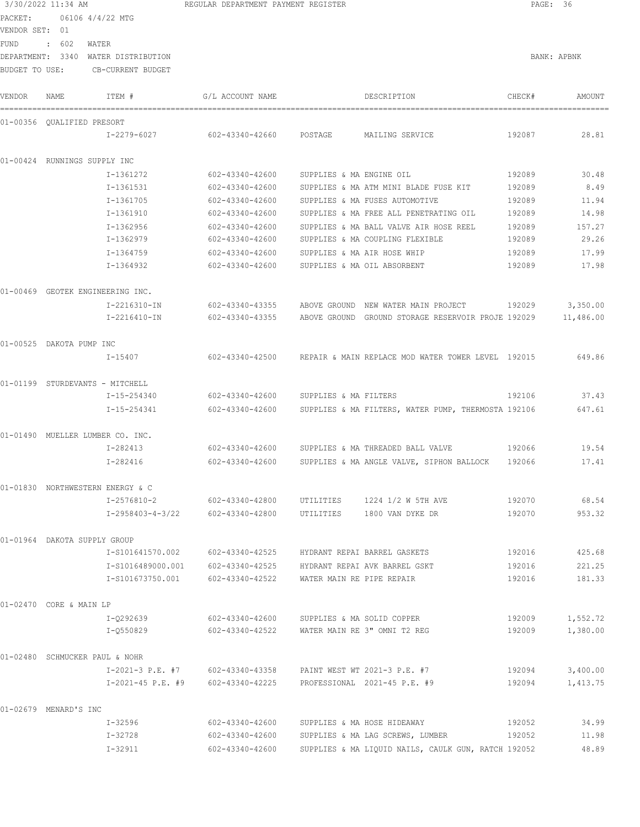|                           | 3/30/2022 11:34 AM |                                     | REGULAR DEPARTMENT PAYMENT REGISTER                            |                             |                                                                                         |                  | PAGE: 36         |
|---------------------------|--------------------|-------------------------------------|----------------------------------------------------------------|-----------------------------|-----------------------------------------------------------------------------------------|------------------|------------------|
| PACKET:<br>VENDOR SET: 01 |                    | 06106 4/4/22 MTG                    |                                                                |                             |                                                                                         |                  |                  |
| FUND                      | $\cdot$ 602        | WATER                               |                                                                |                             |                                                                                         |                  |                  |
|                           |                    | DEPARTMENT: 3340 WATER DISTRIBUTION |                                                                |                             |                                                                                         |                  | BANK: APBNK      |
| BUDGET TO USE:            |                    | CB-CURRENT BUDGET                   |                                                                |                             |                                                                                         |                  |                  |
| VENDOR                    | NAME               | ITEM #                              | G/L ACCOUNT NAME                                               |                             | DESCRIPTION                                                                             | CHECK#           | AMOUNT           |
|                           |                    | 01-00356 QUALIFIED PRESORT          |                                                                |                             |                                                                                         |                  |                  |
|                           |                    | I-2279-6027                         | 602-43340-42660 POSTAGE                                        |                             | MAILING SERVICE                                                                         | 192087           | 28.81            |
|                           |                    | 01-00424 RUNNINGS SUPPLY INC        |                                                                |                             |                                                                                         |                  |                  |
|                           |                    | I-1361272                           | 602-43340-42600 SUPPLIES & MA ENGINE OIL                       |                             |                                                                                         | 192089           | 30.48            |
|                           |                    | I-1361531                           |                                                                |                             | 602-43340-42600 SUPPLIES & MA ATM MINI BLADE FUSE KIT                                   | 192089           | 8.49             |
|                           |                    | I-1361705                           | 602-43340-42600                                                |                             | SUPPLIES & MA FUSES AUTOMOTIVE                                                          | 192089           | 11.94            |
|                           |                    | I-1361910                           | 602-43340-42600                                                |                             | SUPPLIES & MA FREE ALL PENETRATING OIL                                                  | 192089           | 14.98            |
|                           |                    | I-1362956                           | 602-43340-42600                                                |                             | SUPPLIES & MA BALL VALVE AIR HOSE REEL                                                  | 192089           | 157.27           |
|                           |                    |                                     | I-1362979 602-43340-42600                                      |                             | SUPPLIES & MA COUPLING FLEXIBLE                                                         | 192089           | 29.26            |
|                           |                    | I-1364759                           | 602-43340-42600                                                |                             | SUPPLIES & MA AIR HOSE WHIP                                                             | 192089           | 17.99            |
|                           |                    | I-1364932                           | 602-43340-42600                                                | SUPPLIES & MA OIL ABSORBENT |                                                                                         | 192089           | 17.98            |
|                           |                    | 01-00469 GEOTEK ENGINEERING INC.    |                                                                |                             |                                                                                         |                  |                  |
|                           |                    | I-2216310-IN                        |                                                                |                             | 602-43340-43355      ABOVE GROUND  NEW WATER MAIN PROJECT                               |                  | 192029 3,350.00  |
|                           |                    | I-2216410-IN                        |                                                                |                             | 602-43340-43355      ABOVE GROUND GROUND STORAGE RESERVOIR PROJE 192029       11,486.00 |                  |                  |
| 01-00525 DAKOTA PUMP INC  |                    |                                     |                                                                |                             |                                                                                         |                  |                  |
|                           |                    | I-15407                             |                                                                |                             | 602-43340-42500 REPAIR & MAIN REPLACE MOD WATER TOWER LEVEL 192015                      |                  | 649.86           |
|                           |                    | 01-01199 STURDEVANTS - MITCHELL     |                                                                |                             |                                                                                         |                  |                  |
|                           |                    |                                     | I-15-254340 602-43340-42600 SUPPLIES & MA FILTERS              |                             |                                                                                         |                  | 192106 37.43     |
|                           |                    | I-15-254341                         |                                                                |                             | 602-43340-42600 SUPPLIES & MA FILTERS, WATER PUMP, THERMOSTA 192106                     |                  | 647.61           |
|                           |                    | 01-01490 MUELLER LUMBER CO. INC.    |                                                                |                             |                                                                                         |                  |                  |
|                           |                    | I-282413                            |                                                                |                             | $602-43340-42600$ SUPPLIES & MA THREADED BALL VALVE $192066$                            |                  | 19.54            |
|                           |                    | I-282416                            |                                                                |                             | 602-43340-42600 SUPPLIES & MA ANGLE VALVE, SIPHON BALLOCK 192066                        |                  | 17.41            |
|                           |                    | 01-01830 NORTHWESTERN ENERGY & C    |                                                                |                             |                                                                                         |                  |                  |
|                           |                    | I-2576810-2                         | 602-43340-42800                                                |                             | UTILITIES 1224 1/2 W 5TH AVE                                                            | 192070           | 68.54            |
|                           |                    |                                     | I-2958403-4-3/22 602-43340-42800 UTILITIES 1800 VAN DYKE DR    |                             |                                                                                         | 192070           | 953.32           |
|                           |                    | 01-01964 DAKOTA SUPPLY GROUP        |                                                                |                             |                                                                                         |                  |                  |
|                           |                    | I-S101641570.002                    | 602-43340-42525                                                |                             | HYDRANT REPAI BARREL GASKETS                                                            | 192016           | 425.68           |
|                           |                    |                                     |                                                                | WATER MAIN RE PIPE REPAIR   | HYDRANT REPAI AVK BARREL GSKT                                                           | 192016<br>192016 | 221.25<br>181.33 |
| 01-02470 CORE & MAIN LP   |                    |                                     |                                                                |                             |                                                                                         |                  |                  |
|                           |                    | I-Q292639                           | 602-43340-42600                                                | SUPPLIES & MA SOLID COPPER  |                                                                                         | 192009           | 1,552.72         |
|                           |                    | I-Q550829                           | 602-43340-42522 WATER MAIN RE 3" OMNI T2 REG                   |                             |                                                                                         | 192009           | 1,380.00         |
|                           |                    | 01-02480 SCHMUCKER PAUL & NOHR      |                                                                |                             |                                                                                         |                  |                  |
|                           |                    |                                     | I-2021-3 P.E. #7 602-43340-43358 PAINT WEST WT 2021-3 P.E. #7  |                             |                                                                                         | 192094           | 3,400.00         |
|                           |                    |                                     | I-2021-45 P.E. #9 602-43340-42225 PROFESSIONAL 2021-45 P.E. #9 |                             |                                                                                         | 192094           | 1,413.75         |
| 01-02679 MENARD'S INC     |                    |                                     |                                                                |                             |                                                                                         |                  |                  |
|                           |                    | I-32596                             | 602-43340-42600                                                |                             | SUPPLIES & MA HOSE HIDEAWAY                                                             | 192052           | 34.99            |
|                           |                    | I-32728                             | 602-43340-42600                                                |                             | SUPPLIES & MA LAG SCREWS, LUMBER                                                        | 192052           | 11.98            |
|                           |                    | I-32911                             | 602-43340-42600                                                |                             | SUPPLIES & MA LIQUID NAILS, CAULK GUN, RATCH 192052                                     |                  | 48.89            |
|                           |                    |                                     |                                                                |                             |                                                                                         |                  |                  |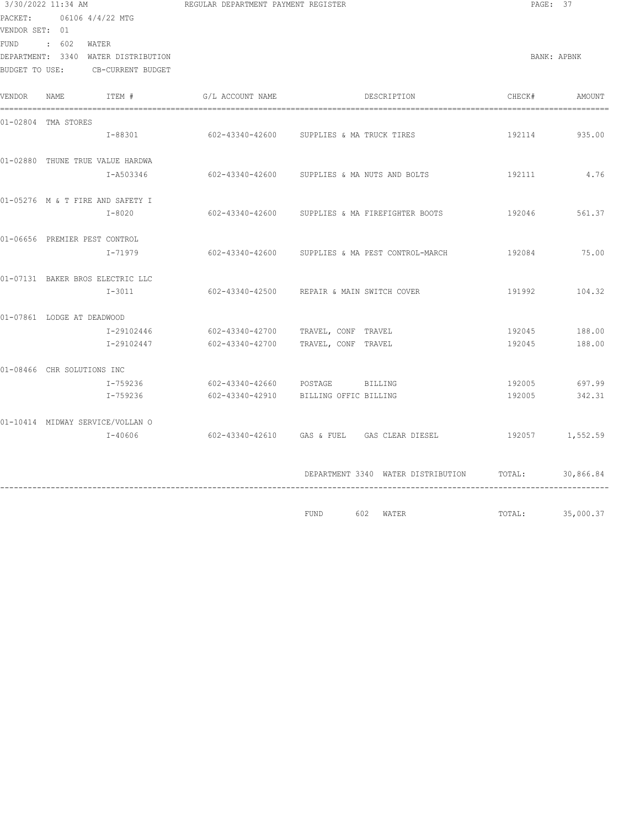| PACKET:                                         | 3/30/2022 11:34 AM<br>06106 4/4/22 MTG                                                | REGULAR DEPARTMENT PAYMENT REGISTER |                                                                          | PAGE: 37         |                  |
|-------------------------------------------------|---------------------------------------------------------------------------------------|-------------------------------------|--------------------------------------------------------------------------|------------------|------------------|
| VENDOR SET: 01<br><b>FUND</b><br>BUDGET TO USE: | $\therefore$ 602<br>WATER<br>DEPARTMENT: 3340 WATER DISTRIBUTION<br>CB-CURRENT BUDGET |                                     |                                                                          |                  | BANK: APBNK      |
| VENDOR                                          | ITEM #<br>NAME                                                                        | G/L ACCOUNT NAME                    | DESCRIPTION                                                              | CHECK#           | AMOUNT           |
|                                                 | 01-02804 TMA STORES<br>I-88301                                                        |                                     | 602-43340-42600 SUPPLIES & MA TRUCK TIRES                                | 192114           | 935.00           |
|                                                 | 01-02880 THUNE TRUE VALUE HARDWA<br>I-A503346                                         |                                     | 602-43340-42600 SUPPLIES & MA NUTS AND BOLTS                             | 192111           | 4.76             |
|                                                 | 01-05276 M & T FIRE AND SAFETY I<br>$I - 8020$                                        |                                     | 602-43340-42600 SUPPLIES & MA FIREFIGHTER BOOTS                          | 192046           | 561.37           |
|                                                 | 01-06656 PREMIER PEST CONTROL<br>I-71979                                              |                                     | 602-43340-42600 SUPPLIES & MA PEST CONTROL-MARCH                         | 192084           | 75.00            |
|                                                 | 01-07131 BAKER BROS ELECTRIC LLC<br>I-3011                                            |                                     | 602-43340-42500 REPAIR & MAIN SWITCH COVER                               | 191992           | 104.32           |
|                                                 | 01-07861 LODGE AT DEADWOOD<br>I-29102446<br>I-29102447                                | 602-43340-42700                     | 602-43340-42700 TRAVEL, CONF TRAVEL<br>TRAVEL, CONF TRAVEL               | 192045<br>192045 | 188.00<br>188.00 |
|                                                 | 01-08466 CHR SOLUTIONS INC<br>I-759236<br>I-759236                                    |                                     | 602-43340-42660 POSTAGE BILLING<br>602-43340-42910 BILLING OFFIC BILLING | 192005<br>192005 | 697.99<br>342.31 |
|                                                 | 01-10414 MIDWAY SERVICE/VOLLAN O<br>I-40606                                           |                                     | 602-43340-42610 GAS & FUEL GAS CLEAR DIESEL                              |                  | 192057 1,552.59  |
|                                                 |                                                                                       |                                     | DEPARTMENT 3340 WATER DISTRIBUTION                                       | TOTAL:           | 30,866.84        |
|                                                 |                                                                                       |                                     | <b>FUND</b><br>602 WATER                                                 | TOTAL:           | 35,000.37        |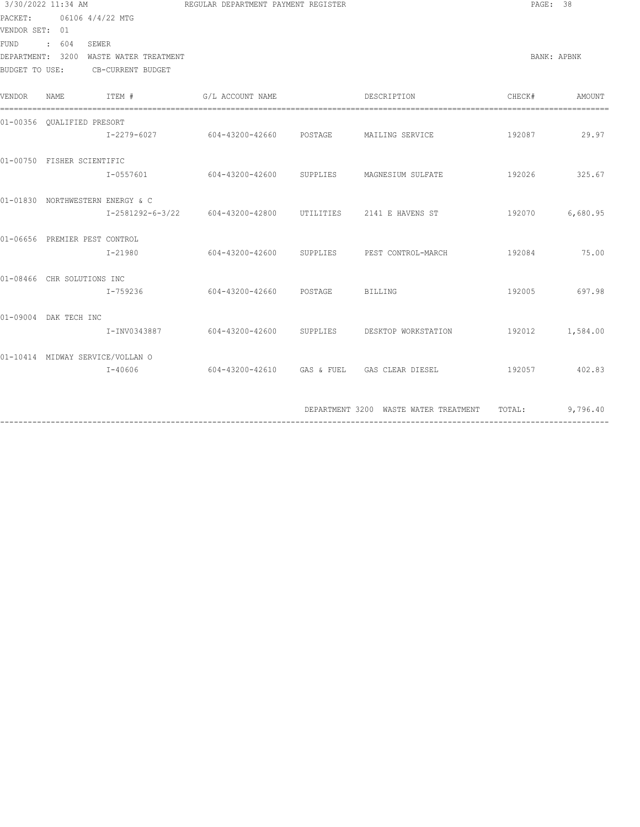|                | 3/30/2022 11:34 AM               |                                        | REGULAR DEPARTMENT PAYMENT REGISTER      |                                                                                             | PAGE: 38        |             |
|----------------|----------------------------------|----------------------------------------|------------------------------------------|---------------------------------------------------------------------------------------------|-----------------|-------------|
|                | PACKET: 06106 4/4/22 MTG         |                                        |                                          |                                                                                             |                 |             |
| VENDOR SET: 01 |                                  |                                        |                                          |                                                                                             |                 |             |
|                | FUND : 604 SEWER                 |                                        |                                          |                                                                                             |                 |             |
|                |                                  | DEPARTMENT: 3200 WASTE WATER TREATMENT |                                          |                                                                                             |                 | BANK: APBNK |
|                |                                  | BUDGET TO USE: CB-CURRENT BUDGET       |                                          |                                                                                             |                 |             |
| VENDOR         | NAME.                            | ITEM #                                 | G/L ACCOUNT NAME                         | DESCRIPTION                                                                                 | CHECK# AMOUNT   |             |
|                | 01-00356 QUALIFIED PRESORT       |                                        |                                          |                                                                                             |                 |             |
|                |                                  |                                        |                                          | I-2279-6027       604-43200-42660   POSTAGE     MAILING SERVICE          192087       29.97 |                 |             |
|                | 01-00750 FISHER SCIENTIFIC       |                                        |                                          |                                                                                             |                 |             |
|                |                                  |                                        |                                          | I-0557601 604-43200-42600 SUPPLIES MAGNESIUM SULFATE 192026 325.67                          |                 |             |
|                | 01-01830 NORTHWESTERN ENERGY & C |                                        |                                          |                                                                                             |                 |             |
|                |                                  |                                        |                                          | I-2581292-6-3/22 604-43200-42800 UTILITIES 2141 E HAVENS ST                                 | 192070 6,680.95 |             |
|                | 01-06656 PREMIER PEST CONTROL    |                                        |                                          |                                                                                             |                 |             |
|                |                                  | I-21980                                |                                          | 604-43200-42600 SUPPLIES PEST CONTROL-MARCH                                                 | 192084 75.00    |             |
|                | 01-08466 CHR SOLUTIONS INC       |                                        |                                          |                                                                                             |                 |             |
|                |                                  |                                        | I-759236 604-43200-42660 POSTAGE BILLING |                                                                                             | 192005 697.98   |             |
|                | 01-09004 DAK TECH INC            |                                        |                                          |                                                                                             |                 |             |
|                |                                  |                                        |                                          | I-INV0343887 604-43200-42600 SUPPLIES DESKTOP WORKSTATION 192012 1,584.00                   |                 |             |
|                |                                  | 01-10414 MIDWAY SERVICE/VOLLAN O       |                                          |                                                                                             |                 |             |
|                |                                  | T-40606                                |                                          | $604-43200-42610$ GAS & FUEL GAS CLEAR DIESEL                                               | 192057 402.83   |             |
|                |                                  |                                        |                                          |                                                                                             |                 |             |
|                |                                  |                                        |                                          | DEPARTMENT 3200 WASTE WATER TREATMENT TOTAL: 9,796.40                                       |                 |             |
|                |                                  |                                        |                                          |                                                                                             |                 |             |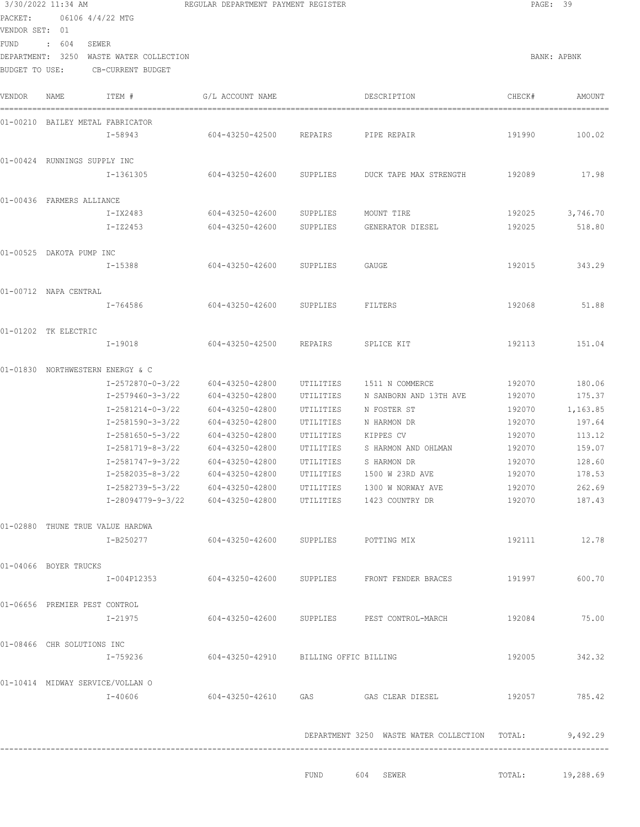|                | 3/30/2022 11:34 AM               |                                         | REGULAR DEPARTMENT PAYMENT REGISTER                             |           |                                               |        | PAGE: 39    |
|----------------|----------------------------------|-----------------------------------------|-----------------------------------------------------------------|-----------|-----------------------------------------------|--------|-------------|
| PACKET:        | 06106 4/4/22 MTG                 |                                         |                                                                 |           |                                               |        |             |
| VENDOR SET: 01 |                                  |                                         |                                                                 |           |                                               |        |             |
| FUND           | $\cdot$ 604<br>SEWER             | DEPARTMENT: 3250 WASTE WATER COLLECTION |                                                                 |           |                                               |        | BANK: APBNK |
| BUDGET TO USE: |                                  | CB-CURRENT BUDGET                       |                                                                 |           |                                               |        |             |
| VENDOR         | NAME                             | ITEM #                                  | G/L ACCOUNT NAME                                                |           | DESCRIPTION                                   | CHECK# | AMOUNT      |
|                |                                  |                                         |                                                                 |           |                                               |        |             |
|                | 01-00210 BAILEY METAL FABRICATOR | I-58943                                 | 604-43250-42500                                                 | REPAIRS   | PIPE REPAIR                                   | 191990 | 100.02      |
|                |                                  |                                         |                                                                 |           |                                               |        |             |
|                | 01-00424 RUNNINGS SUPPLY INC     |                                         |                                                                 |           |                                               |        |             |
|                |                                  | I-1361305                               | 604-43250-42600                                                 | SUPPLIES  | DUCK TAPE MAX STRENGTH                        | 192089 | 17.98       |
|                | 01-00436 FARMERS ALLIANCE        |                                         |                                                                 |           |                                               |        |             |
|                |                                  | I-IX2483                                | 604-43250-42600                                                 | SUPPLIES  | MOUNT TIRE                                    | 192025 | 3,746.70    |
|                |                                  | I-IZ2453                                | 604-43250-42600                                                 | SUPPLIES  | GENERATOR DIESEL                              | 192025 | 518.80      |
|                | 01-00525 DAKOTA PUMP INC         |                                         |                                                                 |           |                                               |        |             |
|                |                                  | I-15388                                 | 604-43250-42600                                                 | SUPPLIES  | GAUGE                                         | 192015 | 343.29      |
|                | 01-00712 NAPA CENTRAL            |                                         |                                                                 |           |                                               |        |             |
|                |                                  | I-764586                                | 604-43250-42600                                                 | SUPPLIES  | FILTERS                                       | 192068 | 51.88       |
|                |                                  |                                         |                                                                 |           |                                               |        |             |
|                | 01-01202 TK ELECTRIC             | I-19018                                 | 604-43250-42500                                                 | REPAIRS   | SPLICE KIT                                    | 192113 | 151.04      |
|                |                                  |                                         |                                                                 |           |                                               |        |             |
|                | 01-01830 NORTHWESTERN ENERGY & C |                                         |                                                                 |           |                                               |        |             |
|                |                                  | I-2572870-0-3/22                        | 604-43250-42800                                                 | UTILITIES | 1511 N COMMERCE                               | 192070 | 180.06      |
|                |                                  | I-2579460-3-3/22                        | 604-43250-42800                                                 | UTILITIES | N SANBORN AND 13TH AVE                        | 192070 | 175.37      |
|                |                                  | I-2581214-0-3/22                        | 604-43250-42800                                                 | UTILITIES | N FOSTER ST                                   | 192070 | 1,163.85    |
|                |                                  | I-2581590-3-3/22                        | 604-43250-42800                                                 | UTILITIES | N HARMON DR                                   | 192070 | 197.64      |
|                |                                  | I-2581650-5-3/22                        | 604-43250-42800                                                 | UTILITIES | KIPPES CV                                     | 192070 | 113.12      |
|                |                                  | I-2581719-8-3/22                        | 604-43250-42800                                                 | UTILITIES | S HARMON AND OHLMAN                           | 192070 | 159.07      |
|                |                                  | I-2581747-9-3/22                        | 604-43250-42800                                                 | UTILITIES | S HARMON DR                                   | 192070 | 128.60      |
|                |                                  | I-2582035-8-3/22                        | 604-43250-42800                                                 | UTILITIES | 1500 W 23RD AVE                               | 192070 | 178.53      |
|                |                                  | I-2582739-5-3/22                        | 604-43250-42800                                                 | UTILITIES | 1300 W NORWAY AVE                             | 192070 | 262.69      |
|                |                                  |                                         | I-28094779-9-3/22  604-43250-42800  UTILITIES  1423  COUNTRY DR |           |                                               | 192070 | 187.43      |
|                | 01-02880 THUNE TRUE VALUE HARDWA |                                         |                                                                 |           |                                               |        |             |
|                |                                  | I-B250277                               | 604-43250-42600 SUPPLIES POTTING MIX                            |           |                                               | 192111 | 12.78       |
|                |                                  |                                         |                                                                 |           |                                               |        |             |
|                | 01-04066 BOYER TRUCKS            |                                         |                                                                 |           |                                               |        | 600.70      |
|                |                                  | I-004P12353                             | 604-43250-42600 SUPPLIES                                        |           | FRONT FENDER BRACES                           | 191997 |             |
|                | 01-06656 PREMIER PEST CONTROL    |                                         |                                                                 |           |                                               |        |             |
|                |                                  | I-21975                                 |                                                                 |           | 604-43250-42600 SUPPLIES PEST CONTROL-MARCH   | 192084 | 75.00       |
|                | 01-08466 CHR SOLUTIONS INC       |                                         |                                                                 |           |                                               |        |             |
|                |                                  | I-759236                                | 604-43250-42910 BILLING OFFIC BILLING                           |           |                                               | 192005 | 342.32      |
|                |                                  |                                         |                                                                 |           |                                               |        |             |
|                | 01-10414 MIDWAY SERVICE/VOLLAN O | I-40606                                 | 604-43250-42610 GAS                                             |           | GAS CLEAR DIESEL                              | 192057 | 785.42      |
|                |                                  |                                         |                                                                 |           |                                               |        |             |
|                |                                  |                                         |                                                                 |           |                                               |        |             |
|                |                                  |                                         |                                                                 |           | DEPARTMENT 3250 WASTE WATER COLLECTION TOTAL: |        | 9,492.29    |
|                |                                  |                                         |                                                                 |           |                                               |        |             |
|                |                                  |                                         |                                                                 | FUND      | 604 SEWER                                     | TOTAL: | 19,288.69   |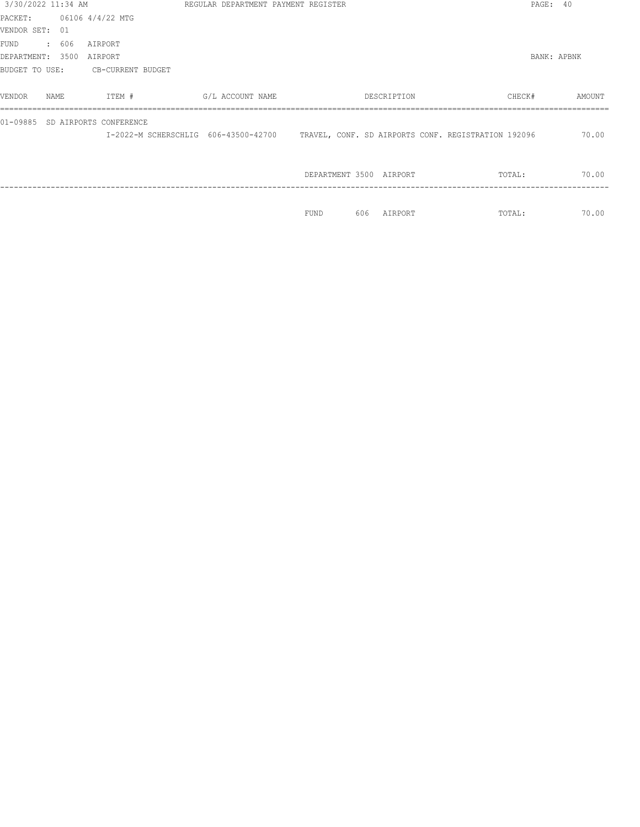| 3/30/2022 11:34 AM       |       |                                  | REGULAR DEPARTMENT PAYMENT REGISTER                                                      |                         |             | PAGE: 40    |        |
|--------------------------|-------|----------------------------------|------------------------------------------------------------------------------------------|-------------------------|-------------|-------------|--------|
|                          |       | PACKET: 06106 4/4/22 MTG         |                                                                                          |                         |             |             |        |
| VENDOR SET: 01           |       |                                  |                                                                                          |                         |             |             |        |
| FUND                     | : 606 | AIRPORT                          |                                                                                          |                         |             |             |        |
| DEPARTMENT: 3500 AIRPORT |       |                                  |                                                                                          |                         |             | BANK: APBNK |        |
|                          |       | BUDGET TO USE: CB-CURRENT BUDGET |                                                                                          |                         |             |             |        |
| VENDOR                   | NAME. | ITEM #                           | G/L ACCOUNT NAME                                                                         |                         | DESCRIPTION | CHECK#      | AMOUNT |
|                          |       | 01-09885 SD AIRPORTS CONFERENCE  | I-2022-M SCHERSCHLIG 606-43500-42700 TRAVEL, CONF. SD AIRPORTS CONF. REGISTRATION 192096 |                         |             |             | 70.00  |
|                          |       |                                  |                                                                                          | DEPARTMENT 3500 AIRPORT |             | TOTAL:      | 70.00  |
|                          |       |                                  |                                                                                          |                         |             |             |        |
|                          |       |                                  |                                                                                          | 606<br><b>FUND</b>      | AIRPORT     | TOTAL:      | 70.00  |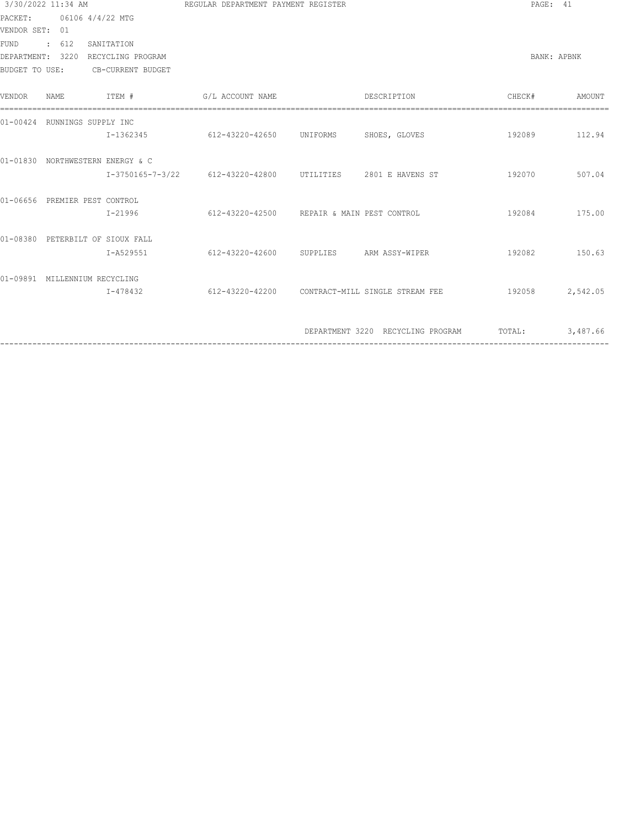| 3/30/2022 11:34 AM |                  |                                    |                                                             | REGULAR DEPARTMENT PAYMENT REGISTER |               |               |  |
|--------------------|------------------|------------------------------------|-------------------------------------------------------------|-------------------------------------|---------------|---------------|--|
|                    |                  | PACKET: 06106 4/4/22 MTG           |                                                             |                                     |               |               |  |
| VENDOR SET: 01     |                  |                                    |                                                             |                                     |               |               |  |
| FUND               | $\therefore$ 612 | SANITATION                         |                                                             |                                     |               |               |  |
|                    |                  | DEPARTMENT: 3220 RECYCLING PROGRAM |                                                             |                                     |               | BANK: APBNK   |  |
|                    |                  | BUDGET TO USE: CB-CURRENT BUDGET   |                                                             |                                     |               |               |  |
| VENDOR             | NAME             | ITEM #                             | G/L ACCOUNT NAME                                            | DESCRIPTION                         |               | CHECK# AMOUNT |  |
|                    |                  | 01-00424 RUNNINGS SUPPLY INC       |                                                             |                                     |               |               |  |
|                    |                  |                                    | I-1362345  612-43220-42650  UNIFORMS  SHOES, GLOVES         |                                     |               | 192089 112.94 |  |
|                    |                  | 01-01830 NORTHWESTERN ENERGY & C   |                                                             |                                     |               |               |  |
|                    |                  |                                    | I-3750165-7-3/22 612-43220-42800 UTILITIES 2801 E HAVENS ST |                                     | 192070        | 507.04        |  |
|                    |                  | 01-06656 PREMIER PEST CONTROL      |                                                             |                                     |               |               |  |
|                    |                  | I-21996                            | 612-43220-42500 REPAIR & MAIN PEST CONTROL                  |                                     | 192084 175.00 |               |  |
|                    |                  | 01-08380 PETERBILT OF SIOUX FALL   |                                                             |                                     |               |               |  |
|                    |                  | I-A529551                          | $612-43220-42600$ SUPPLIES ARM ASSY-WIPER                   |                                     |               | 192082 150.63 |  |
|                    |                  | 01-09891 MILLENNIUM RECYCLING      |                                                             |                                     |               |               |  |
|                    |                  | I-478432                           | 612-43220-42200 CONTRACT-MILL SINGLE STREAM FEE             |                                     | 192058        | 2,542.05      |  |
|                    |                  |                                    |                                                             |                                     |               |               |  |
|                    |                  |                                    |                                                             | DEPARTMENT 3220 RECYCLING PROGRAM   | TOTAL:        | 3,487.66      |  |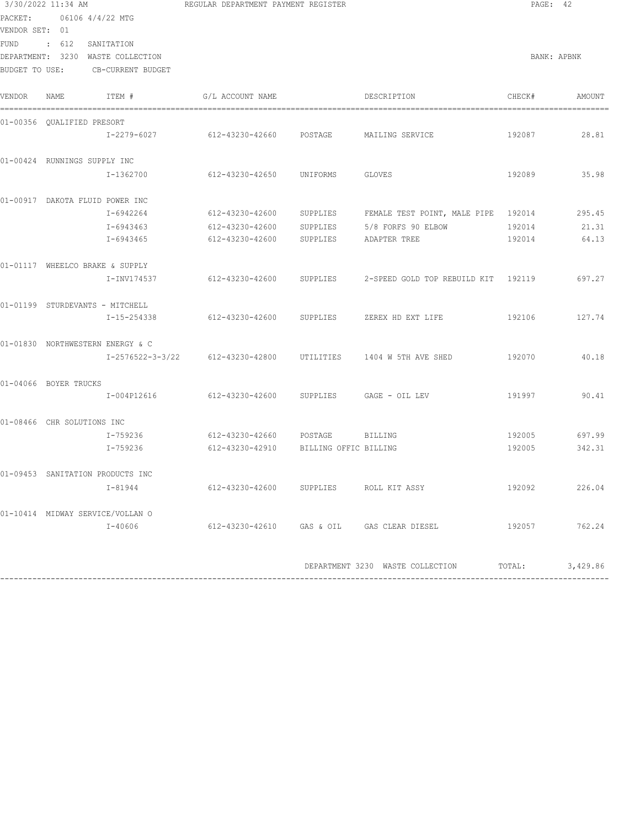| PACKET:                                  | 3/30/2022 11:34 AM<br>06106 4/4/22 MTG |                                                                      | REGULAR DEPARTMENT PAYMENT REGISTER                            |          |                                                              |        | PAGE: 42      |
|------------------------------------------|----------------------------------------|----------------------------------------------------------------------|----------------------------------------------------------------|----------|--------------------------------------------------------------|--------|---------------|
| VENDOR SET: 01<br>FUND<br>BUDGET TO USE: | $\therefore$ 612                       | SANITATION<br>DEPARTMENT: 3230 WASTE COLLECTION<br>CB-CURRENT BUDGET |                                                                |          |                                                              |        | BANK: APBNK   |
| VENDOR                                   | NAME                                   | ITEM #                                                               | G/L ACCOUNT NAME                                               |          | DESCRIPTION                                                  | CHECK# | AMOUNT        |
|                                          | 01-00356 OUALIFIED PRESORT             |                                                                      |                                                                |          |                                                              |        |               |
|                                          |                                        | I-2279-6027                                                          | 612-43230-42660 POSTAGE                                        |          | MAILING SERVICE                                              | 192087 | 28.81         |
|                                          | 01-00424 RUNNINGS SUPPLY INC           |                                                                      |                                                                |          |                                                              |        |               |
|                                          |                                        | I-1362700                                                            | 612-43230-42650                                                | UNIFORMS | GLOVES                                                       | 192089 | 35.98         |
|                                          | 01-00917 DAKOTA FLUID POWER INC        |                                                                      |                                                                |          |                                                              |        |               |
|                                          |                                        | I-6942264                                                            | 612-43230-42600                                                | SUPPLIES | FEMALE TEST POINT, MALE PIPE 192014                          |        | 295.45        |
|                                          |                                        | I-6943463                                                            | 612-43230-42600                                                | SUPPLIES | 5/8 FORFS 90 ELBOW                                           | 192014 | 21.31         |
|                                          |                                        | I-6943465                                                            | 612-43230-42600                                                | SUPPLIES | ADAPTER TREE                                                 | 192014 | 64.13         |
|                                          | 01-01117 WHEELCO BRAKE & SUPPLY        |                                                                      |                                                                |          |                                                              |        |               |
|                                          |                                        | I-INV174537                                                          |                                                                |          | 612-43230-42600 SUPPLIES 2-SPEED GOLD TOP REBUILD KIT 192119 |        | 697.27        |
|                                          | 01-01199 STURDEVANTS - MITCHELL        |                                                                      |                                                                |          |                                                              |        |               |
|                                          |                                        | I-15-254338                                                          | 612-43230-42600 SUPPLIES ZEREX HD EXT LIFE                     |          |                                                              | 192106 | 127.74        |
|                                          | 01-01830 NORTHWESTERN ENERGY & C       |                                                                      |                                                                |          |                                                              |        |               |
|                                          |                                        |                                                                      | I-2576522-3-3/22 612-43230-42800 UTILITIES 1404 W 5TH AVE SHED |          |                                                              | 192070 | 40.18         |
|                                          | 01-04066 BOYER TRUCKS                  |                                                                      |                                                                |          |                                                              |        |               |
|                                          |                                        | I-004P12616                                                          | $612-43230-42600$ SUPPLIES GAGE - OIL LEV                      |          |                                                              | 191997 | 90.41         |
|                                          | 01-08466 CHR SOLUTIONS INC             |                                                                      |                                                                |          |                                                              |        |               |
|                                          |                                        | I-759236                                                             | 612-43230-42660 POSTAGE BILLING                                |          |                                                              | 192005 | 697.99        |
|                                          |                                        | I-759236                                                             | 612-43230-42910 BILLING OFFIC BILLING                          |          |                                                              | 192005 | 342.31        |
|                                          | 01-09453 SANITATION PRODUCTS INC       |                                                                      |                                                                |          |                                                              |        |               |
|                                          |                                        | I-81944                                                              | 612-43230-42600 SUPPLIES ROLL KIT ASSY                         |          |                                                              |        | 192092 226.04 |
|                                          | 01-10414 MIDWAY SERVICE/VOLLAN O       |                                                                      |                                                                |          |                                                              |        |               |
|                                          |                                        | I-40606                                                              |                                                                |          |                                                              |        | 192057 762.24 |
|                                          |                                        |                                                                      |                                                                |          | DEPARTMENT 3230 WASTE COLLECTION                             | TOTAL: | 3,429.86      |
|                                          |                                        |                                                                      |                                                                |          |                                                              |        |               |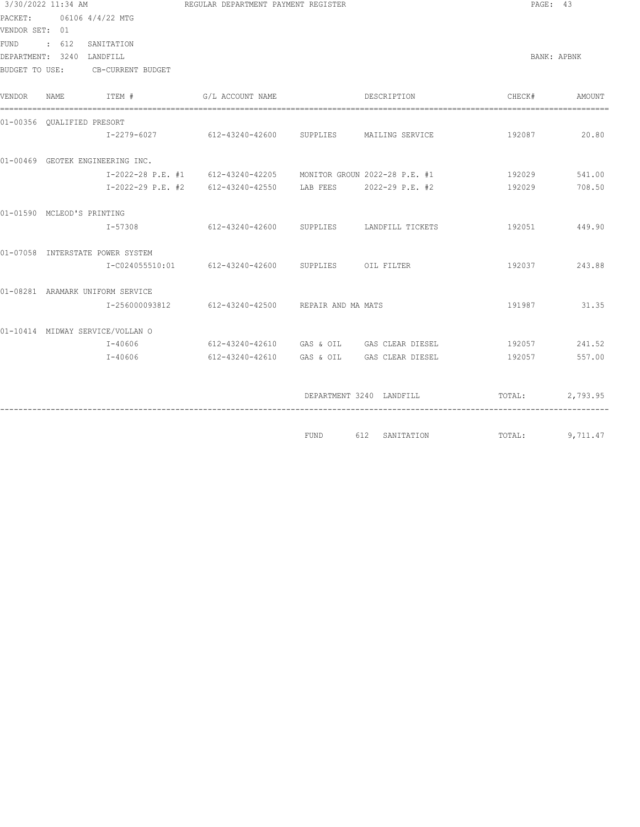|                | 3/30/2022 11:34 AM         |                                  | REGULAR DEPARTMENT PAYMENT REGISTER                        |                                                                               | PAGE: 43        |             |
|----------------|----------------------------|----------------------------------|------------------------------------------------------------|-------------------------------------------------------------------------------|-----------------|-------------|
|                | PACKET: 06106 4/4/22 MTG   |                                  |                                                            |                                                                               |                 |             |
| VENDOR SET: 01 |                            |                                  |                                                            |                                                                               |                 |             |
|                | FUND : 612 SANITATION      |                                  |                                                            |                                                                               |                 |             |
|                | DEPARTMENT: 3240 LANDFILL  |                                  |                                                            |                                                                               |                 | BANK: APBNK |
|                |                            | BUDGET TO USE: CB-CURRENT BUDGET |                                                            |                                                                               |                 |             |
| VENDOR         | NAME                       | ITEM #                           | G/L ACCOUNT NAME                                           | DESCRIPTION                                                                   | CHECK# AMOUNT   |             |
|                | 01-00356 OUALIFIED PRESORT |                                  |                                                            |                                                                               |                 |             |
|                |                            |                                  | I-2279-6027 612-43240-42600 SUPPLIES MAILING SERVICE       |                                                                               | 192087          | 20.80       |
|                |                            | 01-00469 GEOTEK ENGINEERING INC. |                                                            |                                                                               |                 |             |
|                |                            |                                  |                                                            | I-2022-28 P.E. #1 612-43240-42205 MONITOR GROUN 2022-28 P.E. #1 192029 541.00 |                 |             |
|                |                            |                                  | I-2022-29 P.E. #2 612-43240-42550 LAB FEES 2022-29 P.E. #2 |                                                                               | 192029 708.50   |             |
|                | 01-01590 MCLEOD'S PRINTING |                                  |                                                            |                                                                               |                 |             |
|                |                            |                                  |                                                            | I-57308 612-43240-42600 SUPPLIES LANDFILL TICKETS                             | 192051 449.90   |             |
|                |                            | 01-07058 INTERSTATE POWER SYSTEM |                                                            |                                                                               |                 |             |
|                |                            |                                  | I-C024055510:01 612-43240-42600 SUPPLIES OIL FILTER        |                                                                               | 192037 243.88   |             |
|                |                            | 01-08281 ARAMARK UNIFORM SERVICE |                                                            |                                                                               |                 |             |
|                |                            |                                  | I-256000093812 612-43240-42500 REPAIR AND MA MATS          |                                                                               | 191987 31.35    |             |
|                |                            | 01-10414 MIDWAY SERVICE/VOLLAN O |                                                            |                                                                               |                 |             |
|                |                            | I-40606                          |                                                            | 612-43240-42610 GAS & OIL GAS CLEAR DIESEL 192057 241.52                      |                 |             |
|                |                            | I-40606                          | $612-43240-42610$ GAS & OIL GAS CLEAR DIESEL               |                                                                               | 192057 557.00   |             |
|                |                            |                                  |                                                            | DEPARTMENT 3240 LANDFILL                                                      | TOTAL: 2,793.95 |             |
|                |                            |                                  |                                                            |                                                                               |                 |             |
|                |                            |                                  |                                                            | FUND 612 SANITATION TOTAL: 9,711.47                                           |                 |             |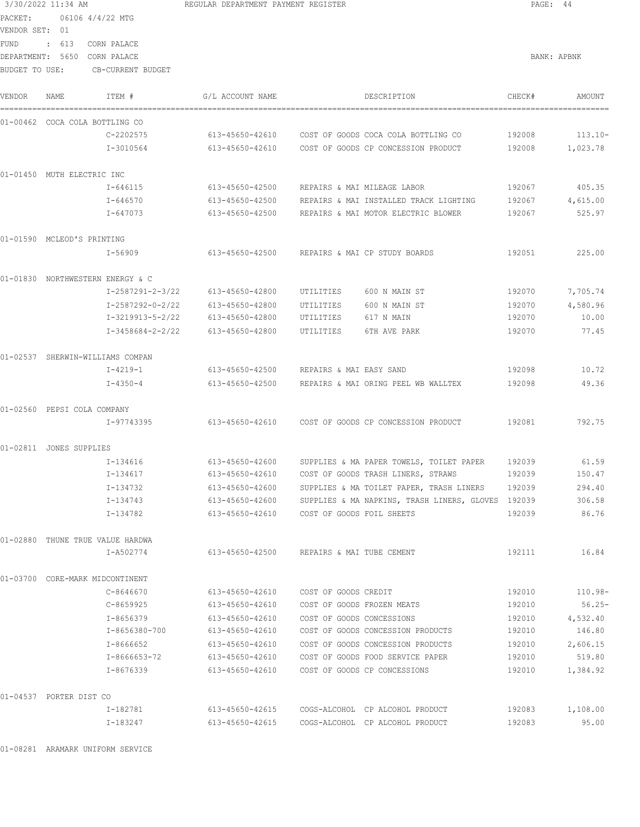3/30/2022 11:34 AM REGULAR DEPARTMENT PAYMENT REGISTER PAGE: 44 PACKET: 06106 4/4/22 MTG VENDOR SET: 01 FUND : 613 CORN PALACE DEPARTMENT: 5650 CORN PALACE BANK: APBNK BUDGET TO USE: CB-CURRENT BUDGET

| VENDOR       | NAME                            | ITEM #                           | G/L ACCOUNT NAME |                              | DESCRIPTION                                         | CHECK# | AMOUNT     |
|--------------|---------------------------------|----------------------------------|------------------|------------------------------|-----------------------------------------------------|--------|------------|
| $01 - 00462$ | COCA COLA BOTTLING CO           |                                  |                  |                              |                                                     |        |            |
|              |                                 | C-2202575                        |                  |                              | 613-45650-42610 COST OF GOODS COCA COLA BOTTLING CO | 192008 | $113.10-$  |
|              |                                 | $T - 3010564$                    | 613-45650-42610  |                              | COST OF GOODS CP CONCESSION PRODUCT                 | 192008 | 1,023.78   |
|              | 01-01450 MUTH ELECTRIC INC      |                                  |                  |                              |                                                     |        |            |
|              |                                 | I-646115                         | 613-45650-42500  | REPAIRS & MAI MILEAGE LABOR  |                                                     | 192067 | 405.35     |
|              |                                 | I-646570                         | 613-45650-42500  |                              | REPAIRS & MAI INSTALLED TRACK LIGHTING              | 192067 | 4,615.00   |
|              |                                 | I-647073                         | 613-45650-42500  |                              | REPAIRS & MAI MOTOR ELECTRIC BLOWER                 | 192067 | 525.97     |
|              | 01-01590 MCLEOD'S PRINTING      |                                  |                  |                              |                                                     |        |            |
|              |                                 | I-56909                          | 613-45650-42500  |                              | REPAIRS & MAI CP STUDY BOARDS                       | 192051 | 225.00     |
|              |                                 | 01-01830 NORTHWESTERN ENERGY & C |                  |                              |                                                     |        |            |
|              |                                 | I-2587291-2-3/22                 | 613-45650-42800  | UTILITIES                    | 600 N MAIN ST                                       | 192070 | 7,705.74   |
|              |                                 | I-2587292-0-2/22                 | 613-45650-42800  | UTILITIES                    | 600 N MAIN ST                                       | 192070 | 4,580.96   |
|              |                                 | I-3219913-5-2/22                 | 613-45650-42800  | UTILITIES                    | 617 N MAIN                                          | 192070 | 10.00      |
|              |                                 | I-3458684-2-2/22                 | 613-45650-42800  | UTILITIES                    | 6TH AVE PARK                                        | 192070 | 77.45      |
| $01 - 02537$ |                                 | SHERWIN-WILLIAMS COMPAN          |                  |                              |                                                     |        |            |
|              |                                 | I-4219-1                         | 613-45650-42500  | REPAIRS & MAI EASY SAND      |                                                     | 192098 | 10.72      |
|              |                                 | $I - 4350 - 4$                   | 613-45650-42500  |                              | REPAIRS & MAI ORING PEEL WB WALLTEX                 | 192098 | 49.36      |
| $01 - 02560$ | PEPSI COLA COMPANY              |                                  |                  |                              |                                                     |        |            |
|              |                                 | I-97743395                       | 613-45650-42610  |                              | COST OF GOODS CP CONCESSION PRODUCT                 | 192081 | 792.75     |
|              | 01-02811 JONES SUPPLIES         |                                  |                  |                              |                                                     |        |            |
|              |                                 | I-134616                         | 613-45650-42600  |                              | SUPPLIES & MA PAPER TOWELS, TOILET PAPER            | 192039 | 61.59      |
|              |                                 | I-134617                         | 613-45650-42610  |                              | COST OF GOODS TRASH LINERS, STRAWS                  | 192039 | 150.47     |
|              |                                 | I-134732                         | 613-45650-42600  |                              | SUPPLIES & MA TOILET PAPER, TRASH LINERS            | 192039 | 294.40     |
|              |                                 | I-134743                         | 613-45650-42600  |                              | SUPPLIES & MA NAPKINS, TRASH LINERS, GLOVES 192039  |        | 306.58     |
|              |                                 | I-134782                         | 613-45650-42610  | COST OF GOODS FOIL SHEETS    |                                                     | 192039 | 86.76      |
|              |                                 | 01-02880 THUNE TRUE VALUE HARDWA |                  |                              |                                                     |        |            |
|              |                                 | I-A502774                        | 613-45650-42500  | REPAIRS & MAI TUBE CEMENT    |                                                     | 192111 | 16.84      |
|              | 01-03700 CORE-MARK MIDCONTINENT |                                  |                  |                              |                                                     |        |            |
|              |                                 | C-8646670                        | 613-45650-42610  | COST OF GOODS CREDIT         |                                                     | 192010 | $110.98 -$ |
|              |                                 | C-8659925                        | 613-45650-42610  | COST OF GOODS FROZEN MEATS   |                                                     | 192010 | $56.25-$   |
|              |                                 | I-8656379                        | 613-45650-42610  | COST OF GOODS CONCESSIONS    |                                                     | 192010 | 4,532.40   |
|              |                                 | I-8656380-700                    | 613-45650-42610  |                              | COST OF GOODS CONCESSION PRODUCTS                   | 192010 | 146.80     |
|              |                                 | I-8666652                        | 613-45650-42610  |                              | COST OF GOODS CONCESSION PRODUCTS                   | 192010 | 2,606.15   |
|              |                                 | I-8666653-72                     | 613-45650-42610  |                              | COST OF GOODS FOOD SERVICE PAPER                    | 192010 | 519.80     |
|              |                                 | I-8676339                        | 613-45650-42610  | COST OF GOODS CP CONCESSIONS |                                                     | 192010 | 1,384.92   |
|              | 01-04537 PORTER DIST CO         |                                  |                  |                              |                                                     |        |            |
|              |                                 | I-182781                         | 613-45650-42615  |                              | COGS-ALCOHOL CP ALCOHOL PRODUCT                     | 192083 | 1,108.00   |
|              |                                 | I-183247                         | 613-45650-42615  |                              | COGS-ALCOHOL CP ALCOHOL PRODUCT                     | 192083 | 95.00      |

01-08281 ARAMARK UNIFORM SERVICE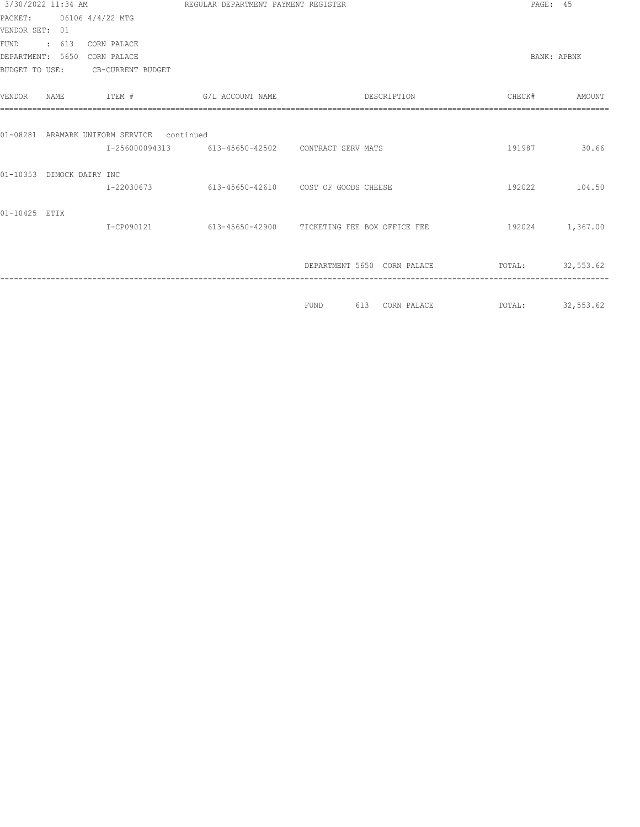|                | 3/30/2022 11:34 AM               |                                  | REGULAR DEPARTMENT PAYMENT REGISTER  |                                              | PAGE: 45         |           |
|----------------|----------------------------------|----------------------------------|--------------------------------------|----------------------------------------------|------------------|-----------|
|                | PACKET: 06106 4/4/22 MTG         |                                  |                                      |                                              |                  |           |
| VENDOR SET: 01 |                                  |                                  |                                      |                                              |                  |           |
| <b>FUND</b>    | $\therefore$ 613                 | CORN PALACE                      |                                      |                                              |                  |           |
|                | DEPARTMENT: 5650 CORN PALACE     |                                  |                                      |                                              | BANK: APBNK      |           |
|                |                                  | BUDGET TO USE: CB-CURRENT BUDGET |                                      |                                              |                  |           |
| <b>VENDOR</b>  | NAME.                            | ITEM #                           | G/L ACCOUNT NAME                     | DESCRIPTION                                  | CHECK#           | AMOUNT    |
|                |                                  |                                  |                                      |                                              |                  |           |
|                | 01-08281 ARAMARK UNIFORM SERVICE |                                  | continued                            |                                              |                  |           |
|                |                                  | I-256000094313                   | 613-45650-42502 CONTRACT SERV MATS   |                                              | 191987           | 30.66     |
|                | 01-10353 DIMOCK DAIRY INC        |                                  |                                      |                                              |                  |           |
|                |                                  | I-22030673                       | 613-45650-42610 COST OF GOODS CHEESE |                                              | 192022           | 104.50    |
| 01-10425 ETIX  |                                  |                                  |                                      |                                              |                  |           |
|                |                                  | I-CP090121                       |                                      | 613-45650-42900 TICKETING FEE BOX OFFICE FEE | 192024 1,367.00  |           |
|                |                                  |                                  |                                      |                                              |                  |           |
|                |                                  |                                  |                                      | DEPARTMENT 5650 CORN PALACE                  | TOTAL:           | 32,553.62 |
|                |                                  |                                  |                                      |                                              |                  |           |
|                |                                  |                                  |                                      | 613 CORN PALACE<br>FUND                      | TOTAL: 32,553.62 |           |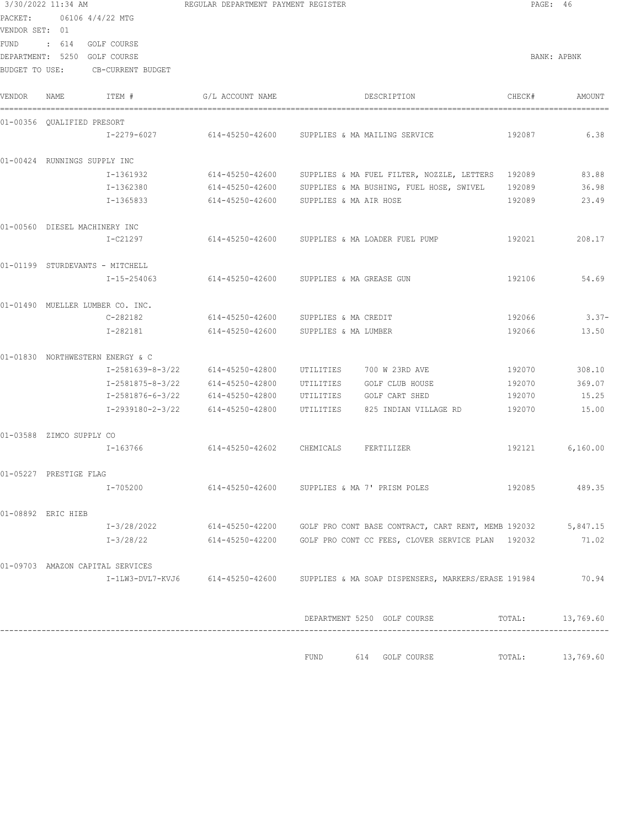|                | 3/30/2022 11:34 AM              |                                  | REGULAR DEPARTMENT PAYMENT REGISTER            |                          |                                                                                          |        | PAGE: 46         |
|----------------|---------------------------------|----------------------------------|------------------------------------------------|--------------------------|------------------------------------------------------------------------------------------|--------|------------------|
| PACKET:        | 06106 4/4/22 MTG                |                                  |                                                |                          |                                                                                          |        |                  |
| VENDOR SET: 01 |                                 |                                  |                                                |                          |                                                                                          |        |                  |
| FUND           | : 614                           | GOLF COURSE                      |                                                |                          |                                                                                          |        |                  |
|                | DEPARTMENT: 5250 GOLF COURSE    |                                  |                                                |                          |                                                                                          |        | BANK: APBNK      |
| BUDGET TO USE: |                                 | CB-CURRENT BUDGET                |                                                |                          |                                                                                          |        |                  |
| VENDOR         | NAME                            | ITEM #                           | G/L ACCOUNT NAME                               |                          | DESCRIPTION                                                                              | CHECK# | AMOUNT           |
|                | 01-00356 QUALIFIED PRESORT      |                                  |                                                |                          |                                                                                          |        |                  |
|                |                                 | I-2279-6027                      | 614-45250-42600 SUPPLIES & MA MAILING SERVICE  |                          |                                                                                          | 192087 | 6.38             |
|                | 01-00424 RUNNINGS SUPPLY INC    |                                  |                                                |                          |                                                                                          |        |                  |
|                |                                 | I-1361932                        | 614-45250-42600                                |                          | SUPPLIES & MA FUEL FILTER, NOZZLE, LETTERS 192089                                        |        | 83.88            |
|                |                                 | I-1362380                        | 614-45250-42600                                |                          | SUPPLIES & MA BUSHING, FUEL HOSE, SWIVEL                                                 | 192089 | 36.98            |
|                |                                 | I-1365833                        | 614-45250-42600                                | SUPPLIES & MA AIR HOSE   |                                                                                          | 192089 | 23.49            |
|                | 01-00560 DIESEL MACHINERY INC   |                                  |                                                |                          |                                                                                          |        |                  |
|                |                                 | I-C21297                         | 614-45250-42600 SUPPLIES & MA LOADER FUEL PUMP |                          |                                                                                          | 192021 | 208.17           |
|                | 01-01199 STURDEVANTS - MITCHELL |                                  |                                                |                          |                                                                                          |        |                  |
|                |                                 | I-15-254063                      | 614-45250-42600 SUPPLIES & MA GREASE GUN       |                          |                                                                                          | 192106 | 54.69            |
|                |                                 | 01-01490 MUELLER LUMBER CO. INC. |                                                |                          |                                                                                          |        |                  |
|                |                                 | C-282182                         | 614-45250-42600 SUPPLIES & MA CREDIT           |                          |                                                                                          | 192066 | $3.37-$          |
|                |                                 | I-282181                         | 614-45250-42600 SUPPLIES & MA LUMBER           |                          |                                                                                          | 192066 | 13.50            |
|                |                                 | 01-01830 NORTHWESTERN ENERGY & C |                                                |                          |                                                                                          |        |                  |
|                |                                 |                                  | I-2581639-8-3/22 614-45250-42800               | UTILITIES                | 700 W 23RD AVE                                                                           | 192070 | 308.10           |
|                |                                 |                                  | I-2581875-8-3/22 614-45250-42800               | UTILITIES                | GOLF CLUB HOUSE                                                                          | 192070 | 369.07           |
|                |                                 |                                  | I-2581876-6-3/22 614-45250-42800               | UTILITIES GOLF CART SHED |                                                                                          | 192070 | 15.25            |
|                |                                 |                                  | I-2939180-2-3/22 614-45250-42800               | UTILITIES                | 825 INDIAN VILLAGE RD                                                                    | 192070 | 15.00            |
|                | 01-03588 ZIMCO SUPPLY CO        |                                  |                                                |                          |                                                                                          |        |                  |
|                |                                 | I-163766                         | 614-45250-42602                                | CHEMICALS                | FERTILIZER                                                                               | 192121 | 6,160.00         |
|                | 01-05227 PRESTIGE FLAG          |                                  |                                                |                          |                                                                                          |        |                  |
|                |                                 |                                  |                                                |                          | I-705200 614-45250-42600 SUPPLIES & MA 7' PRISM POLES                                    |        | 192085 489.35    |
|                | 01-08892 ERIC HIEB              |                                  |                                                |                          |                                                                                          |        |                  |
|                |                                 |                                  |                                                |                          | I-3/28/2022 614-45250-42200 GOLF PRO CONT BASE CONTRACT, CART RENT, MEMB 192032 5,847.15 |        |                  |
|                |                                 |                                  |                                                |                          | I-3/28/22 614-45250-42200 GOLF PRO CONT CC FEES, CLOVER SERVICE PLAN 192032 71.02        |        |                  |
|                |                                 | 01-09703 AMAZON CAPITAL SERVICES |                                                |                          |                                                                                          |        |                  |
|                |                                 |                                  |                                                |                          | I-1LW3-DVL7-KVJ6 614-45250-42600 SUPPLIES & MA SOAP DISPENSERS, MARKERS/ERASE 191984     |        | 70.94            |
|                |                                 |                                  |                                                |                          | DEPARTMENT 5250 GOLF COURSE                                                              |        | TOTAL: 13,769.60 |
|                |                                 |                                  |                                                |                          |                                                                                          |        |                  |
|                |                                 |                                  |                                                |                          | FUND 614 GOLF COURSE TOTAL: 13,769.60                                                    |        |                  |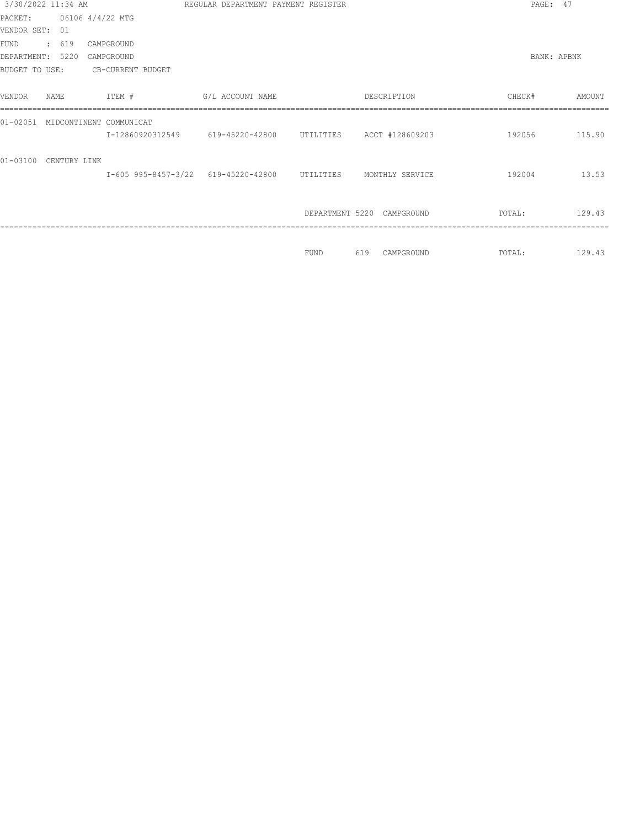|                | 3/30/2022 11:34 AM |                         | REGULAR DEPARTMENT PAYMENT REGISTER           |             |                            | PAGE: 47    |        |
|----------------|--------------------|-------------------------|-----------------------------------------------|-------------|----------------------------|-------------|--------|
| PACKET:        |                    | 06106 4/4/22 MTG        |                                               |             |                            |             |        |
| VENDOR SET:    | 01                 |                         |                                               |             |                            |             |        |
| <b>FUND</b>    | : 619              | CAMPGROUND              |                                               |             |                            |             |        |
| DEPARTMENT:    | 5220               | CAMPGROUND              |                                               |             |                            | BANK: APBNK |        |
| BUDGET TO USE: |                    | CB-CURRENT BUDGET       |                                               |             |                            |             |        |
| VENDOR         | NAME               | ITEM #                  | G/L ACCOUNT NAME                              |             | DESCRIPTION                | CHECK#      | AMOUNT |
| $01 - 02051$   |                    | MIDCONTINENT COMMUNICAT |                                               |             |                            |             |        |
|                |                    |                         |                                               |             | ACCT #128609203            | 192056      | 115.90 |
| $01 - 0.3100$  | CENTURY LINK       |                         |                                               |             |                            |             |        |
|                |                    |                         | I-605 995-8457-3/22 619-45220-42800 UTILITIES |             | MONTHLY SERVICE            | 192004      | 13.53  |
|                |                    |                         |                                               |             |                            |             |        |
|                |                    |                         |                                               |             | DEPARTMENT 5220 CAMPGROUND | TOTAL:      | 129.43 |
|                |                    |                         |                                               |             |                            |             |        |
|                |                    |                         |                                               | <b>FUND</b> | 619<br>CAMPGROUND          | TOTAL:      | 129.43 |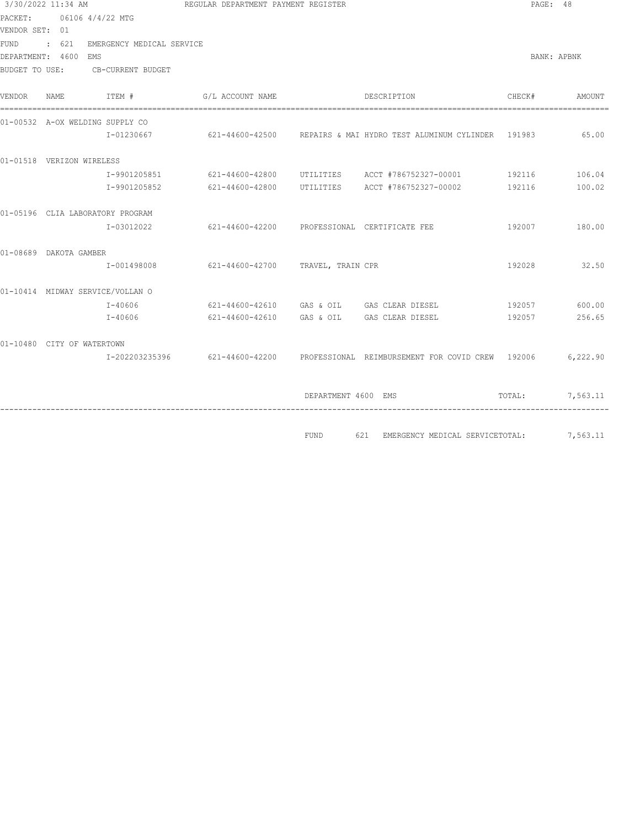|                | 3/30/2022 11:34 AM               |                                  | REGULAR DEPARTMENT PAYMENT REGISTER           |                     |                                                                                          | PAGE: 48      |              |
|----------------|----------------------------------|----------------------------------|-----------------------------------------------|---------------------|------------------------------------------------------------------------------------------|---------------|--------------|
|                | PACKET: 06106 4/4/22 MTG         |                                  |                                               |                     |                                                                                          |               |              |
| VENDOR SET: 01 |                                  |                                  |                                               |                     |                                                                                          |               |              |
| FUND           | $\therefore$ 621                 | EMERGENCY MEDICAL SERVICE        |                                               |                     |                                                                                          |               |              |
|                | DEPARTMENT: 4600 EMS             |                                  |                                               |                     |                                                                                          |               | BANK: APBNK  |
|                |                                  | BUDGET TO USE: CB-CURRENT BUDGET |                                               |                     |                                                                                          |               |              |
| VENDOR         | NAME                             | ITEM #                           | G/L ACCOUNT NAME                              |                     | DESCRIPTION                                                                              | CHECK#        | AMOUNT       |
|                | 01-00532 A-OX WELDING SUPPLY CO  |                                  |                                               |                     |                                                                                          |               |              |
|                |                                  |                                  |                                               |                     | I-01230667 621-44600-42500 REPAIRS & MAI HYDRO TEST ALUMINUM CYLINDER 191983 65.00       |               |              |
|                | 01-01518 VERIZON WIRELESS        |                                  |                                               |                     |                                                                                          |               |              |
|                |                                  |                                  |                                               |                     | I-9901205851 621-44600-42800 UTILITIES ACCT #786752327-00001 192116                      |               | 106.04       |
|                |                                  |                                  |                                               |                     | I-9901205852 621-44600-42800 UTILITIES ACCT #786752327-00002 192116 100.02               |               |              |
|                |                                  | 01-05196 CLIA LABORATORY PROGRAM |                                               |                     |                                                                                          |               |              |
|                |                                  |                                  |                                               |                     | I-03012022          621-44600-42200      PROFESSIONAL CERTIFICATE FEE                    | 192007 180.00 |              |
|                | 01-08689 DAKOTA GAMBER           |                                  |                                               |                     |                                                                                          |               |              |
|                |                                  |                                  | I-001498008 621-44600-42700 TRAVEL, TRAIN CPR |                     |                                                                                          |               | 192028 32.50 |
|                | 01-10414 MIDWAY SERVICE/VOLLAN O |                                  |                                               |                     |                                                                                          |               |              |
|                |                                  | I-40606                          |                                               |                     | 621-44600-42610 GAS & OIL GAS CLEAR DIESEL                                               | 192057        | 600.00       |
|                |                                  |                                  |                                               |                     | I-40606 621-44600-42610 GAS & OIL GAS CLEAR DIESEL 192057 256.65                         |               |              |
|                | 01-10480 CITY OF WATERTOWN       |                                  |                                               |                     |                                                                                          |               |              |
|                |                                  |                                  |                                               |                     | I-202203235396 621-44600-42200 PROFESSIONAL REIMBURSEMENT FOR COVID CREW 192006 6,222.90 |               |              |
|                |                                  |                                  |                                               | DEPARTMENT 4600 EMS | TOTAL: 7,563.11                                                                          |               |              |
|                |                                  |                                  |                                               | FUND                | 621 EMERGENCY MEDICAL SERVICETOTAL: 7,563.11                                             |               |              |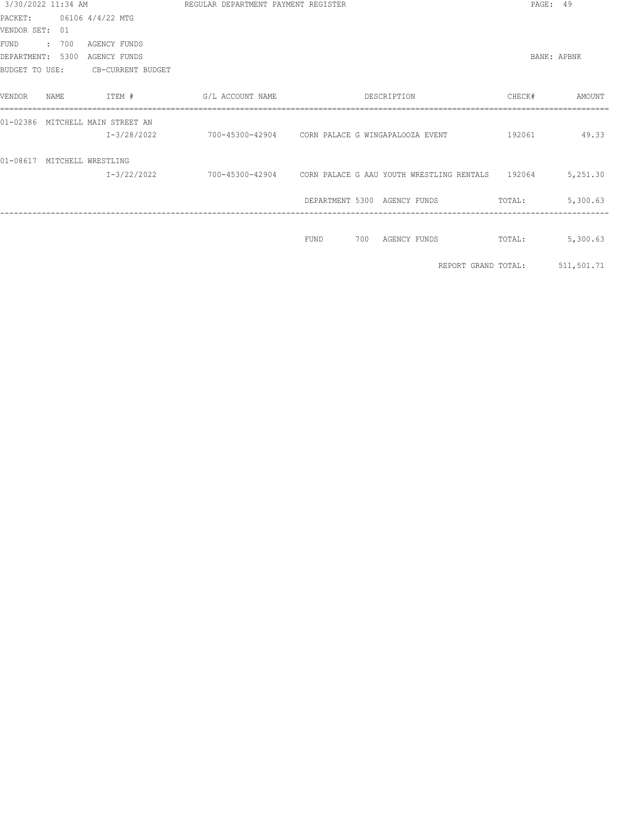| 3/30/2022 11:34 AM |       |                                  | REGULAR DEPARTMENT PAYMENT REGISTER                              |             |     |                              |                     | PAGE: 49 |             |
|--------------------|-------|----------------------------------|------------------------------------------------------------------|-------------|-----|------------------------------|---------------------|----------|-------------|
| PACKET:            |       | 06106 4/4/22 MTG                 |                                                                  |             |     |                              |                     |          |             |
| VENDOR SET: 01     |       |                                  |                                                                  |             |     |                              |                     |          |             |
| <b>FUND</b>        | : 700 | AGENCY FUNDS                     |                                                                  |             |     |                              |                     |          |             |
| DEPARTMENT: 5300   |       | <b>AGENCY FUNDS</b>              |                                                                  |             |     |                              |                     |          | BANK: APBNK |
|                    |       | BUDGET TO USE: CB-CURRENT BUDGET |                                                                  |             |     |                              |                     |          |             |
| VENDOR             | NAME  | ITEM #                           | G/L ACCOUNT NAME                                                 |             |     | DESCRIPTION                  |                     | CHECK#   | AMOUNT      |
| $01 - 02386$       |       | MITCHELL MAIN STREET AN          |                                                                  |             |     |                              |                     |          |             |
|                    |       | $I-3/28/2022$                    | 700-45300-42904 CORN PALACE G WINGAPALOOZA EVENT                 |             |     |                              |                     | 192061   | 49.33       |
| $01 - 08617$       |       | MITCHELL WRESTLING               |                                                                  |             |     |                              |                     |          |             |
|                    |       | I-3/22/2022                      | 700-45300-42904 CORN PALACE G AAU YOUTH WRESTLING RENTALS 192064 |             |     |                              |                     |          | 5,251.30    |
|                    |       |                                  |                                                                  |             |     | DEPARTMENT 5300 AGENCY FUNDS |                     | TOTAL:   | 5,300.63    |
|                    |       |                                  |                                                                  |             |     |                              |                     |          |             |
|                    |       |                                  |                                                                  | <b>FUND</b> | 700 | AGENCY FUNDS                 |                     | TOTAL:   | 5,300.63    |
|                    |       |                                  |                                                                  |             |     |                              | REPORT GRAND TOTAL: |          | 511,501.71  |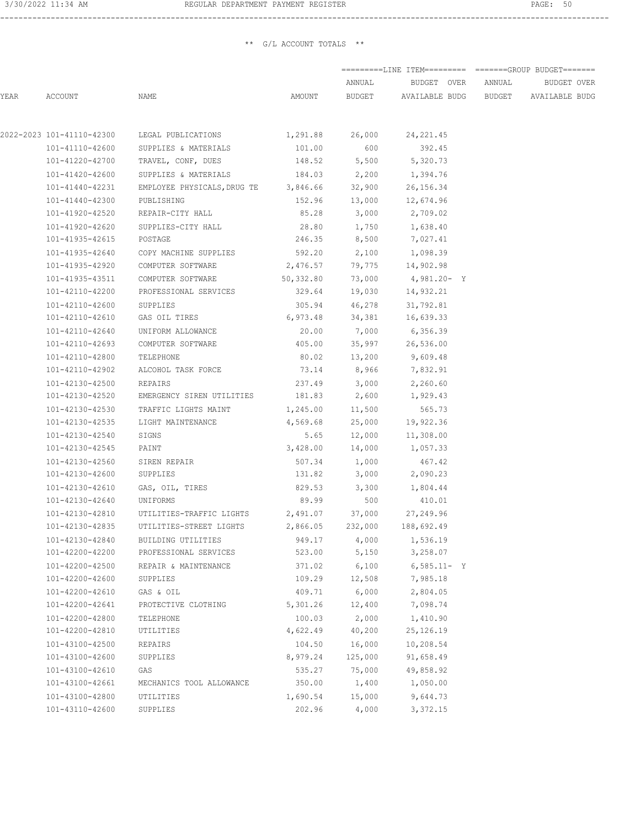------------------------------------------------------------------------------------------------------------------------------------

|      |                            |                                                                    |                           | =========LINE ITEM========= =======GROUP BUDGET======= |                                             |  |             |  |
|------|----------------------------|--------------------------------------------------------------------|---------------------------|--------------------------------------------------------|---------------------------------------------|--|-------------|--|
|      |                            |                                                                    |                           | ANNUAL                                                 | BUDGET OVER ANNUAL                          |  | BUDGET OVER |  |
| YEAR | ACCOUNT                    | NAME                                                               | AMOUNT                    |                                                        | BUDGET AVAILABLE BUDG BUDGET AVAILABLE BUDG |  |             |  |
|      |                            |                                                                    |                           |                                                        |                                             |  |             |  |
|      |                            | 2022-2023 101-41110-42300 LEGAL PUBLICATIONS                       | 1,291.88 26,000 24,221.45 |                                                        |                                             |  |             |  |
|      |                            | 101-41110-42600 SUPPLIES & MATERIALS                               |                           | 101.00 600                                             | 392.45                                      |  |             |  |
|      |                            | 101-41220-42700 TRAVEL, CONF, DUES                                 |                           | 148.52 5,500                                           | 5,320.73                                    |  |             |  |
|      |                            | 101-41420-42600 SUPPLIES & MATERIALS                               |                           | 184.03 2,200                                           | 1,394.76                                    |  |             |  |
|      |                            | 101-41440-42231 EMPLOYEE PHYSICALS, DRUG TE 3,846.66 32,900        |                           |                                                        | 26,156.34                                   |  |             |  |
|      | 101-41440-42300 PUBLISHING |                                                                    |                           | 152.96 13,000                                          | 12,674.96                                   |  |             |  |
|      |                            | 101-41920-42520 REPAIR-CITY HALL                                   | 85.28                     | 3,000                                                  | 2,709.02                                    |  |             |  |
|      |                            | 101-41920-42620 SUPPLIES-CITY HALL                                 |                           | 28.80 1,750                                            | 1,638.40                                    |  |             |  |
|      | 101-41935-42615 POSTAGE    |                                                                    |                           | 246.35 8,500                                           | 7,027.41                                    |  |             |  |
|      |                            | 101-41935-42640 COPY MACHINE SUPPLIES                              | 592.20 2,100              |                                                        | 1,098.39                                    |  |             |  |
|      |                            | 101-41935-42920 COMPUTER SOFTWARE                                  | 2,476.57 79,775 14,902.98 |                                                        |                                             |  |             |  |
|      |                            | 101-41935-43511 COMPUTER SOFTWARE 50,332.80 73,000 4,981.20- Y     |                           |                                                        |                                             |  |             |  |
|      |                            | 101-42110-42200 PROFESSIONAL SERVICES                              | 329.64                    |                                                        | 19,030 14,932.21                            |  |             |  |
|      | 101-42110-42600            | SUPPLIES                                                           |                           |                                                        | 305.94 46,278 31,792.81                     |  |             |  |
|      | 101-42110-42610            | GAS OIL TIRES                                                      |                           |                                                        | 6,973.48 34,381 16,639.33                   |  |             |  |
|      | 101-42110-42640            | UNIFORM ALLOWANCE                                                  | 20.00                     | 7,000                                                  | 6,356.39                                    |  |             |  |
|      | 101-42110-42693            | COMPUTER SOFTWARE                                                  | 405.00                    | 35,997                                                 | 26,536.00                                   |  |             |  |
|      | 101-42110-42800            | TELEPHONE                                                          | 80.02                     | 13,200                                                 | 9,609.48                                    |  |             |  |
|      |                            | 101-42110-42902 ALCOHOL TASK FORCE                                 | 73.14                     | 8,966                                                  | 7,832.91                                    |  |             |  |
|      | 101-42130-42500            | REPAIRS                                                            |                           | 237.49 3,000                                           | 2,260.60                                    |  |             |  |
|      |                            | 101-42130-42520 EMERGENCY SIREN UTILITIES                          | 181.83 2,600              |                                                        | 1,929.43                                    |  |             |  |
|      |                            | 101-42130-42530 TRAFFIC LIGHTS MAINT 1,245.00 11,500               |                           |                                                        | 565.73                                      |  |             |  |
|      | 101-42130-42535            | LIGHT MAINTENANCE                                                  | 4,569.68                  | 25,000                                                 | 19,922.36                                   |  |             |  |
|      | 101-42130-42540            | SIGNS                                                              | 5.65                      |                                                        | 12,000 11,308.00                            |  |             |  |
|      | 101-42130-42545            | PAINT                                                              |                           |                                                        | 3,428.00 14,000 1,057.33                    |  |             |  |
|      | 101-42130-42560            | SIREN REPAIR                                                       |                           | 507.34 1,000                                           | 467.42                                      |  |             |  |
|      | 101-42130-42600            | SUPPLIES                                                           |                           | 131.82 3,000                                           | 2,090.23                                    |  |             |  |
|      | 101-42130-42610            | GAS, OIL, TIRES                                                    |                           | 829.53 3,300                                           | 1,804.44                                    |  |             |  |
|      | 101-42130-42640 UNIFORMS   |                                                                    | 89.99                     | 500                                                    | 410.01                                      |  |             |  |
|      |                            | 101-42130-42810 UTILITIES-TRAFFIC LIGHTS 2,491.07 37,000 27,249.96 |                           |                                                        |                                             |  |             |  |
|      | 101-42130-42835            | UTILITIES-STREET LIGHTS                                            | 2,866.05                  | 232,000                                                | 188,692.49                                  |  |             |  |
|      | 101-42130-42840            | BUILDING UTILITIES                                                 | 949.17                    | 4,000                                                  | 1,536.19                                    |  |             |  |
|      | 101-42200-42200            | PROFESSIONAL SERVICES                                              | 523.00                    | 5,150                                                  | 3,258.07                                    |  |             |  |
|      | 101-42200-42500            | REPAIR & MAINTENANCE                                               | 371.02                    | 6,100                                                  | $6,585.11 - Y$                              |  |             |  |
|      | 101-42200-42600            | SUPPLIES                                                           | 109.29                    | 12,508                                                 | 7,985.18                                    |  |             |  |
|      | 101-42200-42610            | GAS & OIL                                                          | 409.71                    | 6,000                                                  | 2,804.05                                    |  |             |  |
|      | 101-42200-42641            | PROTECTIVE CLOTHING                                                | 5,301.26                  | 12,400                                                 | 7,098.74                                    |  |             |  |
|      | 101-42200-42800            | TELEPHONE                                                          | 100.03                    | 2,000                                                  | 1,410.90                                    |  |             |  |
|      | 101-42200-42810            | UTILITIES                                                          | 4,622.49                  | 40,200                                                 | 25, 126. 19                                 |  |             |  |
|      | 101-43100-42500            | REPAIRS                                                            | 104.50                    | 16,000                                                 | 10,208.54                                   |  |             |  |
|      | 101-43100-42600            | SUPPLIES                                                           | 8,979.24                  | 125,000                                                | 91,658.49                                   |  |             |  |
|      | 101-43100-42610            | GAS                                                                | 535.27                    | 75,000                                                 | 49,858.92                                   |  |             |  |
|      | 101-43100-42661            | MECHANICS TOOL ALLOWANCE                                           | 350.00                    | 1,400                                                  | 1,050.00                                    |  |             |  |
|      | 101-43100-42800            | UTILITIES                                                          | 1,690.54                  | 15,000                                                 | 9,644.73                                    |  |             |  |
|      | 101-43110-42600            | SUPPLIES                                                           | 202.96                    | 4,000                                                  | 3,372.15                                    |  |             |  |
|      |                            |                                                                    |                           |                                                        |                                             |  |             |  |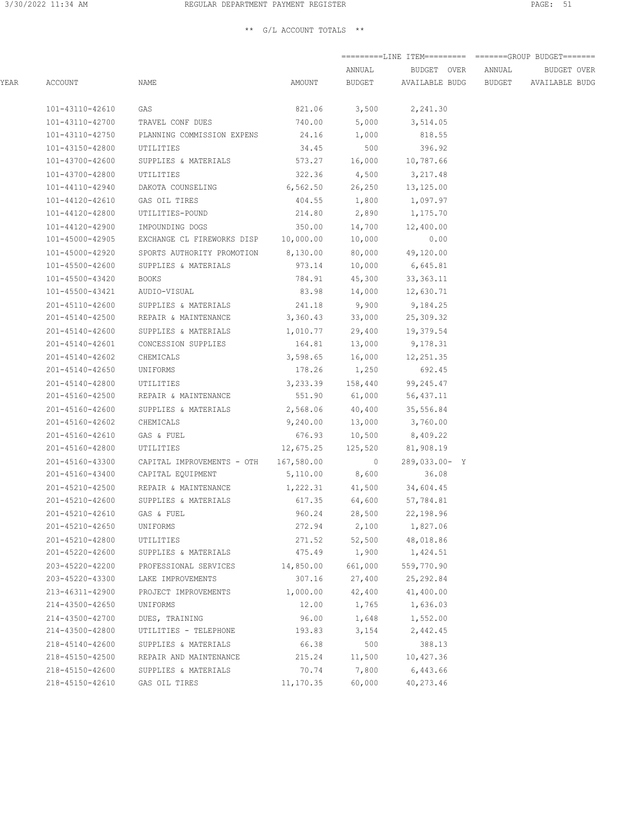|      |                 |                                                      |                             | ANNUAL           | BUDGET OVER ANNUAL            |  | BUDGET OVER                          |
|------|-----------------|------------------------------------------------------|-----------------------------|------------------|-------------------------------|--|--------------------------------------|
| YEAR | ACCOUNT         | NAME                                                 | AMOUNT                      | BUDGET           |                               |  | AVAILABLE BUDG BUDGET AVAILABLE BUDG |
|      | 101-43110-42610 | GAS                                                  |                             |                  | 821.06 3,500 2,241.30         |  |                                      |
|      | 101-43110-42700 | TRAVEL CONF DUES                                     | 740.00                      | 5,000            | 3,514.05                      |  |                                      |
|      | 101-43110-42750 | PLANNING COMMISSION EXPENS 24.16 1,000               |                             |                  | 818.55                        |  |                                      |
|      | 101-43150-42800 | UTILITIES                                            | 34.45                       | 500              | 396.92                        |  |                                      |
|      | 101-43700-42600 | SUPPLIES & MATERIALS                                 |                             |                  | 573.27    16,000    10,787.66 |  |                                      |
|      | 101-43700-42800 | UTILITIES                                            |                             | 322.36 4,500     | 3,217.48                      |  |                                      |
|      | 101-44110-42940 | DAKOTA COUNSELING                                    |                             |                  | 6,562.50 26,250 13,125.00     |  |                                      |
|      | 101-44120-42610 | GAS OIL TIRES                                        | 404.55                      | 1,800            | 1,097.97                      |  |                                      |
|      | 101-44120-42800 | UTILITIES-POUND                                      | 214.80                      | 2,890            | 1,175.70                      |  |                                      |
|      | 101-44120-42900 | IMPOUNDING DOGS                                      | 350.00                      | 14,700           | 12,400.00                     |  |                                      |
|      |                 | 101-45000-42905 EXCHANGE CL FIREWORKS DISP 10,000.00 |                             | 10,000           | 0.00                          |  |                                      |
|      |                 | 101-45000-42920 SPORTS AUTHORITY PROMOTION 8,130.00  |                             |                  | 80,000 49,120.00              |  |                                      |
|      |                 | 101-45500-42600 SUPPLIES & MATERIALS                 | 973.14                      | 10,000           | 6,645.81                      |  |                                      |
|      | 101-45500-43420 | BOOKS                                                |                             |                  | 784.91 45,300 33,363.11       |  |                                      |
|      |                 | 101-45500-43421 AUDIO-VISUAL                         |                             |                  | 83.98 14,000 12,630.71        |  |                                      |
|      |                 | 201-45110-42600 SUPPLIES & MATERIALS                 |                             |                  | 241.18 9,900 9,184.25         |  |                                      |
|      |                 | 201-45140-42500 REPAIR & MAINTENANCE                 | 3,360.43                    | 33,000           | 25,309.32                     |  |                                      |
|      | 201-45140-42600 | SUPPLIES & MATERIALS                                 | 1,010.77                    | 29,400           | 19,379.54                     |  |                                      |
|      | 201-45140-42601 | CONCESSION SUPPLIES                                  |                             | 164.81   13,000  | 9,178.31                      |  |                                      |
|      | 201-45140-42602 | CHEMICALS                                            |                             | 3,598.65 16,000  | 12,251.35                     |  |                                      |
|      | 201-45140-42650 | UNIFORMS                                             | 178.26                      | 1,250            | 692.45                        |  |                                      |
|      | 201-45140-42800 | UTILITIES                                            |                             | 3,233.39 158,440 | 99,245.47                     |  |                                      |
|      | 201-45160-42500 | REPAIR & MAINTENANCE                                 | 551.90                      | 61,000           | 56,437.11                     |  |                                      |
|      | 201-45160-42600 | SUPPLIES & MATERIALS                                 | 2,568.06                    | 40,400           | 35,556.84                     |  |                                      |
|      | 201-45160-42602 | CHEMICALS                                            | 9,240.00                    | 13,000           | 3,760.00                      |  |                                      |
|      | 201-45160-42610 | GAS & FUEL                                           |                             |                  | 676.93 10,500 8,409.22        |  |                                      |
|      | 201-45160-42800 | UTILITIES                                            | 12,675.25 125,520 81,908.19 |                  |                               |  |                                      |
|      | 201-45160-43300 | CAPITAL IMPROVEMENTS - OTH 167,580.00 0              |                             |                  | 289,033.00- Y                 |  |                                      |
|      |                 | 201-45160-43400 CAPITAL EQUIPMENT                    |                             |                  | 5,110.00 8,600 36.08          |  |                                      |
|      |                 | 201-45210-42500 REPAIR & MAINTENANCE                 |                             |                  | 1,222.31 41,500 34,604.45     |  |                                      |
|      |                 | 201-45210-42600 SUPPLIES & MATERIALS                 |                             | 617.35 64,600    | 57,784.81                     |  |                                      |
|      | 201-45210-42610 | GAS & FUEL                                           | 960.24                      | 28,500           | 22,198.96                     |  |                                      |
|      | 201-45210-42650 | UNIFORMS                                             | 272.94                      | 2,100            | 1,827.06                      |  |                                      |
|      | 201-45210-42800 | UTILITIES                                            | 271.52                      | 52,500           | 48,018.86                     |  |                                      |
|      | 201-45220-42600 | SUPPLIES & MATERIALS                                 | 475.49                      | 1,900            | 1,424.51                      |  |                                      |
|      | 203-45220-42200 | PROFESSIONAL SERVICES                                | 14,850.00                   | 661,000          | 559,770.90                    |  |                                      |
|      | 203-45220-43300 | LAKE IMPROVEMENTS                                    | 307.16                      | 27,400           | 25, 292.84                    |  |                                      |
|      | 213-46311-42900 | PROJECT IMPROVEMENTS                                 | 1,000.00                    | 42,400           | 41,400.00                     |  |                                      |
|      | 214-43500-42650 | UNIFORMS                                             | 12.00                       | 1,765            | 1,636.03                      |  |                                      |
|      | 214-43500-42700 | DUES, TRAINING                                       | 96.00                       | 1,648            | 1,552.00                      |  |                                      |
|      | 214-43500-42800 | UTILITIES - TELEPHONE                                | 193.83                      | 3,154            | 2,442.45                      |  |                                      |
|      | 218-45140-42600 | SUPPLIES & MATERIALS                                 | 66.38                       | 500              | 388.13                        |  |                                      |
|      | 218-45150-42500 | REPAIR AND MAINTENANCE                               | 215.24                      | 11,500           | 10,427.36                     |  |                                      |
|      | 218-45150-42600 | SUPPLIES & MATERIALS                                 | 70.74                       | 7,800            | 6,443.66                      |  |                                      |
|      | 218-45150-42610 | GAS OIL TIRES                                        | 11,170.35                   | 60,000           | 40,273.46                     |  |                                      |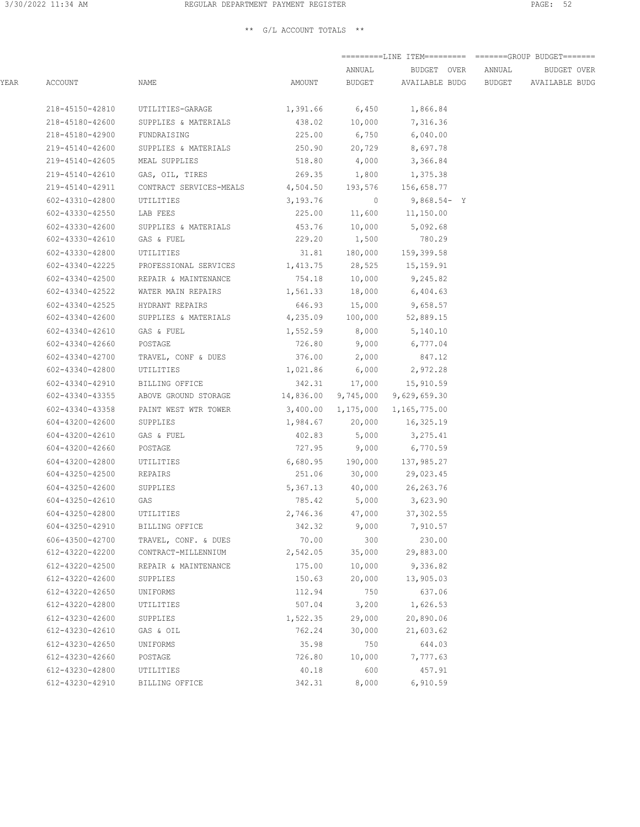|      |                 |                                                     |                     | ANNUAL          | BUDGET OVER                  | ANNUAL | BUDGET OVER           |
|------|-----------------|-----------------------------------------------------|---------------------|-----------------|------------------------------|--------|-----------------------|
| YEAR | ACCOUNT         | NAME                                                | AMOUNT              | BUDGET          | AVAILABLE BUDG               | BUDGET | <b>AVAILABLE BUDG</b> |
|      | 218-45150-42810 | UTILITIES-GARAGE                                    |                     | 1,391.66 6,450  | 1,866.84                     |        |                       |
|      | 218-45180-42600 | SUPPLIES & MATERIALS                                | 438.02              | 10,000          | 7,316.36                     |        |                       |
|      | 218-45180-42900 | FUNDRAISING                                         | 225.00              | 6,750           | 6,040.00                     |        |                       |
|      | 219-45140-42600 | SUPPLIES & MATERIALS                                | 250.90              | 20,729          | 8,697.78                     |        |                       |
|      | 219-45140-42605 | MEAL SUPPLIES                                       | 518.80              | 4,000           | 3,366.84                     |        |                       |
|      | 219-45140-42610 | GAS, OIL, TIRES                                     |                     |                 | 269.35 1,800 1,375.38        |        |                       |
|      | 219-45140-42911 | CONTRACT SERVICES-MEALS 4,504.50 193,576 156,658.77 |                     |                 |                              |        |                       |
|      | 602-43310-42800 | UTILITIES                                           | 3,193.76            | $\sim$ 0        | 9,868.54- Y                  |        |                       |
|      | 602-43330-42550 | LAB FEES                                            |                     | 225.00 11,600   | 11,150.00                    |        |                       |
|      | 602-43330-42600 | SUPPLIES & MATERIALS                                | 453.76              | 10,000          | 5,092.68                     |        |                       |
|      | 602-43330-42610 | GAS & FUEL                                          | 229.20              | 1,500           | 780.29                       |        |                       |
|      | 602-43330-42800 | UTILITIES                                           |                     | 31.81 180,000   | 159,399.58                   |        |                       |
|      | 602-43340-42225 | PROFESSIONAL SERVICES                               |                     | 1,413.75 28,525 | 15,159.91                    |        |                       |
|      | 602-43340-42500 | REPAIR & MAINTENANCE                                |                     | 754.18 10,000   | 9,245.82                     |        |                       |
|      | 602-43340-42522 | WATER MAIN REPAIRS                                  |                     |                 | 1,561.33 18,000 6,404.63     |        |                       |
|      | 602-43340-42525 | HYDRANT REPAIRS                                     |                     |                 | 646.93 15,000 9,658.57       |        |                       |
|      | 602-43340-42600 | SUPPLIES & MATERIALS                                | 4,235.09 100,000    |                 | 52,889.15                    |        |                       |
|      | 602-43340-42610 | GAS & FUEL                                          |                     | 1,552.59 8,000  | 5,140.10                     |        |                       |
|      | 602-43340-42660 | POSTAGE                                             |                     | 726.80 9,000    | 6,777.04                     |        |                       |
|      | 602-43340-42700 | TRAVEL, CONF & DUES                                 |                     | 376.00 2,000    | 847.12                       |        |                       |
|      | 602-43340-42800 | UTILITIES                                           |                     | 1,021.86 6,000  | 2,972.28                     |        |                       |
|      | 602-43340-42910 | BILLING OFFICE                                      |                     | 342.31 17,000   | 15,910.59                    |        |                       |
|      | 602-43340-43355 | ABOVE GROUND STORAGE                                | 14,836.00 9,745,000 |                 | 9,629,659.30                 |        |                       |
|      | 602-43340-43358 | PAINT WEST WTR TOWER                                | 3,400.00            |                 | 1,175,000 1,165,775.00       |        |                       |
|      | 604-43200-42600 | SUPPLIES                                            | 1,984.67            | 20,000          | 16,325.19                    |        |                       |
|      | 604-43200-42610 | GAS & FUEL                                          | 402.83              | 5,000           | 3,275.41                     |        |                       |
|      | 604-43200-42660 | POSTAGE                                             | 727.95              | 9,000           | 6,770.59                     |        |                       |
|      | 604-43200-42800 | UTILITIES                                           |                     |                 | 6,680.95 190,000 137,985.27  |        |                       |
|      | 604-43250-42500 | REPAIRS                                             |                     |                 | 251.06 30,000 29,023.45      |        |                       |
|      | 604-43250-42600 | SUPPLIES                                            |                     |                 | 5, 367.13 40, 000 26, 263.76 |        |                       |
|      | 604-43250-42610 | GAS                                                 |                     |                 | 785.42 5,000 3,623.90        |        |                       |
|      | 604-43250-42800 | UTILITIES                                           | 2,746.36            | 47,000          | 37,302.55                    |        |                       |
|      | 604-43250-42910 | BILLING OFFICE                                      | 342.32              | 9,000           | 7,910.57                     |        |                       |
|      | 606-43500-42700 | TRAVEL, CONF. & DUES                                | 70.00               | 300             | 230.00                       |        |                       |
|      | 612-43220-42200 | CONTRACT-MILLENNIUM                                 | 2,542.05            | 35,000          | 29,883.00                    |        |                       |
|      | 612-43220-42500 | REPAIR & MAINTENANCE                                | 175.00              | 10,000          | 9,336.82                     |        |                       |
|      | 612-43220-42600 | SUPPLIES                                            | 150.63              | 20,000          | 13,905.03                    |        |                       |
|      | 612-43220-42650 | UNIFORMS                                            | 112.94              | 750             | 637.06                       |        |                       |
|      | 612-43220-42800 | UTILITIES                                           | 507.04              | 3,200           | 1,626.53                     |        |                       |
|      | 612-43230-42600 | SUPPLIES                                            | 1,522.35            | 29,000          | 20,890.06                    |        |                       |
|      | 612-43230-42610 | GAS & OIL                                           | 762.24              | 30,000          | 21,603.62                    |        |                       |
|      | 612-43230-42650 | UNIFORMS                                            | 35.98               | 750             | 644.03                       |        |                       |
|      | 612-43230-42660 | POSTAGE                                             | 726.80              | 10,000          | 7,777.63                     |        |                       |
|      | 612-43230-42800 | UTILITIES                                           | 40.18               | 600             | 457.91                       |        |                       |
|      | 612-43230-42910 | BILLING OFFICE                                      | 342.31              | 8,000           | 6,910.59                     |        |                       |
|      |                 |                                                     |                     |                 |                              |        |                       |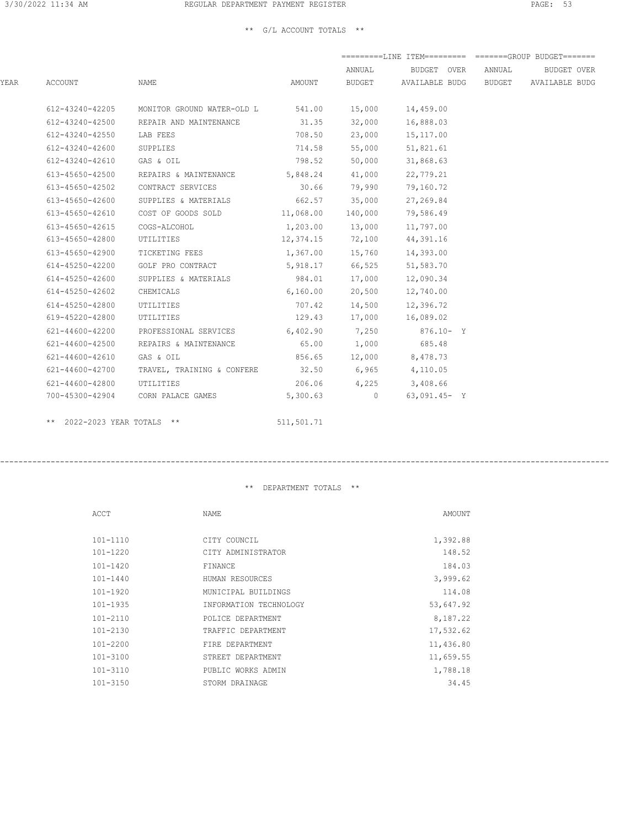|                 |                            |           | ANNUAL  | BUDGET OVER                                                                            | ANNUAL                       | BUDGET OVER           |
|-----------------|----------------------------|-----------|---------|----------------------------------------------------------------------------------------|------------------------------|-----------------------|
| ACCOUNT         | NAME                       | AMOUNT    | BUDGET  | AVAILABLE BUDG                                                                         | BUDGET                       | <b>AVAILABLE BUDG</b> |
| 612-43240-42205 | MONITOR GROUND WATER-OLD L | 541.00    | 15,000  | 14,459.00                                                                              |                              |                       |
| 612-43240-42500 | REPAIR AND MAINTENANCE     | 31.35     | 32,000  | 16,888.03                                                                              |                              |                       |
| 612-43240-42550 | LAB FEES                   | 708.50    | 23,000  | 15,117.00                                                                              |                              |                       |
| 612-43240-42600 | SUPPLIES                   | 714.58    | 55,000  | 51,821.61                                                                              |                              |                       |
| 612-43240-42610 | GAS & OIL                  | 798.52    | 50,000  | 31,868.63                                                                              |                              |                       |
| 613-45650-42500 | REPAIRS & MAINTENANCE      |           | 41,000  | 22,779.21                                                                              |                              |                       |
| 613-45650-42502 | CONTRACT SERVICES          | 30.66     | 79,990  | 79,160.72                                                                              |                              |                       |
| 613-45650-42600 | SUPPLIES & MATERIALS       | 662.57    | 35,000  | 27,269.84                                                                              |                              |                       |
| 613-45650-42610 | COST OF GOODS SOLD         | 11,068.00 | 140,000 | 79,586.49                                                                              |                              |                       |
| 613-45650-42615 | COGS-ALCOHOL               |           |         | 11,797.00                                                                              |                              |                       |
| 613-45650-42800 | UTILITIES                  |           | 72,100  | 44,391.16                                                                              |                              |                       |
| 613-45650-42900 | TICKETING FEES             | 1,367.00  | 15,760  | 14,393.00                                                                              |                              |                       |
| 614-45250-42200 | GOLF PRO CONTRACT          |           | 66,525  | 51,583.70                                                                              |                              |                       |
| 614-45250-42600 | SUPPLIES & MATERIALS       | 984.01    | 17,000  | 12,090.34                                                                              |                              |                       |
| 614-45250-42602 | CHEMICALS                  | 6,160.00  | 20,500  | 12,740.00                                                                              |                              |                       |
| 614-45250-42800 | UTILITIES                  | 707.42    | 14,500  | 12,396.72                                                                              |                              |                       |
| 619-45220-42800 | UTILITIES                  | 129.43    |         |                                                                                        |                              |                       |
| 621-44600-42200 | PROFESSIONAL SERVICES      | 6,402.90  |         | $876.10 - Y$                                                                           |                              |                       |
| 621-44600-42500 | REPAIRS & MAINTENANCE      | 65.00     | 1,000   | 685.48                                                                                 |                              |                       |
| 621-44600-42610 | GAS & OIL                  | 856.65    | 12,000  | 8,478.73                                                                               |                              |                       |
| 621-44600-42700 | TRAVEL, TRAINING & CONFERE |           |         | 4,110.05                                                                               |                              |                       |
| 621-44600-42800 | UTILITIES                  |           |         |                                                                                        |                              |                       |
| 700-45300-42904 | CORN PALACE GAMES          | 5,300.63  | $\circ$ | $63,091.45 - Y$                                                                        |                              |                       |
|                 |                            |           | 32.50   | 5,848.24<br>1,203.00 13,000<br>12,374.15<br>5,918.17<br>7,250<br>6,965<br>206.06 4,225 | 17,000 16,089.02<br>3,408.66 |                       |

\*\* 2022-2023 YEAR TOTALS \*\* 511,501.71

------------------------------------------------------------------------------------------------------------------------------------

#### \*\* DEPARTMENT TOTALS \*\*

| ACCT         | NAME                   | AMOUNT    |
|--------------|------------------------|-----------|
|              |                        |           |
| 101-1110     | CITY COUNCIL           | 1,392.88  |
| 101-1220     | CITY ADMINISTRATOR     | 148.52    |
| 101-1420     | FINANCE                | 184.03    |
| 101-1440     | HUMAN RESOURCES        | 3,999.62  |
| 101-1920     | MUNICIPAL BUILDINGS    | 114.08    |
| $101 - 1935$ | INFORMATION TECHNOLOGY | 53,647.92 |
| 101-2110     | POLICE DEPARTMENT      | 8,187.22  |
| 101-2130     | TRAFFIC DEPARTMENT     | 17,532.62 |
| 101-2200     | FIRE DEPARTMENT        | 11,436.80 |
| $101 - 3100$ | STREET DEPARTMENT      | 11,659.55 |
| 101-3110     | PUBLIC WORKS ADMIN     | 1,788.18  |
| $101 - 3150$ | STORM DRAINAGE         | 34.45     |
|              |                        |           |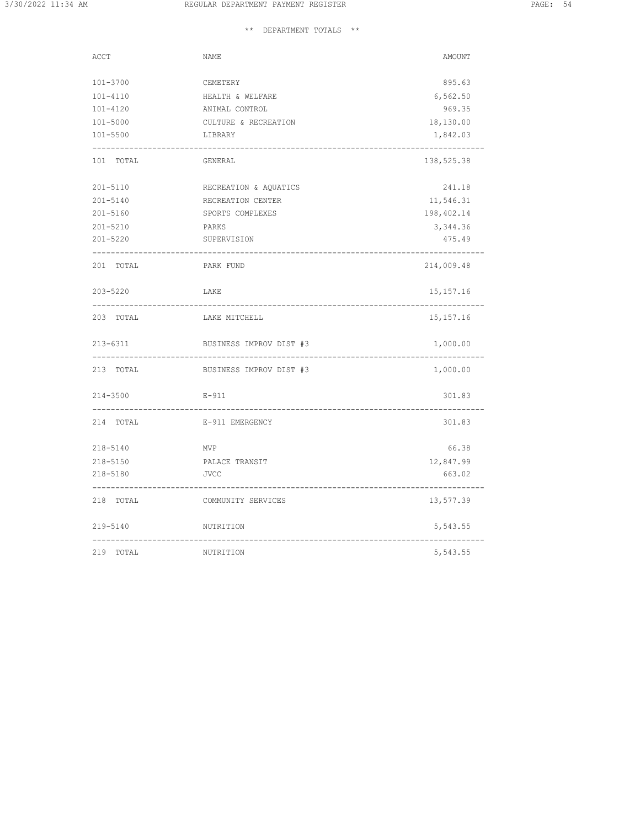| ACCT                             | NAME                                          | AMOUNT                                 |
|----------------------------------|-----------------------------------------------|----------------------------------------|
| 101-3700                         | CEMETERY                                      | 895.63                                 |
| 101-4110                         | HEALTH & WELFARE                              | 6,562.50                               |
| 101-4120                         | ANIMAL CONTROL                                | 969.35                                 |
| 101-5000                         | CULTURE & RECREATION                          | 18,130.00                              |
| 101-5500                         | LIBRARY                                       | 1,842.03                               |
| 101 TOTAL                        | GENERAL                                       | 138,525.38                             |
| 201-5110                         | RECREATION & AQUATICS                         | 241.18                                 |
| $201 - 5140$                     | RECREATION CENTER                             | 11,546.31                              |
| 201-5160                         | SPORTS COMPLEXES                              | 198,402.14                             |
| 201-5210                         | PARKS                                         | 3,344.36                               |
| $201 - 5220$                     | SUPERVISION                                   | 475.49                                 |
| 201 TOTAL                        | PARK FUND                                     | ------------<br>214,009.48             |
| 203-5220                         | LAKE                                          | 15, 157. 16                            |
| 203 TOTAL                        | LAKE MITCHELL                                 | -----------<br>15, 157. 16             |
| 213-6311                         | BUSINESS IMPROV DIST #3                       | 1,000.00                               |
| 213 TOTAL                        | BUSINESS IMPROV DIST #3                       | --------------------------<br>1,000.00 |
| $214 - 3500$                     | E-911                                         | 301.83                                 |
| 214 TOTAL                        | E-911 EMERGENCY                               | 301.83                                 |
| 218-5140                         | <b>MVP</b>                                    | 66.38                                  |
| 218-5150                         | PALACE TRANSIT                                | 12,847.99                              |
| 218-5180<br>-------------------- | JVCC<br>------------------------------------- | 663.02<br>.                            |
| 218 TOTAL                        | COMMUNITY SERVICES                            | 13,577.39                              |
| 219-5140                         | NUTRITION                                     | 5,543.55                               |
| 219 TOTAL                        | NUTRITION                                     | 5,543.55                               |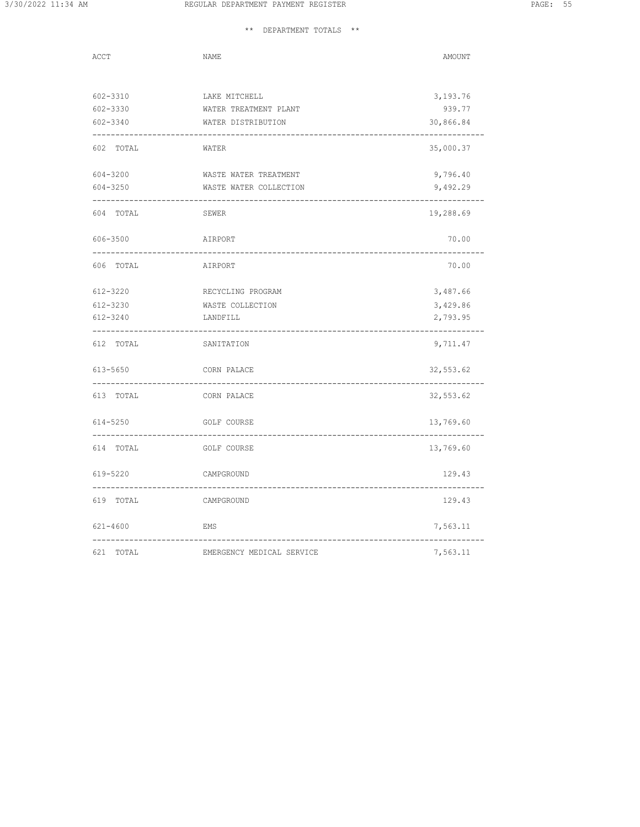# \*\* DEPARTMENT TOTALS \*\*

| ACCT      | NAME                      | AMOUNT                    |
|-----------|---------------------------|---------------------------|
|           |                           |                           |
| 602-3310  | LAKE MITCHELL             | 3,193.76                  |
| 602-3330  | WATER TREATMENT PLANT     | 939.77                    |
| 602-3340  | WATER DISTRIBUTION        | 30,866.84                 |
| 602 TOTAL | WATER                     | 35,000.37                 |
| 604-3200  | WASTE WATER TREATMENT     | 9,796.40                  |
| 604-3250  | WASTE WATER COLLECTION    | 9,492.29<br>------------- |
| 604 TOTAL | SEWER                     | 19,288.69                 |
| 606-3500  | AIRPORT                   | 70.00                     |
| 606 TOTAL | AIRPORT                   | 70.00                     |
| 612-3220  | RECYCLING PROGRAM         | 3,487.66                  |
| 612-3230  | WASTE COLLECTION          | 3,429.86                  |
| 612-3240  | LANDFILL                  | 2,793.95                  |
| 612 TOTAL | SANITATION                | 9,711.47                  |
| 613-5650  | CORN PALACE               | 32,553.62                 |
| 613 TOTAL | CORN PALACE               | 32,553.62                 |
| 614-5250  | GOLF COURSE               | 13,769.60                 |
| 614 TOTAL | GOLF COURSE               | 13,769.60                 |
| 619-5220  | CAMPGROUND                | 129.43                    |
| 619 TOTAL | CAMPGROUND                | 129.43                    |
| 621-4600  | EMS                       | 7,563.11                  |
| 621 TOTAL | EMERGENCY MEDICAL SERVICE | 7,563.11                  |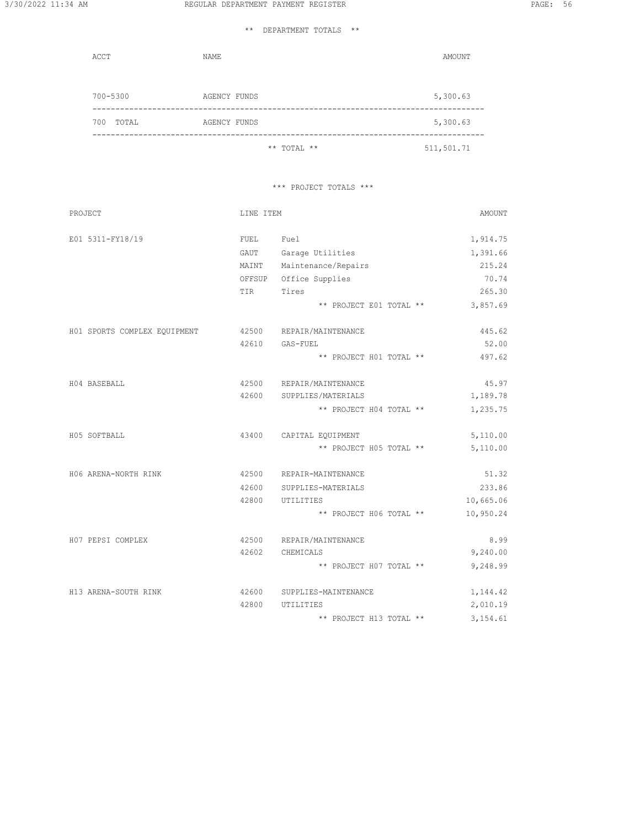# \*\* DEPARTMENT TOTALS \*\*

|                              |              | narunannin torumo         |            |
|------------------------------|--------------|---------------------------|------------|
| ACCT                         | NAME         |                           | AMOUNT     |
| 700-5300                     | AGENCY FUNDS |                           | 5,300.63   |
| 700 TOTAL                    | AGENCY FUNDS |                           | 5,300.63   |
|                              |              | $***$ TOTAL $***$         | 511,501.71 |
|                              |              | *** PROJECT TOTALS ***    |            |
| PROJECT                      | LINE ITEM    |                           | AMOUNT     |
| E01 5311-FY18/19             | FUEL         | Fuel                      | 1,914.75   |
|                              |              | GAUT Garage Utilities     | 1,391.66   |
|                              |              | MAINT Maintenance/Repairs | 215.24     |
|                              | OFFSUP       | Office Supplies           | 70.74      |
|                              | TIR          | Tires                     | 265.30     |
|                              |              | ** PROJECT E01 TOTAL **   | 3,857.69   |
| H01 SPORTS COMPLEX EQUIPMENT |              | 42500 REPAIR/MAINTENANCE  | 445.62     |
|                              |              | 42610 GAS-FUEL            | 52.00      |
|                              |              | ** PROJECT H01 TOTAL **   | 497.62     |
| H04 BASEBALL                 |              | 42500 REPAIR/MAINTENANCE  | 45.97      |
|                              |              | 42600 SUPPLIES/MATERIALS  | 1,189.78   |
|                              |              | ** PROJECT H04 TOTAL **   | 1,235.75   |
| H05 SOFTBALL                 |              | 43400 CAPITAL EQUIPMENT   | 5,110.00   |
|                              |              | ** PROJECT H05 TOTAL **   | 5,110.00   |
| H06 ARENA-NORTH RINK         |              | 42500 REPAIR-MAINTENANCE  | 51.32      |
|                              | 42600        | SUPPLIES-MATERIALS        | 233.86     |
|                              |              | 42800 UTILITIES           | 10,665.06  |
|                              |              | ** PROJECT H06 TOTAL **   | 10,950.24  |
| H07 PEPSI COMPLEX            | 42500        | REPAIR/MAINTENANCE        | 8.99       |
|                              | 42602        | CHEMICALS                 | 9,240.00   |
|                              |              | ** PROJECT H07 TOTAL **   | 9,248.99   |
| H13 ARENA-SOUTH RINK         | 42600        | SUPPLIES-MAINTENANCE      | 1,144.42   |
|                              |              |                           |            |

42800 UTILITIES 2,010.19

\*\* PROJECT H13 TOTAL \*\* 3,154.61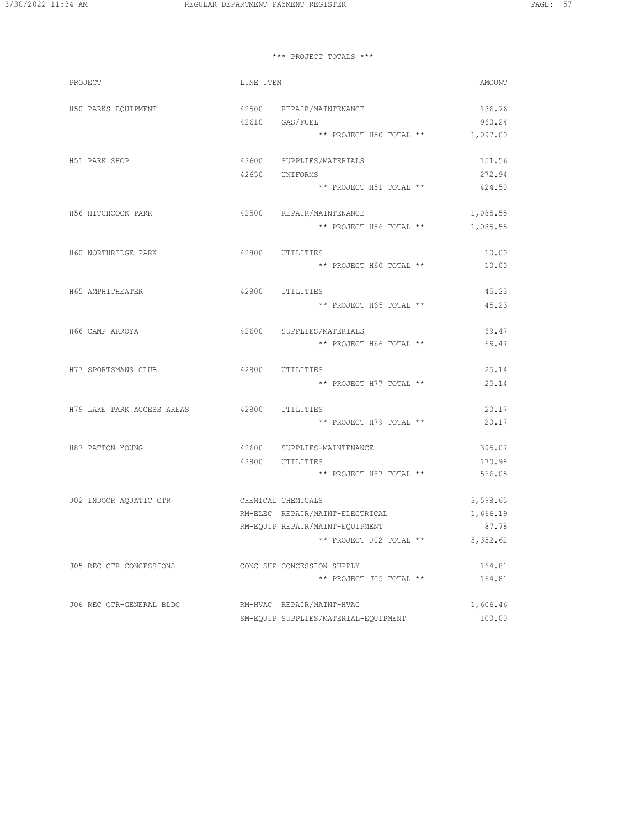# \*\*\* PROJECT TOTALS \*\*\*

| PROJECT                                            | LINE ITEM |                                      | AMOUNT   |
|----------------------------------------------------|-----------|--------------------------------------|----------|
| H50 PARKS EQUIPMENT                                |           | 42500 REPAIR/MAINTENANCE             | 136.76   |
|                                                    |           | 42610 GAS/FUEL                       | 960.24   |
|                                                    |           | ** PROJECT H50 TOTAL ** $1,097.00$   |          |
| H51 PARK SHOP                                      |           | 42600 SUPPLIES/MATERIALS             | 151.56   |
|                                                    |           | 42650 UNIFORMS                       | 272.94   |
|                                                    |           | ** PROJECT H51 TOTAL **              | 424.50   |
| H56 HITCHCOCK PARK                                 |           | 42500 REPAIR/MAINTENANCE             | 1,085.55 |
|                                                    |           | ** PROJECT H56 TOTAL ** 1,085.55     |          |
| H60 NORTHRIDGE PARK                                |           | 42800 UTILITIES                      | 10.00    |
|                                                    |           | ** PROJECT H60 TOTAL **              | 10.00    |
| H65 AMPHITHEATER                                   |           | 42800 UTILITIES                      | 45.23    |
|                                                    |           | ** PROJECT H65 TOTAL **              | 45.23    |
| H66 CAMP ARROYA                                    |           | 42600 SUPPLIES/MATERIALS             | 69.47    |
|                                                    |           | ** PROJECT H66 TOTAL **              | 69.47    |
| H77 SPORTSMANS CLUB                                |           | 42800 UTILITIES                      | 25.14    |
|                                                    |           | ** PROJECT H77 TOTAL **              | 25.14    |
| H79 LAKE PARK ACCESS AREAS 42800 UTILITIES         |           |                                      | 20.17    |
|                                                    |           | ** PROJECT H79 TOTAL **              | 20.17    |
| H87 PATTON YOUNG                                   |           | 42600 SUPPLIES-MAINTENANCE           | 395.07   |
|                                                    |           | 42800 UTILITIES                      | 170.98   |
|                                                    |           | ** PROJECT H87 TOTAL **              | 566.05   |
| J02 INDOOR AQUATIC CTR                             |           | CHEMICAL CHEMICALS                   | 3,598.65 |
|                                                    |           | RM-ELEC REPAIR/MAINT-ELECTRICAL      | 1,666.19 |
|                                                    |           | RM-EQUIP REPAIR/MAINT-EQUIPMENT      | 87.78    |
|                                                    |           | ** PROJECT J02 TOTAL ** 5,352.62     |          |
| J05 REC CTR CONCESSIONS                            |           | CONC SUP CONCESSION SUPPLY           | 164.81   |
|                                                    |           | ** PROJECT J05 TOTAL **              | 164.81   |
| J06 REC CTR-GENERAL BLDG NM-HVAC REPAIR/MAINT-HVAC |           |                                      | 1,606.46 |
|                                                    |           | SM-EQUIP SUPPLIES/MATERIAL-EQUIPMENT | 100.00   |